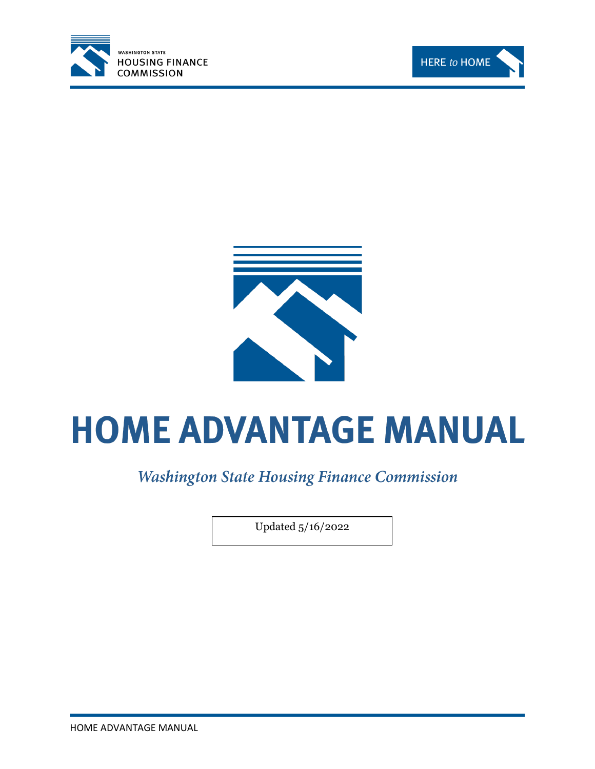





# **HOME ADVANTAGE MANUAL**

**Washington State Housing Finance Commission** 

Updated 5/16/2022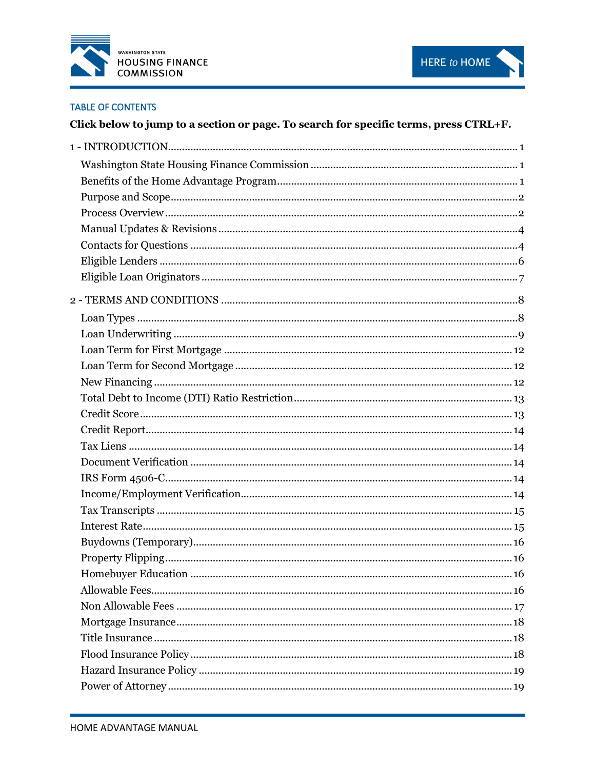



#### **TABLE OF CONTENTS**

# Click below to jump to a section or page. To search for specific terms, press CTRL+F.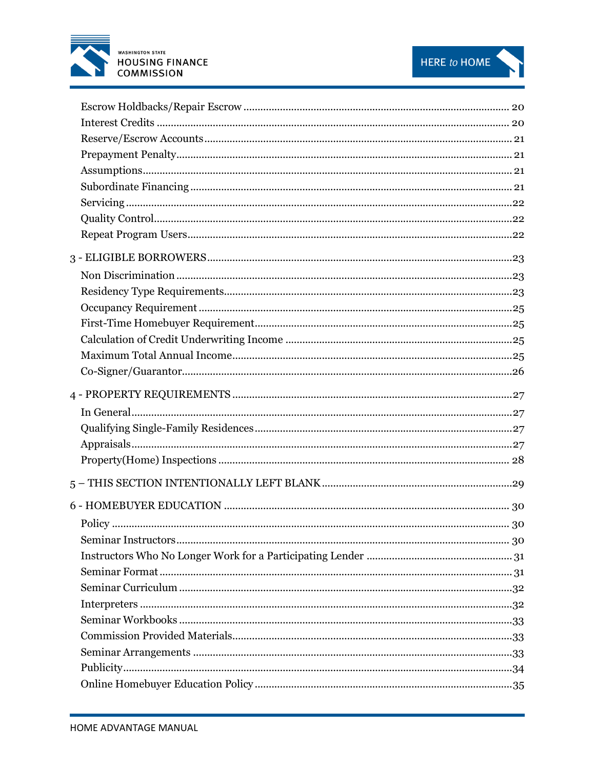

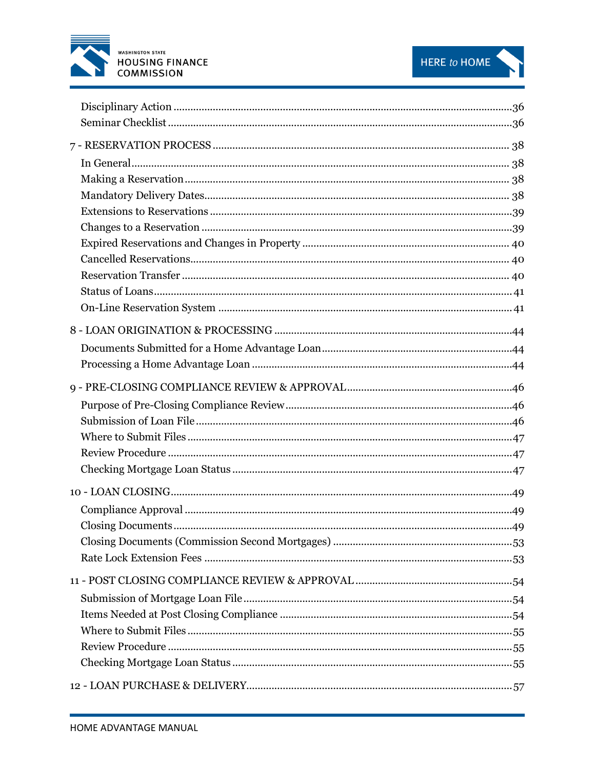

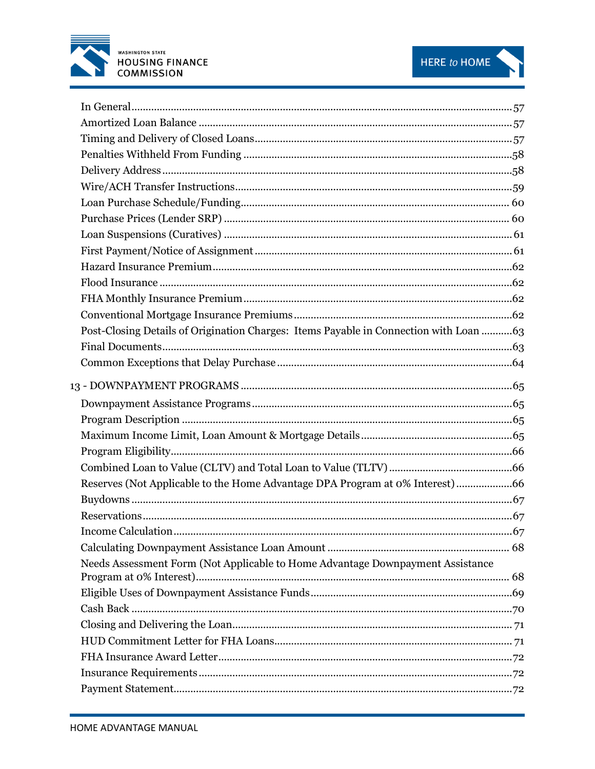



| Post-Closing Details of Origination Charges: Items Payable in Connection with Loan  63 |  |
|----------------------------------------------------------------------------------------|--|
|                                                                                        |  |
|                                                                                        |  |
|                                                                                        |  |
|                                                                                        |  |
|                                                                                        |  |
|                                                                                        |  |
|                                                                                        |  |
|                                                                                        |  |
| Reserves (Not Applicable to the Home Advantage DPA Program at 0% Interest) 66          |  |
|                                                                                        |  |
|                                                                                        |  |
|                                                                                        |  |
|                                                                                        |  |
| Needs Assessment Form (Not Applicable to Home Advantage Downpayment Assistance         |  |
|                                                                                        |  |
|                                                                                        |  |
|                                                                                        |  |
|                                                                                        |  |
|                                                                                        |  |
|                                                                                        |  |
|                                                                                        |  |
|                                                                                        |  |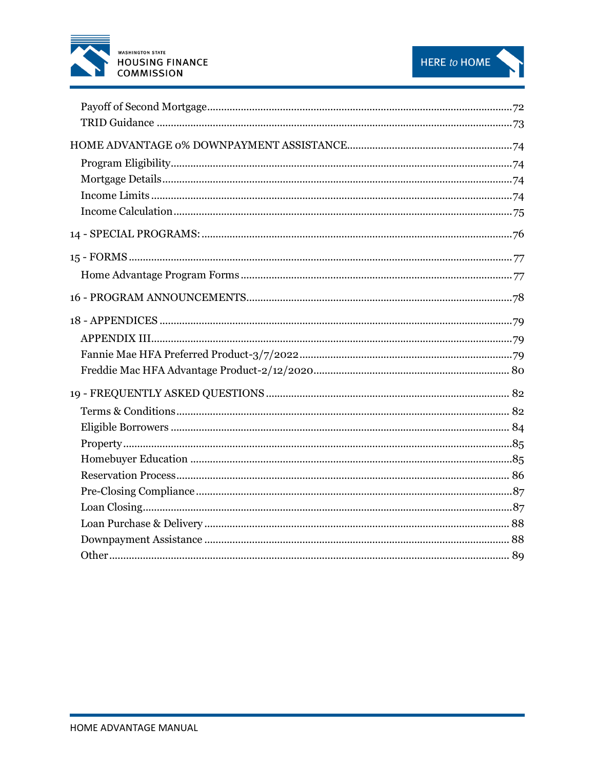

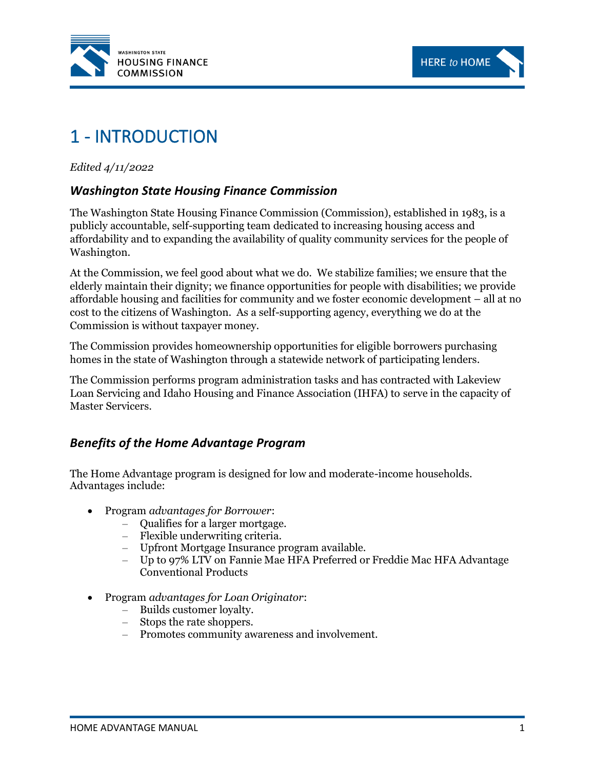



# <span id="page-6-0"></span>1 - INTRODUCTION

*Edited 4/11/2022*

# <span id="page-6-1"></span>*Washington State Housing Finance Commission*

The Washington State Housing Finance Commission (Commission), established in 1983, is a publicly accountable, self-supporting team dedicated to increasing housing access and affordability and to expanding the availability of quality community services for the people of Washington.

At the Commission, we feel good about what we do. We stabilize families; we ensure that the elderly maintain their dignity; we finance opportunities for people with disabilities; we provide affordable housing and facilities for community and we foster economic development – all at no cost to the citizens of Washington. As a self-supporting agency, everything we do at the Commission is without taxpayer money.

The Commission provides homeownership opportunities for eligible borrowers purchasing homes in the state of Washington through a statewide network of participating lenders.

The Commission performs program administration tasks and has contracted with Lakeview Loan Servicing and Idaho Housing and Finance Association (IHFA) to serve in the capacity of Master Servicers.

# <span id="page-6-2"></span>*Benefits of the Home Advantage Program*

The Home Advantage program is designed for low and moderate-income households. Advantages include:

- Program *advantages for Borrower*:
	- Qualifies for a larger mortgage.
	- Flexible underwriting criteria.
	- Upfront Mortgage Insurance program available.
	- Up to 97% LTV on Fannie Mae HFA Preferred or Freddie Mac HFA Advantage Conventional Products
- Program *advantages for Loan Originator*:
	- Builds customer loyalty.
	- Stops the rate shoppers.
	- Promotes community awareness and involvement.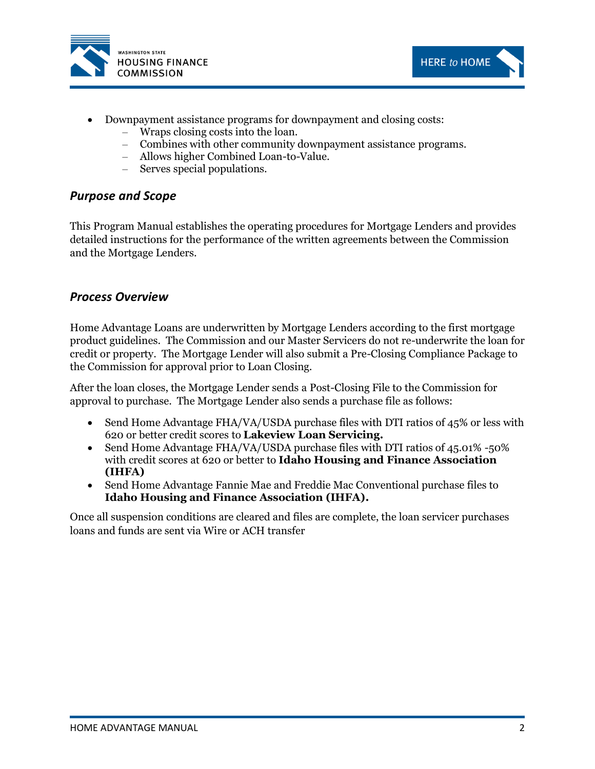



- Downpayment assistance programs for downpayment and closing costs:
	- Wraps closing costs into the loan.
	- Combines with other community downpayment assistance programs.
	- Allows higher Combined Loan-to-Value.
	- Serves special populations.

#### <span id="page-7-0"></span>*Purpose and Scope*

This Program Manual establishes the operating procedures for Mortgage Lenders and provides detailed instructions for the performance of the written agreements between the Commission and the Mortgage Lenders.

#### <span id="page-7-1"></span>*Process Overview*

Home Advantage Loans are underwritten by Mortgage Lenders according to the first mortgage product guidelines. The Commission and our Master Servicers do not re-underwrite the loan for credit or property. The Mortgage Lender will also submit a Pre-Closing Compliance Package to the Commission for approval prior to Loan Closing.

After the loan closes, the Mortgage Lender sends a Post-Closing File to the Commission for approval to purchase. The Mortgage Lender also sends a purchase file as follows:

- Send Home Advantage FHA/VA/USDA purchase files with DTI ratios of 45% or less with 620 or better credit scores to **Lakeview Loan Servicing.**
- Send Home Advantage FHA/VA/USDA purchase files with DTI ratios of 45.01% -50% with credit scores at 620 or better to **Idaho Housing and Finance Association (IHFA)**
- Send Home Advantage Fannie Mae and Freddie Mac Conventional purchase files to **Idaho Housing and Finance Association (IHFA).**

Once all suspension conditions are cleared and files are complete, the loan servicer purchases loans and funds are sent via Wire or ACH transfer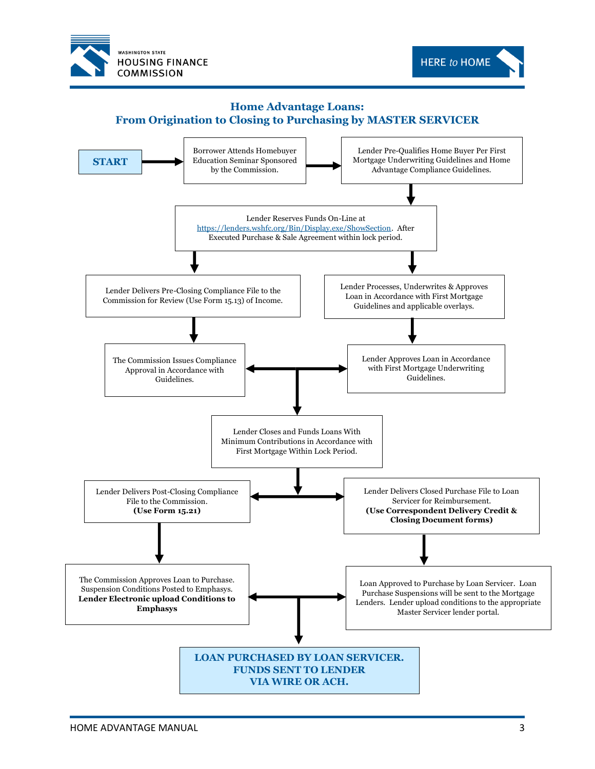



#### **Home Advantage Loans: From Origination to Closing to Purchasing by MASTER SERVICER**

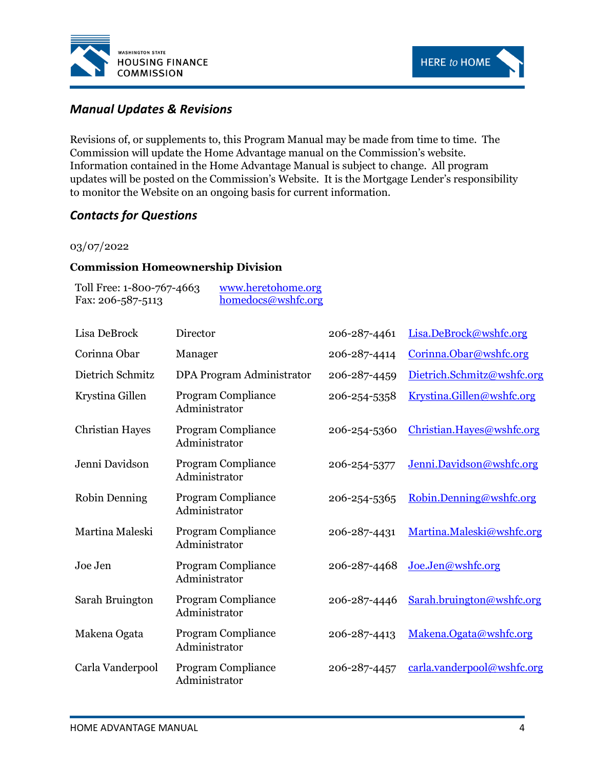



# <span id="page-9-0"></span>*Manual Updates & Revisions*

Revisions of, or supplements to, this Program Manual may be made from time to time. The Commission will update the Home Advantage manual on the Commission's website. Information contained in the Home Advantage Manual is subject to change. All program updates will be posted on the Commission's Website. It is the Mortgage Lender's responsibility to monitor the Website on an ongoing basis for current information.

# <span id="page-9-1"></span>*Contacts for Questions*

#### 03/07/2022

#### **Commission Homeownership Division**

| Toll Free: 1-800-767-4663 | www.heretohome.org |
|---------------------------|--------------------|
| Fax: $206 - 587 - 5113$   | homedocs@wshfc.org |

| Lisa DeBrock           | Director                            | 206-287-4461 | Lisa.DeBrock@wshfc.org     |
|------------------------|-------------------------------------|--------------|----------------------------|
| Corinna Obar           | Manager                             | 206-287-4414 | Corinna.Obar@wshfc.org     |
| Dietrich Schmitz       | DPA Program Administrator           | 206-287-4459 | Dietrich.Schmitz@wshfc.org |
| Krystina Gillen        | Program Compliance<br>Administrator | 206-254-5358 | Krystina.Gillen@wshfc.org  |
| <b>Christian Hayes</b> | Program Compliance<br>Administrator | 206-254-5360 | Christian.Hayes@wshfc.org  |
| Jenni Davidson         | Program Compliance<br>Administrator | 206-254-5377 | Jenni.Davidson@wshfc.org   |
| Robin Denning          | Program Compliance<br>Administrator | 206-254-5365 | Robin.Denning@wshfc.org    |
| Martina Maleski        | Program Compliance<br>Administrator | 206-287-4431 | Martina.Maleski@wshfc.org  |
| Joe Jen                | Program Compliance<br>Administrator | 206-287-4468 | Joe.Jen@wshfc.org          |
| Sarah Bruington        | Program Compliance<br>Administrator | 206-287-4446 | Sarah.bruington@wshfc.org  |
| Makena Ogata           | Program Compliance<br>Administrator | 206-287-4413 | Makena.Ogata@wshfc.org     |
| Carla Vanderpool       | Program Compliance<br>Administrator | 206-287-4457 | carla.vanderpool@wshfc.org |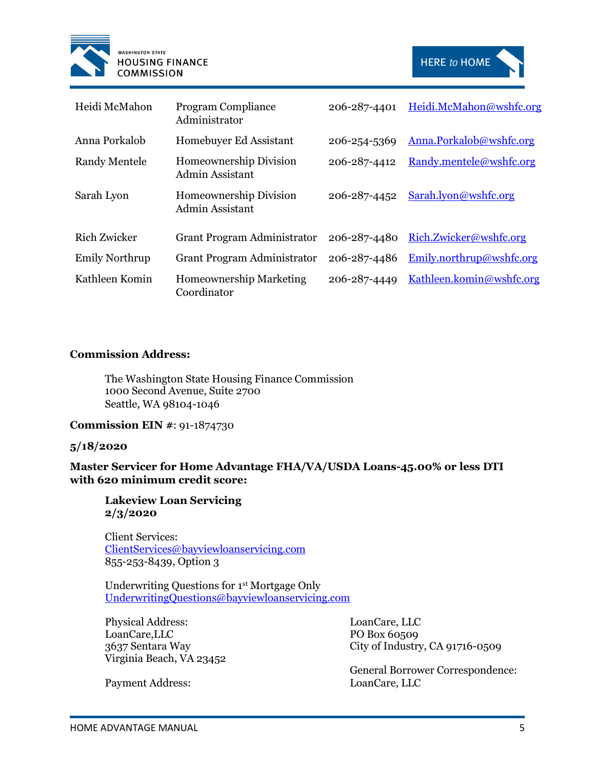



| Heidi McMahon         | <b>Program Compliance</b><br>Administrator       | 206-287-4401 | Heidi.McMahon@wshfc.org         |
|-----------------------|--------------------------------------------------|--------------|---------------------------------|
| Anna Porkalob         | Homebuyer Ed Assistant                           | 206-254-5369 | Anna.Porkalob@wshfc.org         |
| <b>Randy Mentele</b>  | Homeownership Division<br>Admin Assistant        | 206-287-4412 | Randy.mentele@wshfc.org         |
| Sarah Lyon            | <b>Homeownership Division</b><br>Admin Assistant | 206-287-4452 | Sarah.lyon@wshfc.org            |
| Rich Zwicker          | <b>Grant Program Administrator</b>               | 206-287-4480 | <u>Rich.Zwicker@wshfc.org</u>   |
| <b>Emily Northrup</b> | Grant Program Administrator                      | 206-287-4486 | Emily.northrup@wshfc.org        |
| Kathleen Komin        | <b>Homeownership Marketing</b><br>Coordinator    | 206-287-4449 | <u>Kathleen.komin@wshfc.org</u> |

#### **Commission Address:**

The Washington State Housing Finance Commission 1000 Second Avenue, Suite 2700 Seattle, WA 98104-1046

**Commission EIN #**: 91-1874730

#### **5/18/2020**

**Master Servicer for Home Advantage FHA/VA/USDA Loans-45.00% or less DTI with 620 minimum credit score:**

**Lakeview Loan Servicing 2/3/2020**

Client Services: [ClientServices@bayviewloanservicing.com](mailto:ClientServices@bayviewloanservicing.com) 855-253-8439, Option 3

Underwriting Questions for 1st Mortgage Only [UnderwritingQuestions@bayviewloanservicing.com](mailto:UnderwritingQuestions@bayviewloanservicing.com)

Physical Address: LoanCare,LLC 3637 Sentara Way Virginia Beach, VA 23452

LoanCare, LLC PO Box 60509 City of Industry, CA 91716-0509

General Borrower Correspondence: LoanCare, LLC

Payment Address: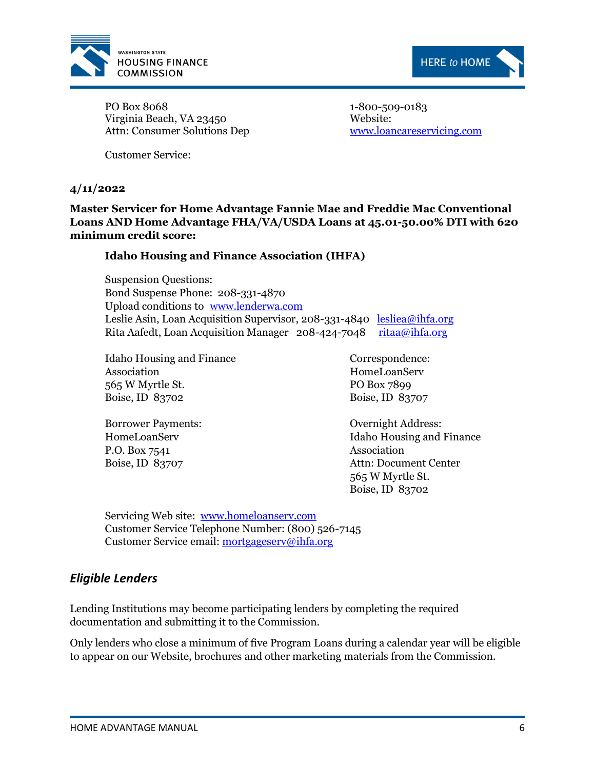



PO Box 8068 Virginia Beach, VA 23450 Attn: Consumer Solutions Dep 1-800-509-0183 Website: [www.loancareservicing.com](http://www.loancareservicing.com/)

Customer Service:

#### **4/11/2022**

**Master Servicer for Home Advantage Fannie Mae and Freddie Mac Conventional Loans AND Home Advantage FHA/VA/USDA Loans at 45.01-50.00% DTI with 620 minimum credit score:**

#### **Idaho Housing and Finance Association (IHFA)**

Suspension Questions: Bond Suspense Phone: 208-331-4870 Upload conditions to [www.lenderwa.com](http://www.lenderwa.com/) Leslie Asin, Loan Acquisition Supervisor, 208-331-4840 [lesliea@ihfa.org](mailto:lesliea@ihfa.org) Rita Aafedt, Loan Acquisition Manager 208-424-7048 [ritaa@ihfa.org](mailto:ritaa@ihfa.org)

Idaho Housing and Finance Association 565 W Myrtle St. Boise, ID 83702

Borrower Payments: HomeLoanServ P.O. Box 7541 Boise, ID 83707

Correspondence: HomeLoanServ PO Box 7899 Boise, ID 83707

Overnight Address: Idaho Housing and Finance Association Attn: Document Center 565 W Myrtle St. Boise, ID 83702

Servicing Web site: [www.homeloanserv.com](http://www.homeloanserv.com/) Customer Service Telephone Number: (800) 526-7145 Customer Service email[: mortgageserv@ihfa.org](mailto:mortgageserv@ihfa.org)

#### <span id="page-11-0"></span>*Eligible Lenders*

Lending Institutions may become participating lenders by completing the required documentation and submitting it to the Commission.

Only lenders who close a minimum of five Program Loans during a calendar year will be eligible to appear on our Website, brochures and other marketing materials from the Commission.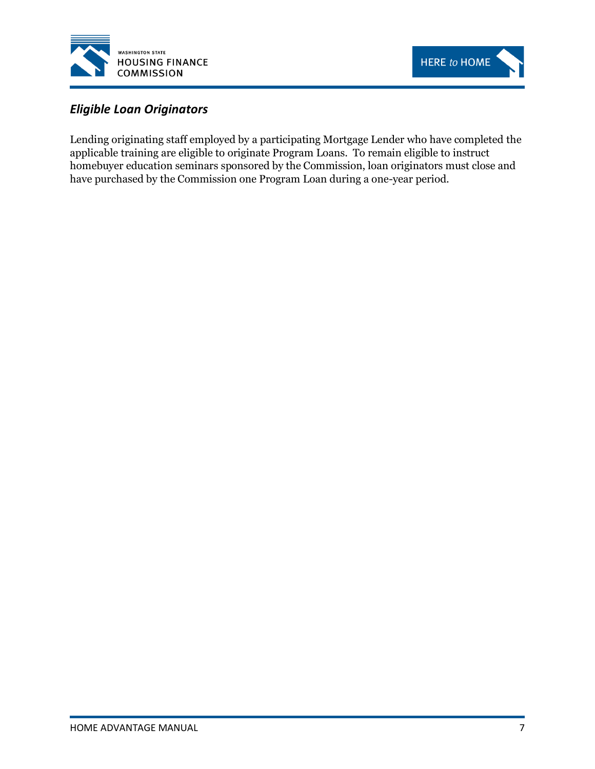



# <span id="page-12-0"></span>*Eligible Loan Originators*

Lending originating staff employed by a participating Mortgage Lender who have completed the applicable training are eligible to originate Program Loans. To remain eligible to instruct homebuyer education seminars sponsored by the Commission, loan originators must close and have purchased by the Commission one Program Loan during a one-year period.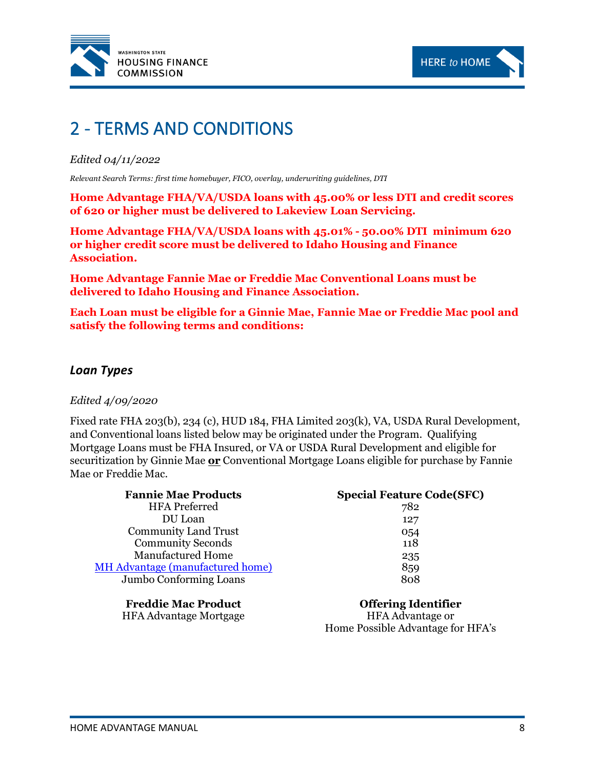



# <span id="page-13-0"></span>2 - TERMS AND CONDITIONS

#### *Edited 04/11/2022*

*Relevant Search Terms: first time homebuyer, FICO, overlay, underwriting guidelines, DTI*

**Home Advantage FHA/VA/USDA loans with 45.00% or less DTI and credit scores of 620 or higher must be delivered to Lakeview Loan Servicing.**

**Home Advantage FHA/VA/USDA loans with 45.01% - 50.00% DTI minimum 620 or higher credit score must be delivered to Idaho Housing and Finance Association.**

**Home Advantage Fannie Mae or Freddie Mac Conventional Loans must be delivered to Idaho Housing and Finance Association.** 

**Each Loan must be eligible for a Ginnie Mae, Fannie Mae or Freddie Mac pool and satisfy the following terms and conditions:**

#### <span id="page-13-1"></span>*Loan Types*

#### *Edited 4/09/2020*

Fixed rate FHA 203(b), 234 (c), HUD 184, FHA Limited 203(k), VA, USDA Rural Development, and Conventional loans listed below may be originated under the Program. Qualifying Mortgage Loans must be FHA Insured, or VA or USDA Rural Development and eligible for securitization by Ginnie Mae **or** Conventional Mortgage Loans eligible for purchase by Fannie Mae or Freddie Mac.

| <b>Fannie Mae Products</b>              | <b>Special Feature Code(SFC)</b> |
|-----------------------------------------|----------------------------------|
| <b>HFA</b> Preferred                    | 782                              |
| DU Loan                                 | 127                              |
| <b>Community Land Trust</b>             | 054                              |
| <b>Community Seconds</b>                | 118                              |
| <b>Manufactured Home</b>                | 235                              |
| <b>MH</b> Advantage (manufactured home) | 859                              |
| Jumbo Conforming Loans                  | 808                              |
|                                         |                                  |
|                                         |                                  |

**Freddie Mac Product** HFA Advantage Mortgage

**Offering Identifier** HFA Advantage or Home Possible Advantage for HFA's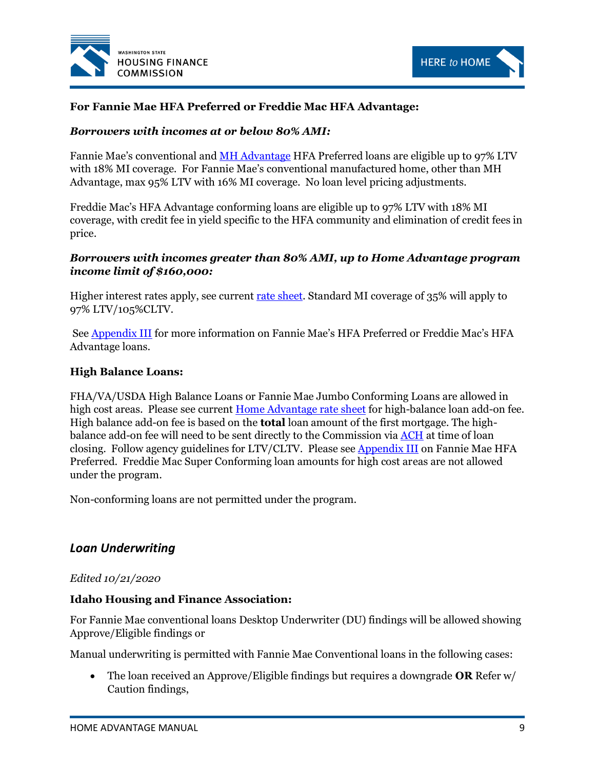



#### **For Fannie Mae HFA Preferred or Freddie Mac HFA Advantage:**

#### *Borrowers with incomes at or below 80% AMI:*

Fannie Mae's conventional and [MH Advantage](https://www.fanniemae.com/singlefamily/manufactured-homes#!) HFA Preferred loans are eligible up to 97% LTV with 18% MI coverage. For Fannie Mae's conventional manufactured home, other than MH Advantage, max 95% LTV with 16% MI coverage. No loan level pricing adjustments.

Freddie Mac's HFA Advantage conforming loans are eligible up to 97% LTV with 18% MI coverage, with credit fee in yield specific to the HFA community and elimination of credit fees in price.

#### *Borrowers with incomes greater than 80% AMI, up to Home Advantage program income limit of \$160,000:*

Higher interest rates apply, see current [rate sheet.](http://www.wshfc.org/buyers/HomeAdvantage.htm) Standard MI coverage of 35% will apply to 97% LTV/105%CLTV.

See [Appendix III](#page-84-1) for more information on Fannie Mae's HFA Preferred or Freddie Mac's HFA Advantage loans.

#### **High Balance Loans:**

FHA/VA/USDA High Balance Loans or Fannie Mae Jumbo Conforming Loans are allowed in high cost areas. Please see current [Home Advantage rate sheet](http://www.wshfc.org/buyers/HomeAdvantage.htm) for high-balance loan add-on fee. High balance add-on fee is based on the **total** loan amount of the first mortgage. The highbalance add-on fee will need to be sent directly to the Commission via [ACH](#page-21-3) at time of loan closing. Follow agency guidelines for LTV/CLTV. Please see **Appendix III** on Fannie Mae HFA Preferred. Freddie Mac Super Conforming loan amounts for high cost areas are not allowed under the program.

Non-conforming loans are not permitted under the program.

#### <span id="page-14-0"></span>*Loan Underwriting*

#### *Edited 10/21/2020*

#### **Idaho Housing and Finance Association:**

For Fannie Mae conventional loans Desktop Underwriter (DU) findings will be allowed showing Approve/Eligible findings or

Manual underwriting is permitted with Fannie Mae Conventional loans in the following cases:

• The loan received an Approve/Eligible findings but requires a downgrade **OR** Refer w/ Caution findings,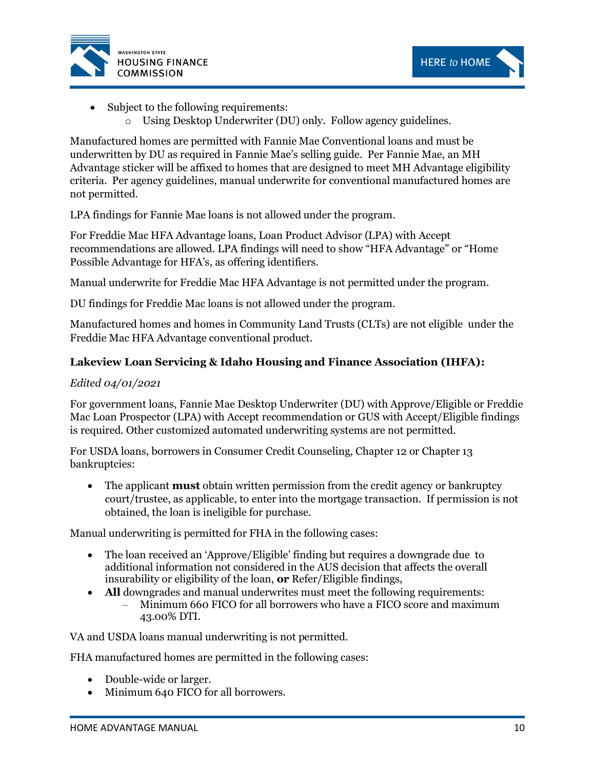



- Subject to the following requirements:
	- o Using Desktop Underwriter (DU) only. Follow agency guidelines.

Manufactured homes are permitted with Fannie Mae Conventional loans and must be underwritten by DU as required in Fannie Mae's selling guide. Per Fannie Mae, an MH Advantage sticker will be affixed to homes that are designed to meet MH Advantage eligibility criteria. Per agency guidelines, manual underwrite for conventional manufactured homes are not permitted.

LPA findings for Fannie Mae loans is not allowed under the program.

For Freddie Mac HFA Advantage loans, Loan Product Advisor (LPA) with Accept recommendations are allowed. LPA findings will need to show "HFA Advantage" or "Home Possible Advantage for HFA's, as offering identifiers.

Manual underwrite for Freddie Mac HFA Advantage is not permitted under the program.

DU findings for Freddie Mac loans is not allowed under the program.

Manufactured homes and homes in Community Land Trusts (CLTs) are not eligible under the Freddie Mac HFA Advantage conventional product.

#### **Lakeview Loan Servicing & Idaho Housing and Finance Association (IHFA):**

#### *Edited 04/01/2021*

For government loans, Fannie Mae Desktop Underwriter (DU) with Approve/Eligible or Freddie Mac Loan Prospector (LPA) with Accept recommendation or GUS with Accept/Eligible findings is required. Other customized automated underwriting systems are not permitted.

For USDA loans, borrowers in Consumer Credit Counseling, Chapter 12 or Chapter 13 bankruptcies:

• The applicant **must** obtain written permission from the credit agency or bankruptcy court/trustee, as applicable, to enter into the mortgage transaction. If permission is not obtained, the loan is ineligible for purchase.

Manual underwriting is permitted for FHA in the following cases:

- The loan received an 'Approve/Eligible' finding but requires a downgrade due to additional information not considered in the AUS decision that affects the overall insurability or eligibility of the loan, **or** Refer/Eligible findings,
- **All** downgrades and manual underwrites must meet the following requirements: – Minimum 660 FICO for all borrowers who have a FICO score and maximum 43.00% DTI.

VA and USDA loans manual underwriting is not permitted.

FHA manufactured homes are permitted in the following cases:

- Double-wide or larger.
- Minimum 640 FICO for all borrowers.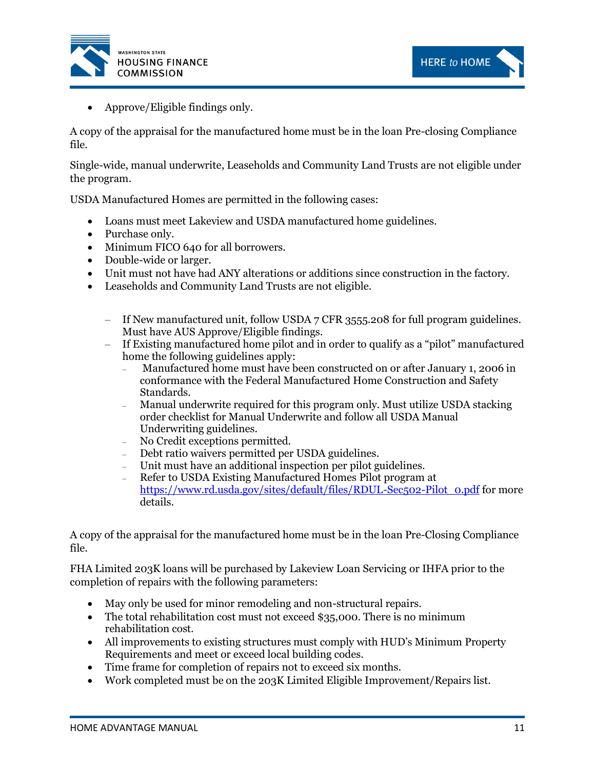



• Approve/Eligible findings only.

A copy of the appraisal for the manufactured home must be in the loan Pre-closing Compliance file.

Single-wide, manual underwrite, Leaseholds and Community Land Trusts are not eligible under the program.

USDA Manufactured Homes are permitted in the following cases:

- Loans must meet Lakeview and USDA manufactured home guidelines.
- Purchase only.
- Minimum FICO 640 for all borrowers.
- Double-wide or larger.
- Unit must not have had ANY alterations or additions since construction in the factory.
- Leaseholds and Community Land Trusts are not eligible.
	- If New manufactured unit, follow USDA 7 CFR 3555.208 for full program guidelines. Must have AUS Approve/Eligible findings.
	- If Existing manufactured home pilot and in order to qualify as a "pilot" manufactured home the following guidelines apply:
		- Manufactured home must have been constructed on or after January 1, 2006 in conformance with the Federal Manufactured Home Construction and Safety Standards.
		- Manual underwrite required for this program only. Must utilize USDA stacking order checklist for Manual Underwrite and follow all USDA Manual Underwriting guidelines.
		- No Credit exceptions permitted.
		- Debt ratio waivers permitted per USDA guidelines.
		- Unit must have an additional inspection per pilot guidelines.
		- Refer to USDA Existing Manufactured Homes Pilot program at [https://www.rd.usda.gov/sites/default/files/RDUL-Sec502-Pilot\\_0.pdf](https://www.rd.usda.gov/sites/default/files/RDUL-Sec502-Pilot_0.pdf) for more details.

A copy of the appraisal for the manufactured home must be in the loan Pre-Closing Compliance file.

FHA Limited 203K loans will be purchased by Lakeview Loan Servicing or IHFA prior to the completion of repairs with the following parameters:

- May only be used for minor remodeling and non-structural repairs.
- The total rehabilitation cost must not exceed \$35,000. There is no minimum rehabilitation cost.
- All improvements to existing structures must comply with HUD's Minimum Property Requirements and meet or exceed local building codes.
- Time frame for completion of repairs not to exceed six months.
- Work completed must be on the 203K Limited Eligible Improvement/Repairs list.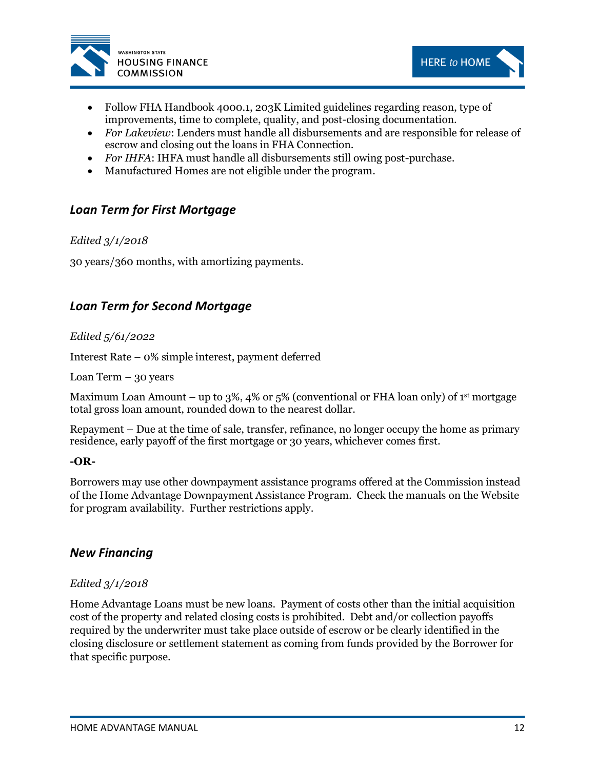



- Follow FHA Handbook 4000.1, 203K Limited guidelines regarding reason, type of improvements, time to complete, quality, and post-closing documentation.
- *For Lakeview*: Lenders must handle all disbursements and are responsible for release of escrow and closing out the loans in FHA Connection.
- *For IHFA*: IHFA must handle all disbursements still owing post-purchase.
- Manufactured Homes are not eligible under the program.

# <span id="page-17-0"></span>*Loan Term for First Mortgage*

#### *Edited 3/1/2018*

30 years/360 months, with amortizing payments.

# <span id="page-17-1"></span>*Loan Term for Second Mortgage*

#### *Edited 5/61/2022*

Interest Rate – 0% simple interest, payment deferred

Loan Term  $-30$  years

Maximum Loan Amount – up to 3%, 4% or 5% (conventional or FHA loan only) of 1<sup>st</sup> mortgage total gross loan amount, rounded down to the nearest dollar.

Repayment – Due at the time of sale, transfer, refinance, no longer occupy the home as primary residence, early payoff of the first mortgage or 30 years, whichever comes first.

#### **-OR-**

Borrowers may use other downpayment assistance programs offered at the Commission instead of the Home Advantage Downpayment Assistance Program. Check the manuals on the Website for program availability. Further restrictions apply.

#### <span id="page-17-2"></span>*New Financing*

#### *Edited 3/1/2018*

Home Advantage Loans must be new loans. Payment of costs other than the initial acquisition cost of the property and related closing costs is prohibited. Debt and/or collection payoffs required by the underwriter must take place outside of escrow or be clearly identified in the closing disclosure or settlement statement as coming from funds provided by the Borrower for that specific purpose.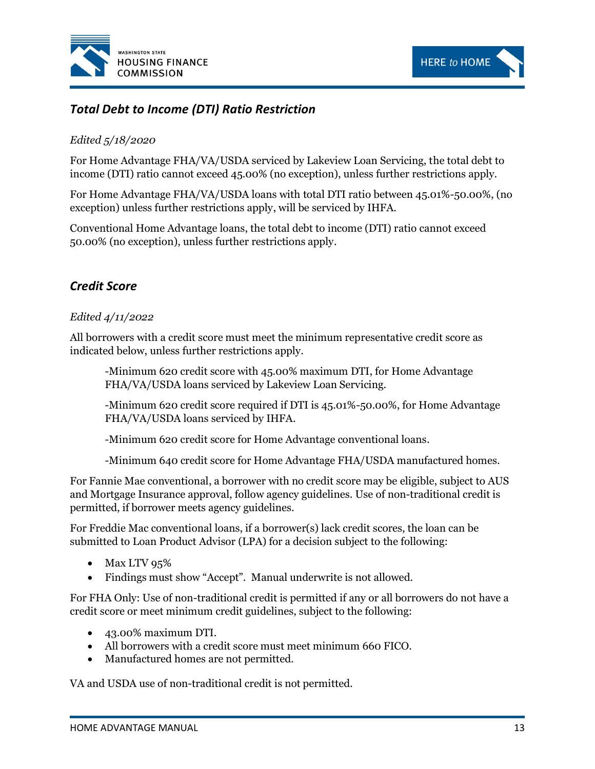



# <span id="page-18-0"></span>*Total Debt to Income (DTI) Ratio Restriction*

#### *Edited 5/18/2020*

For Home Advantage FHA/VA/USDA serviced by Lakeview Loan Servicing, the total debt to income (DTI) ratio cannot exceed 45.00% (no exception), unless further restrictions apply.

For Home Advantage FHA/VA/USDA loans with total DTI ratio between 45.01%-50.00%, (no exception) unless further restrictions apply, will be serviced by IHFA.

Conventional Home Advantage loans, the total debt to income (DTI) ratio cannot exceed 50.00% (no exception), unless further restrictions apply.

# <span id="page-18-1"></span>*Credit Score*

#### *Edited 4/11/2022*

All borrowers with a credit score must meet the minimum representative credit score as indicated below, unless further restrictions apply.

-Minimum 620 credit score with 45.00% maximum DTI, for Home Advantage FHA/VA/USDA loans serviced by Lakeview Loan Servicing.

-Minimum 620 credit score required if DTI is 45.01%-50.00%, for Home Advantage FHA/VA/USDA loans serviced by IHFA.

-Minimum 620 credit score for Home Advantage conventional loans.

-Minimum 640 credit score for Home Advantage FHA/USDA manufactured homes.

For Fannie Mae conventional, a borrower with no credit score may be eligible, subject to AUS and Mortgage Insurance approval, follow agency guidelines. Use of non-traditional credit is permitted, if borrower meets agency guidelines.

For Freddie Mac conventional loans, if a borrower(s) lack credit scores, the loan can be submitted to Loan Product Advisor (LPA) for a decision subject to the following:

- Max LTV 95%
- Findings must show "Accept". Manual underwrite is not allowed.

For FHA Only: Use of non-traditional credit is permitted if any or all borrowers do not have a credit score or meet minimum credit guidelines, subject to the following:

- 43.00% maximum DTI.
- All borrowers with a credit score must meet minimum 660 FICO.
- Manufactured homes are not permitted.

VA and USDA use of non-traditional credit is not permitted.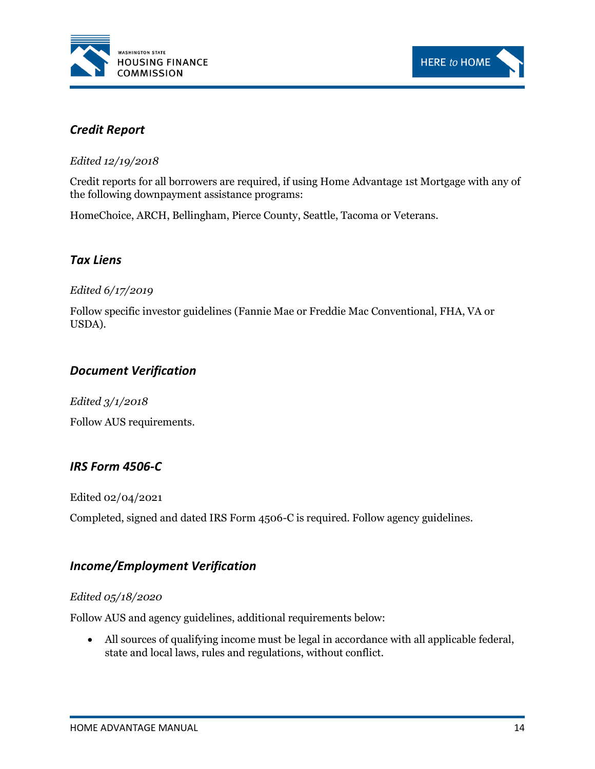



# <span id="page-19-0"></span>*Credit Report*

*Edited 12/19/2018*

Credit reports for all borrowers are required, if using Home Advantage 1st Mortgage with any of the following downpayment assistance programs:

HomeChoice, ARCH, Bellingham, Pierce County, Seattle, Tacoma or Veterans.

# <span id="page-19-1"></span>*Tax Liens*

#### *Edited 6/17/2019*

Follow specific investor guidelines (Fannie Mae or Freddie Mac Conventional, FHA, VA or USDA).

# <span id="page-19-2"></span>*Document Verification*

*Edited 3/1/2018* Follow AUS requirements.

# <span id="page-19-3"></span>*IRS Form 4506-C*

Edited 02/04/2021

Completed, signed and dated IRS Form 4506-C is required. Follow agency guidelines.

# <span id="page-19-4"></span>*Income/Employment Verification*

#### *Edited 05/18/2020*

Follow AUS and agency guidelines, additional requirements below:

• All sources of qualifying income must be legal in accordance with all applicable federal, state and local laws, rules and regulations, without conflict.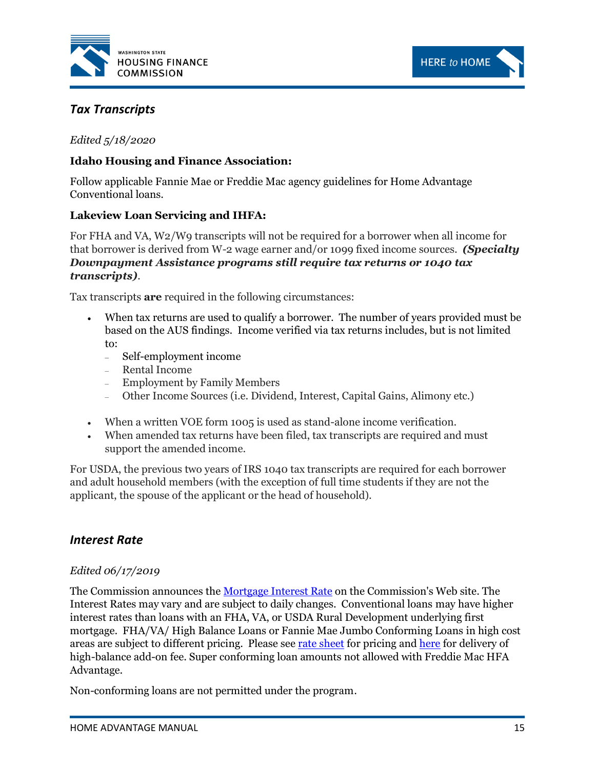



# <span id="page-20-0"></span>*Tax Transcripts*

#### *Edited 5/18/2020*

#### **Idaho Housing and Finance Association:**

Follow applicable Fannie Mae or Freddie Mac agency guidelines for Home Advantage Conventional loans.

#### **Lakeview Loan Servicing and IHFA:**

For FHA and VA, W2/W9 transcripts will not be required for a borrower when all income for that borrower is derived from W-2 wage earner and/or 1099 fixed income sources. *(Specialty Downpayment Assistance programs still require tax returns or 1040 tax transcripts).*

Tax transcripts **are** required in the following circumstances:

- When tax returns are used to qualify a borrower. The number of years provided must be based on the AUS findings. Income verified via tax returns includes, but is not limited to:
	- Self-employment income
	- Rental Income
	- Employment by Family Members
	- Other Income Sources (i.e. Dividend, Interest, Capital Gains, Alimony etc.)
- When a written VOE form 1005 is used as stand-alone income verification.
- When amended tax returns have been filed, tax transcripts are required and must support the amended income.

For USDA, the previous two years of IRS 1040 tax transcripts are required for each borrower and adult household members (with the exception of full time students if they are not the applicant, the spouse of the applicant or the head of household).

# <span id="page-20-1"></span>*Interest Rate*

#### *Edited 06/17/2019*

The Commission announces the [Mortgage Interest Rate](http://www.wshfc.org/buyers/homeadvantage.htm) on the Commission's Web site. The Interest Rates may vary and are subject to daily changes. Conventional loans may have higher interest rates than loans with an FHA, VA, or USDA Rural Development underlying first mortgage. FHA/VA/ High Balance Loans or Fannie Mae Jumbo Conforming Loans in high cost areas are subject to different pricing. Please see [rate sheet](http://www.wshfc.org/buyers/HomeAdvantage.htm) for pricing an[d here](#page-21-3) for delivery of high-balance add-on fee. Super conforming loan amounts not allowed with Freddie Mac HFA Advantage.

Non-conforming loans are not permitted under the program.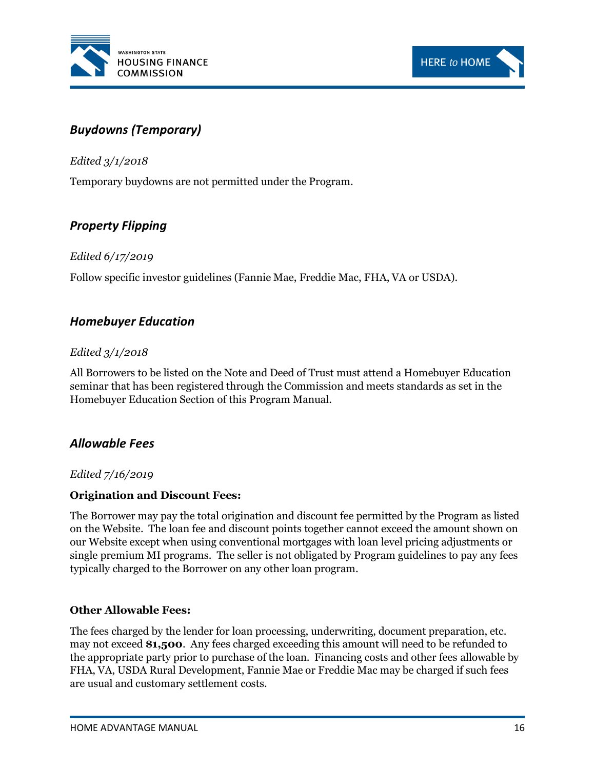



# <span id="page-21-0"></span>*Buydowns (Temporary)*

*Edited 3/1/2018*

Temporary buydowns are not permitted under the Program.

# <span id="page-21-1"></span>*Property Flipping*

#### *Edited 6/17/2019*

Follow specific investor guidelines (Fannie Mae, Freddie Mac, FHA, VA or USDA).

# <span id="page-21-2"></span>*Homebuyer Education*

#### *Edited 3/1/2018*

All Borrowers to be listed on the Note and Deed of Trust must attend a Homebuyer Education seminar that has been registered through the Commission and meets standards as set in the Homebuyer Education Section of this Program Manual.

# <span id="page-21-3"></span>*Allowable Fees*

#### *Edited 7/16/2019*

#### **Origination and Discount Fees:**

The Borrower may pay the total origination and discount fee permitted by the Program as listed on the Website. The loan fee and discount points together cannot exceed the amount shown on our Website except when using conventional mortgages with loan level pricing adjustments or single premium MI programs. The seller is not obligated by Program guidelines to pay any fees typically charged to the Borrower on any other loan program.

#### **Other Allowable Fees:**

The fees charged by the lender for loan processing, underwriting, document preparation, etc. may not exceed **\$1,500**. Any fees charged exceeding this amount will need to be refunded to the appropriate party prior to purchase of the loan. Financing costs and other fees allowable by FHA, VA, USDA Rural Development, Fannie Mae or Freddie Mac may be charged if such fees are usual and customary settlement costs.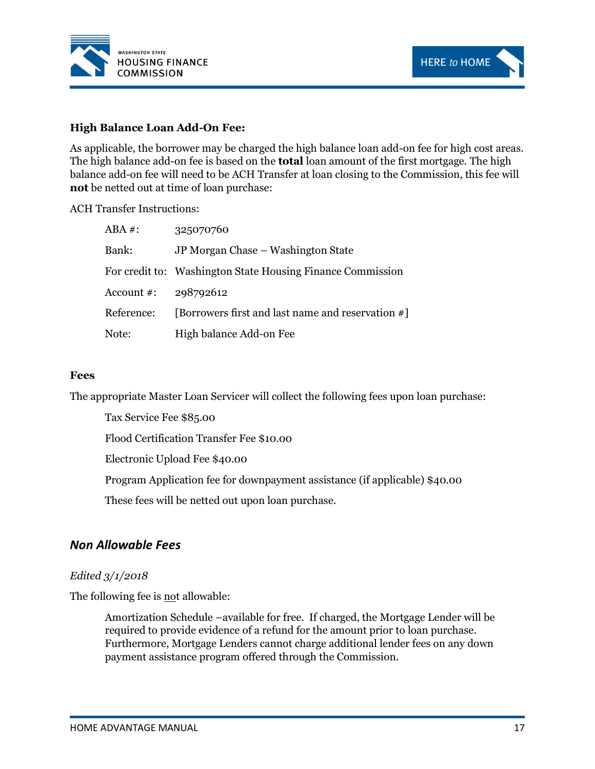



#### **High Balance Loan Add-On Fee:**

As applicable, the borrower may be charged the high balance loan add-on fee for high cost areas. The high balance add-on fee is based on the **total** loan amount of the first mortgage. The high balance add-on fee will need to be ACH Transfer at loan closing to the Commission, this fee will **not** be netted out at time of loan purchase:

#### ACH Transfer Instructions:

| $ABA$ #:   | 325070760                                                  |
|------------|------------------------------------------------------------|
| Bank:      | JP Morgan Chase – Washington State                         |
|            | For credit to: Washington State Housing Finance Commission |
| Account #: | 298792612                                                  |
| Reference: | [Borrowers first and last name and reservation #]          |
| Note:      | High balance Add-on Fee                                    |

#### **Fees**

The appropriate Master Loan Servicer will collect the following fees upon loan purchase:

Tax Service Fee \$85.00

Flood Certification Transfer Fee \$10.00

Electronic Upload Fee \$40.00

Program Application fee for downpayment assistance (if applicable) \$40.00

These fees will be netted out upon loan purchase.

#### <span id="page-22-0"></span>*Non Allowable Fees*

#### *Edited 3/1/2018*

The following fee is not allowable:

Amortization Schedule –available for free. If charged, the Mortgage Lender will be required to provide evidence of a refund for the amount prior to loan purchase. Furthermore, Mortgage Lenders cannot charge additional lender fees on any down payment assistance program offered through the Commission.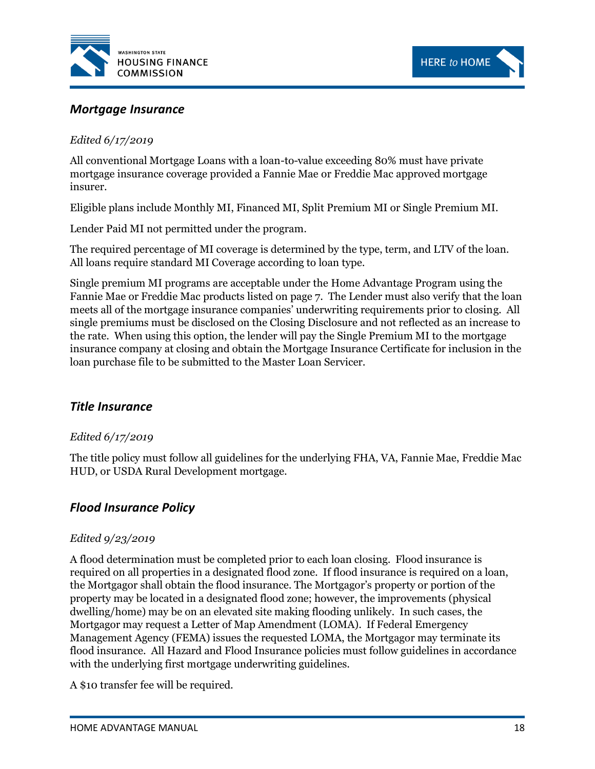



### <span id="page-23-0"></span>*Mortgage Insurance*

#### *Edited 6/17/2019*

All conventional Mortgage Loans with a loan-to-value exceeding 80% must have private mortgage insurance coverage provided a Fannie Mae or Freddie Mac approved mortgage insurer.

Eligible plans include Monthly MI, Financed MI, Split Premium MI or Single Premium MI.

Lender Paid MI not permitted under the program.

The required percentage of MI coverage is determined by the type, term, and LTV of the loan. All loans require standard MI Coverage according to loan type.

Single premium MI programs are acceptable under the Home Advantage Program using the Fannie Mae or Freddie Mac products listed on page 7. The Lender must also verify that the loan meets all of the mortgage insurance companies' underwriting requirements prior to closing. All single premiums must be disclosed on the Closing Disclosure and not reflected as an increase to the rate. When using this option, the lender will pay the Single Premium MI to the mortgage insurance company at closing and obtain the Mortgage Insurance Certificate for inclusion in the loan purchase file to be submitted to the Master Loan Servicer.

#### <span id="page-23-1"></span>*Title Insurance*

#### *Edited 6/17/2019*

The title policy must follow all guidelines for the underlying FHA, VA, Fannie Mae, Freddie Mac HUD, or USDA Rural Development mortgage.

#### <span id="page-23-2"></span>*Flood Insurance Policy*

#### *Edited 9/23/2019*

A flood determination must be completed prior to each loan closing. Flood insurance is required on all properties in a designated flood zone. If flood insurance is required on a loan, the Mortgagor shall obtain the flood insurance. The Mortgagor's property or portion of the property may be located in a designated flood zone; however, the improvements (physical dwelling/home) may be on an elevated site making flooding unlikely. In such cases, the Mortgagor may request a Letter of Map Amendment (LOMA). If Federal Emergency Management Agency (FEMA) issues the requested LOMA, the Mortgagor may terminate its flood insurance. All Hazard and Flood Insurance policies must follow guidelines in accordance with the underlying first mortgage underwriting guidelines.

A \$10 transfer fee will be required.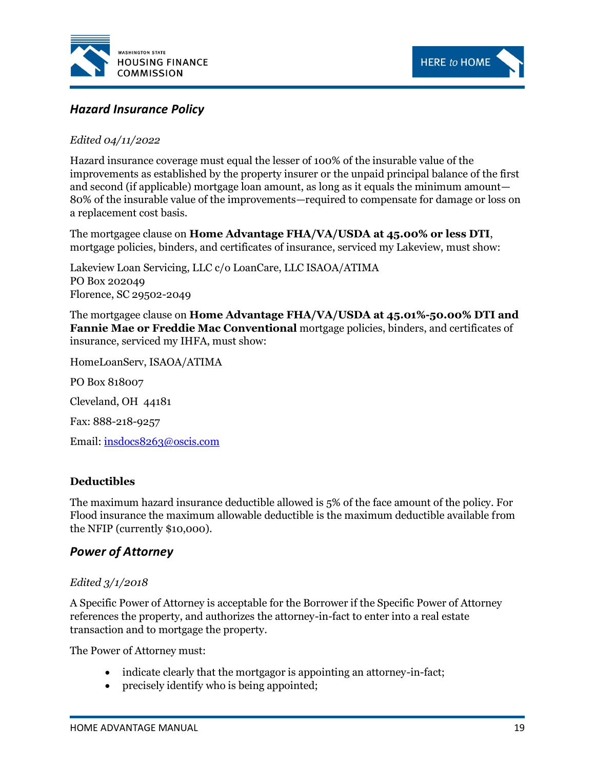



# <span id="page-24-0"></span>*Hazard Insurance Policy*

#### *Edited 04/11/2022*

Hazard insurance coverage must equal the lesser of 100% of the insurable value of the improvements as established by the property insurer or the unpaid principal balance of the first and second (if applicable) mortgage loan amount, as long as it equals the minimum amount— 80% of the insurable value of the improvements—required to compensate for damage or loss on a replacement cost basis.

The mortgagee clause on **Home Advantage FHA/VA/USDA at 45.00% or less DTI**, mortgage policies, binders, and certificates of insurance, serviced my Lakeview, must show:

Lakeview Loan Servicing, LLC c/o LoanCare, LLC ISAOA/ATIMA PO Box 202049 Florence, SC 29502-2049

The mortgagee clause on **Home Advantage FHA/VA/USDA at 45.01%-50.00% DTI and Fannie Mae or Freddie Mac Conventional** mortgage policies, binders, and certificates of insurance, serviced my IHFA, must show:

HomeLoanServ, ISAOA/ATIMA

PO Box 818007

Cleveland, OH 44181

Fax: 888-218-9257

Email: [insdocs8263@oscis.com](mailto:insdocs8263@oscis.com)

#### **Deductibles**

The maximum hazard insurance deductible allowed is 5% of the face amount of the policy. For Flood insurance the maximum allowable deductible is the maximum deductible available from the NFIP (currently \$10,000).

#### <span id="page-24-1"></span>*Power of Attorney*

#### *Edited 3/1/2018*

A Specific Power of Attorney is acceptable for the Borrower if the Specific Power of Attorney references the property, and authorizes the attorney-in-fact to enter into a real estate transaction and to mortgage the property.

The Power of Attorney must:

- indicate clearly that the mortgagor is appointing an attorney-in-fact;
- precisely identify who is being appointed;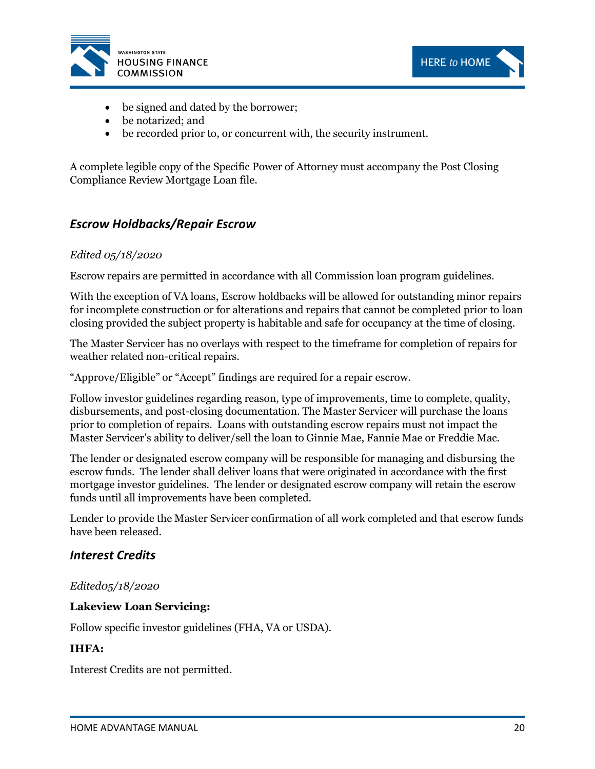



- be signed and dated by the borrower;
- be notarized; and
- be recorded prior to, or concurrent with, the security instrument.

A complete legible copy of the Specific Power of Attorney must accompany the Post Closing Compliance Review Mortgage Loan file.

# <span id="page-25-0"></span>*Escrow Holdbacks/Repair Escrow*

#### *Edited 05/18/2020*

Escrow repairs are permitted in accordance with all Commission loan program guidelines.

With the exception of VA loans, Escrow holdbacks will be allowed for outstanding minor repairs for incomplete construction or for alterations and repairs that cannot be completed prior to loan closing provided the subject property is habitable and safe for occupancy at the time of closing.

The Master Servicer has no overlays with respect to the timeframe for completion of repairs for weather related non-critical repairs.

"Approve/Eligible" or "Accept" findings are required for a repair escrow.

Follow investor guidelines regarding reason, type of improvements, time to complete, quality, disbursements, and post-closing documentation. The Master Servicer will purchase the loans prior to completion of repairs. Loans with outstanding escrow repairs must not impact the Master Servicer's ability to deliver/sell the loan to Ginnie Mae, Fannie Mae or Freddie Mac.

The lender or designated escrow company will be responsible for managing and disbursing the escrow funds. The lender shall deliver loans that were originated in accordance with the first mortgage investor guidelines. The lender or designated escrow company will retain the escrow funds until all improvements have been completed.

Lender to provide the Master Servicer confirmation of all work completed and that escrow funds have been released.

#### <span id="page-25-1"></span>*Interest Credits*

#### *Edited05/18/2020*

#### **Lakeview Loan Servicing:**

Follow specific investor guidelines (FHA, VA or USDA).

#### **IHFA:**

Interest Credits are not permitted.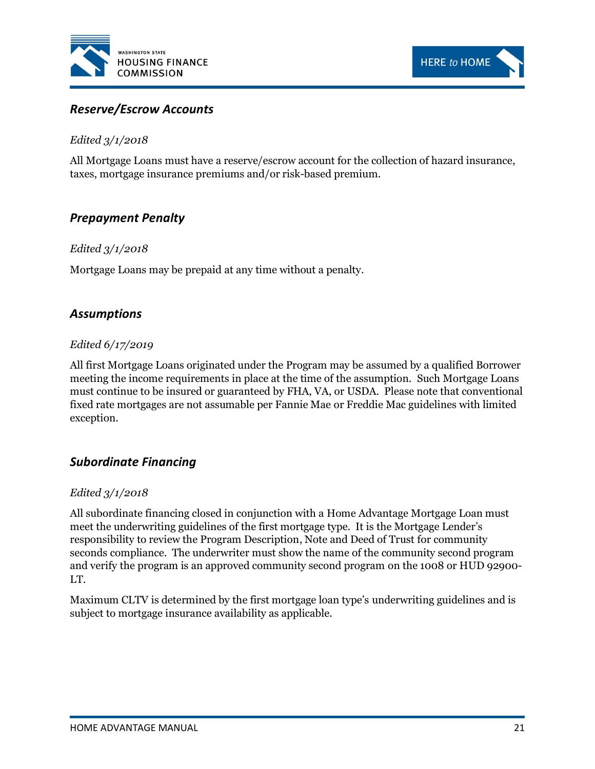



### <span id="page-26-0"></span>*Reserve/Escrow Accounts*

#### *Edited 3/1/2018*

All Mortgage Loans must have a reserve/escrow account for the collection of hazard insurance, taxes, mortgage insurance premiums and/or risk-based premium.

# <span id="page-26-1"></span>*Prepayment Penalty*

#### *Edited 3/1/2018*

Mortgage Loans may be prepaid at any time without a penalty.

# <span id="page-26-2"></span>*Assumptions*

#### *Edited 6/17/2019*

All first Mortgage Loans originated under the Program may be assumed by a qualified Borrower meeting the income requirements in place at the time of the assumption. Such Mortgage Loans must continue to be insured or guaranteed by FHA, VA, or USDA. Please note that conventional fixed rate mortgages are not assumable per Fannie Mae or Freddie Mac guidelines with limited exception.

#### <span id="page-26-3"></span>*Subordinate Financing*

#### *Edited 3/1/2018*

All subordinate financing closed in conjunction with a Home Advantage Mortgage Loan must meet the underwriting guidelines of the first mortgage type. It is the Mortgage Lender's responsibility to review the Program Description, Note and Deed of Trust for community seconds compliance. The underwriter must show the name of the community second program and verify the program is an approved community second program on the 1008 or HUD 92900- LT.

Maximum CLTV is determined by the first mortgage loan type's underwriting guidelines and is subject to mortgage insurance availability as applicable.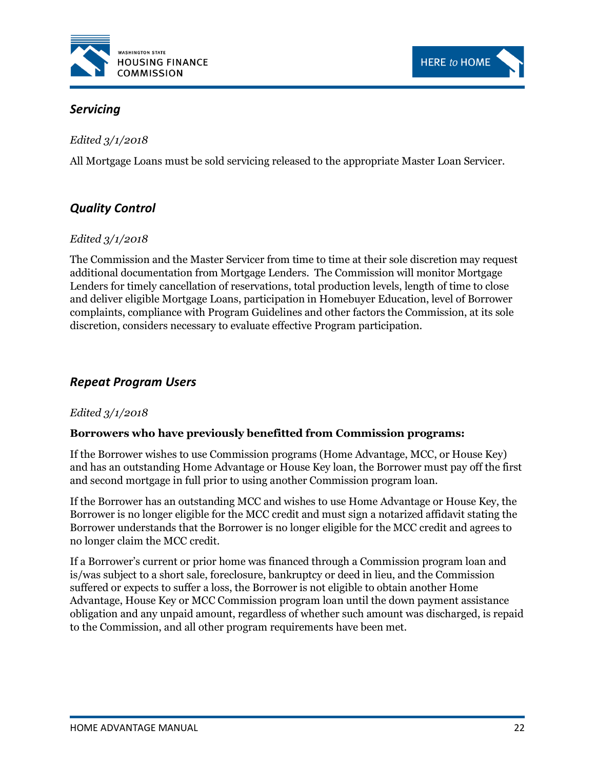



# <span id="page-27-0"></span>*Servicing*

*Edited 3/1/2018*

All Mortgage Loans must be sold servicing released to the appropriate Master Loan Servicer.

# <span id="page-27-1"></span>*Quality Control*

#### *Edited 3/1/2018*

The Commission and the Master Servicer from time to time at their sole discretion may request additional documentation from Mortgage Lenders. The Commission will monitor Mortgage Lenders for timely cancellation of reservations, total production levels, length of time to close and deliver eligible Mortgage Loans, participation in Homebuyer Education, level of Borrower complaints, compliance with Program Guidelines and other factors the Commission, at its sole discretion, considers necessary to evaluate effective Program participation.

# <span id="page-27-2"></span>*Repeat Program Users*

#### *Edited 3/1/2018*

#### **Borrowers who have previously benefitted from Commission programs:**

If the Borrower wishes to use Commission programs (Home Advantage, MCC, or House Key) and has an outstanding Home Advantage or House Key loan, the Borrower must pay off the first and second mortgage in full prior to using another Commission program loan.

If the Borrower has an outstanding MCC and wishes to use Home Advantage or House Key, the Borrower is no longer eligible for the MCC credit and must sign a notarized affidavit stating the Borrower understands that the Borrower is no longer eligible for the MCC credit and agrees to no longer claim the MCC credit.

If a Borrower's current or prior home was financed through a Commission program loan and is/was subject to a short sale, foreclosure, bankruptcy or deed in lieu, and the Commission suffered or expects to suffer a loss, the Borrower is not eligible to obtain another Home Advantage, House Key or MCC Commission program loan until the down payment assistance obligation and any unpaid amount, regardless of whether such amount was discharged, is repaid to the Commission, and all other program requirements have been met.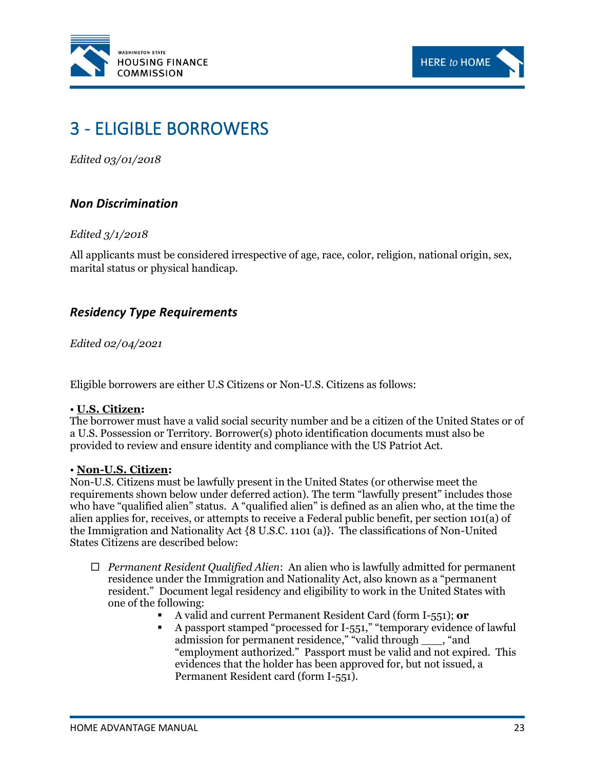



# <span id="page-28-0"></span>3 - ELIGIBLE BORROWERS

*Edited 03/01/2018*

# <span id="page-28-1"></span>*Non Discrimination*

#### *Edited 3/1/2018*

All applicants must be considered irrespective of age, race, color, religion, national origin, sex, marital status or physical handicap.

# <span id="page-28-2"></span>*Residency Type Requirements*

*Edited 02/04/2021*

Eligible borrowers are either U.S Citizens or Non-U.S. Citizens as follows:

#### • **U.S. Citizen:**

The borrower must have a valid social security number and be a citizen of the United States or of a U.S. Possession or Territory. Borrower(s) photo identification documents must also be provided to review and ensure identity and compliance with the US Patriot Act.

#### • **Non-U.S. Citizen:**

Non-U.S. Citizens must be lawfully present in the United States (or otherwise meet the requirements shown below under deferred action). The term "lawfully present" includes those who have "qualified alien" status. A "qualified alien" is defined as an alien who, at the time the alien applies for, receives, or attempts to receive a Federal public benefit, per section 101(a) of the Immigration and Nationality Act {8 U.S.C. 1101 (a)}. The classifications of Non-United States Citizens are described below:

- *Permanent Resident Qualified Alien*: An alien who is lawfully admitted for permanent residence under the Immigration and Nationality Act, also known as a "permanent resident." Document legal residency and eligibility to work in the United States with one of the following:
	- A valid and current Permanent Resident Card (form I-551); **or**
	- A passport stamped "processed for I-551," "temporary evidence of lawful admission for permanent residence," "valid through \_\_\_, "and "employment authorized." Passport must be valid and not expired. This evidences that the holder has been approved for, but not issued, a Permanent Resident card (form I-551).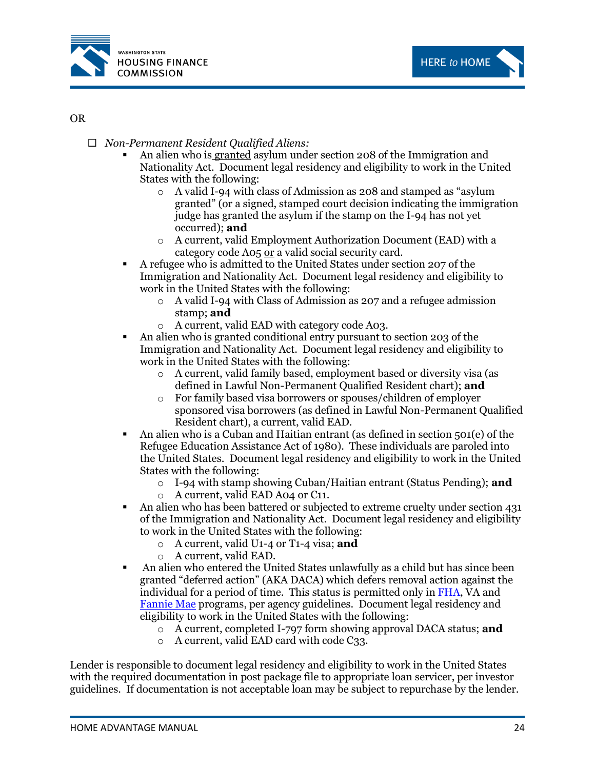



#### OR

- *Non-Permanent Resident Qualified Aliens:*
	- An alien who is granted asylum under section 208 of the Immigration and Nationality Act. Document legal residency and eligibility to work in the United States with the following:
		- o A valid I-94 with class of Admission as 208 and stamped as "asylum granted" (or a signed, stamped court decision indicating the immigration judge has granted the asylum if the stamp on the I-94 has not yet occurred); **and**
		- o A current, valid Employment Authorization Document (EAD) with a category code A05 or a valid social security card.
	- A refugee who is admitted to the United States under section 207 of the Immigration and Nationality Act. Document legal residency and eligibility to work in the United States with the following:
		- o A valid I-94 with Class of Admission as 207 and a refugee admission stamp; **and**
		- o A current, valid EAD with category code A03.
	- An alien who is granted conditional entry pursuant to section 203 of the Immigration and Nationality Act. Document legal residency and eligibility to work in the United States with the following:
		- o A current, valid family based, employment based or diversity visa (as defined in Lawful Non-Permanent Qualified Resident chart); **and**
		- o For family based visa borrowers or spouses/children of employer sponsored visa borrowers (as defined in Lawful Non-Permanent Qualified Resident chart), a current, valid EAD.
	- An alien who is a Cuban and Haitian entrant (as defined in section 501(e) of the Refugee Education Assistance Act of 1980). These individuals are paroled into the United States. Document legal residency and eligibility to work in the United States with the following:
		- o I-94 with stamp showing Cuban/Haitian entrant (Status Pending); **and**
		- o A current, valid EAD A04 or C11.
	- An alien who has been battered or subjected to extreme cruelty under section 431 of the Immigration and Nationality Act. Document legal residency and eligibility to work in the United States with the following:
		- o A current, valid U1-4 or T1-4 visa; **and**
		- o A current, valid EAD.
	- An alien who entered the United States unlawfully as a child but has since been granted "deferred action" (AKA DACA) which defers removal action against the individual for a period of time. This status is permitted only i[n FHA,](https://www.hud.gov/sites/dfiles/SFH/documents/SFH_FHA_INFO_21-04.pdf) VA and [Fannie Mae](https://singlefamily.fanniemae.com/media/7181/display) programs, per agency guidelines. Document legal residency and eligibility to work in the United States with the following:
		- o A current, completed I-797 form showing approval DACA status; **and**
		- o A current, valid EAD card with code C33.

Lender is responsible to document legal residency and eligibility to work in the United States with the required documentation in post package file to appropriate loan servicer, per investor guidelines. If documentation is not acceptable loan may be subject to repurchase by the lender.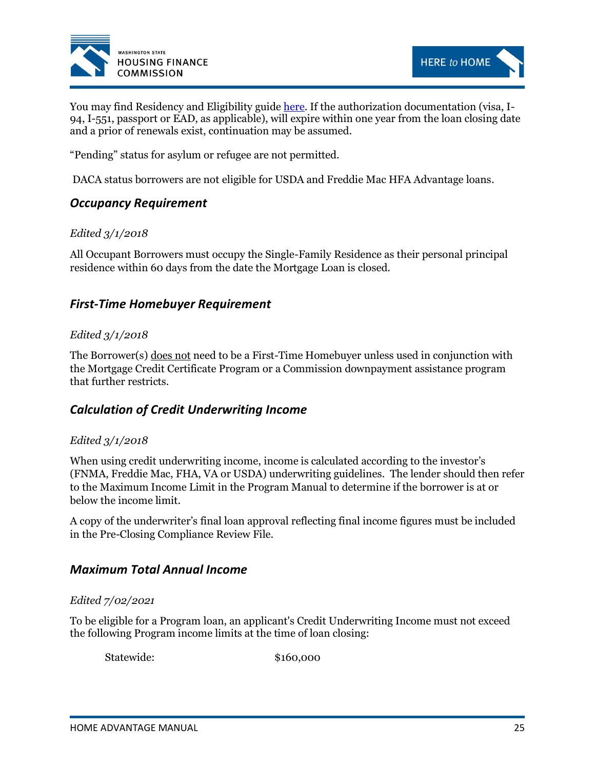



You may find Residency and Eligibility guide [here.](http://www.wshfc.org/sf/ReferencesCitizenship1.pdf) If the authorization documentation (visa, I-94, I-551, passport or EAD, as applicable), will expire within one year from the loan closing date and a prior of renewals exist, continuation may be assumed.

"Pending" status for asylum or refugee are not permitted.

DACA status borrowers are not eligible for USDA and Freddie Mac HFA Advantage loans.

# <span id="page-30-0"></span>*Occupancy Requirement*

#### *Edited 3/1/2018*

All Occupant Borrowers must occupy the Single-Family Residence as their personal principal residence within 60 days from the date the Mortgage Loan is closed.

# <span id="page-30-1"></span>*First-Time Homebuyer Requirement*

#### *Edited 3/1/2018*

The Borrower(s) does not need to be a First-Time Homebuyer unless used in conjunction with the Mortgage Credit Certificate Program or a Commission downpayment assistance program that further restricts.

# <span id="page-30-2"></span>*Calculation of Credit Underwriting Income*

#### *Edited 3/1/2018*

When using credit underwriting income, income is calculated according to the investor's (FNMA, Freddie Mac, FHA, VA or USDA) underwriting guidelines. The lender should then refer to the Maximum Income Limit in the Program Manual to determine if the borrower is at or below the income limit.

A copy of the underwriter's final loan approval reflecting final income figures must be included in the Pre-Closing Compliance Review File.

#### <span id="page-30-3"></span>*Maximum Total Annual Income*

#### *Edited 7/02/2021*

To be eligible for a Program loan, an applicant's Credit Underwriting Income must not exceed the following Program income limits at the time of loan closing:

Statewide: \$160,000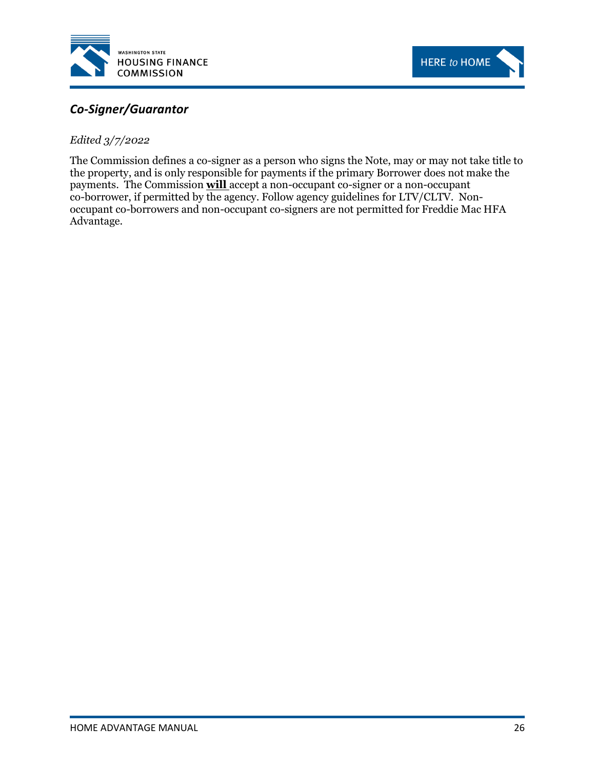



# <span id="page-31-0"></span>*Co-Signer/Guarantor*

*Edited 3/7/2022*

The Commission defines a co-signer as a person who signs the Note, may or may not take title to the property, and is only responsible for payments if the primary Borrower does not make the payments. The Commission **will** accept a non-occupant co-signer or a non-occupant co-borrower, if permitted by the agency. Follow agency guidelines for LTV/CLTV. Nonoccupant co-borrowers and non-occupant co-signers are not permitted for Freddie Mac HFA Advantage.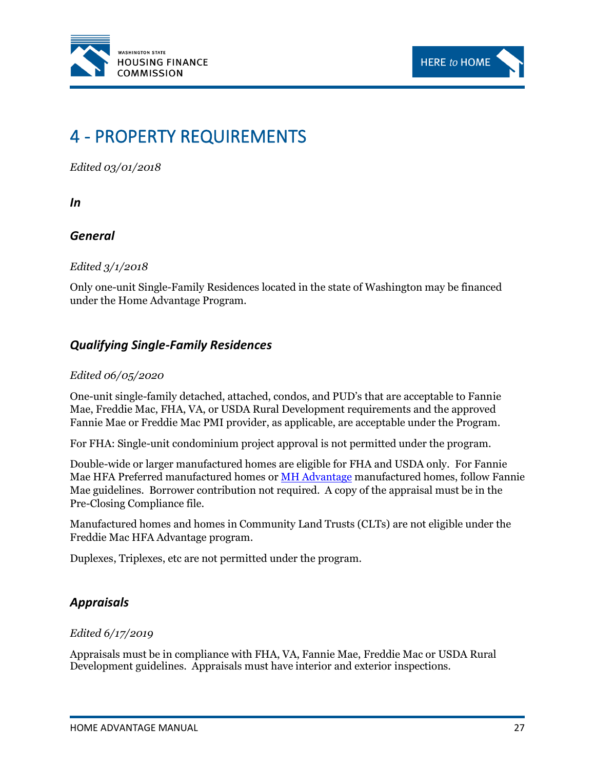



# <span id="page-32-0"></span>4 - PROPERTY REQUIREMENTS

*Edited 03/01/2018*

<span id="page-32-1"></span>*In* 

# *General*

*Edited 3/1/2018*

Only one-unit Single-Family Residences located in the state of Washington may be financed under the Home Advantage Program.

# <span id="page-32-2"></span>*Qualifying Single-Family Residences*

#### *Edited 06/05/2020*

One-unit single-family detached, attached, condos, and PUD's that are acceptable to Fannie Mae, Freddie Mac, FHA, VA, or USDA Rural Development requirements and the approved Fannie Mae or Freddie Mac PMI provider, as applicable, are acceptable under the Program.

For FHA: Single-unit condominium project approval is not permitted under the program.

Double-wide or larger manufactured homes are eligible for FHA and USDA only. For Fannie Mae HFA Preferred manufactured homes or [MH Advantage](https://www.fanniemae.com/singlefamily/manufactured-homes#!) manufactured homes, follow Fannie Mae guidelines. Borrower contribution not required. A copy of the appraisal must be in the Pre-Closing Compliance file.

Manufactured homes and homes in Community Land Trusts (CLTs) are not eligible under the Freddie Mac HFA Advantage program.

Duplexes, Triplexes, etc are not permitted under the program.

# <span id="page-32-3"></span>*Appraisals*

#### *Edited 6/17/2019*

Appraisals must be in compliance with FHA, VA, Fannie Mae, Freddie Mac or USDA Rural Development guidelines. Appraisals must have interior and exterior inspections.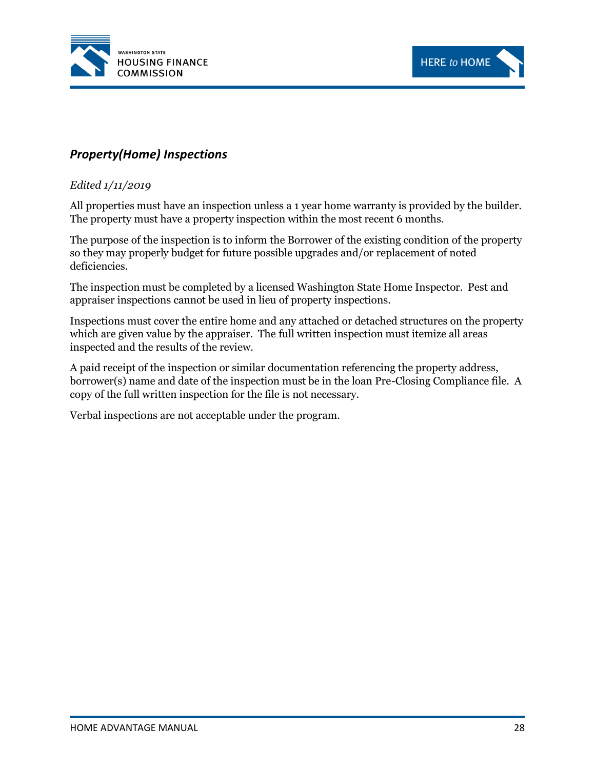



# <span id="page-33-0"></span>*Property(Home) Inspections*

#### *Edited 1/11/2019*

All properties must have an inspection unless a 1 year home warranty is provided by the builder. The property must have a property inspection within the most recent 6 months.

The purpose of the inspection is to inform the Borrower of the existing condition of the property so they may properly budget for future possible upgrades and/or replacement of noted deficiencies.

The inspection must be completed by a licensed Washington State Home Inspector. Pest and appraiser inspections cannot be used in lieu of property inspections.

Inspections must cover the entire home and any attached or detached structures on the property which are given value by the appraiser. The full written inspection must itemize all areas inspected and the results of the review.

A paid receipt of the inspection or similar documentation referencing the property address, borrower(s) name and date of the inspection must be in the loan Pre-Closing Compliance file. A copy of the full written inspection for the file is not necessary.

Verbal inspections are not acceptable under the program.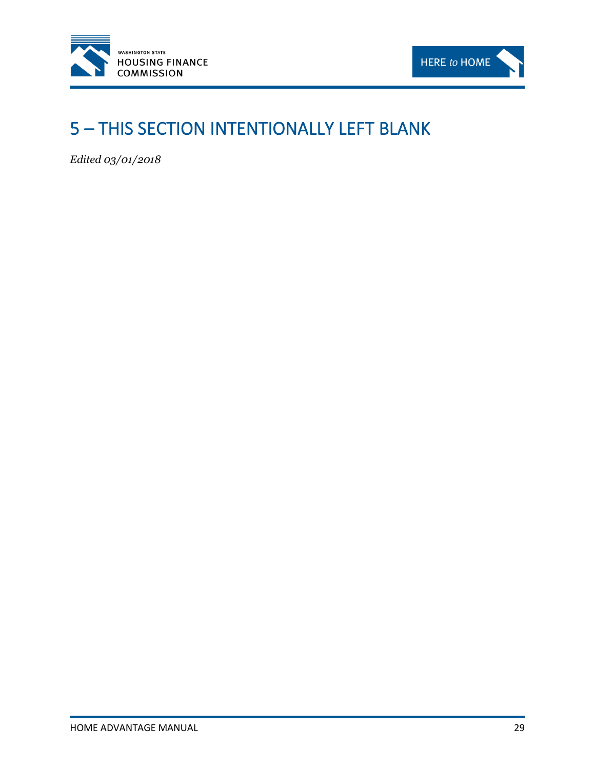



# <span id="page-34-0"></span>5 – THIS SECTION INTENTIONALLY LEFT BLANK

*Edited 03/01/2018*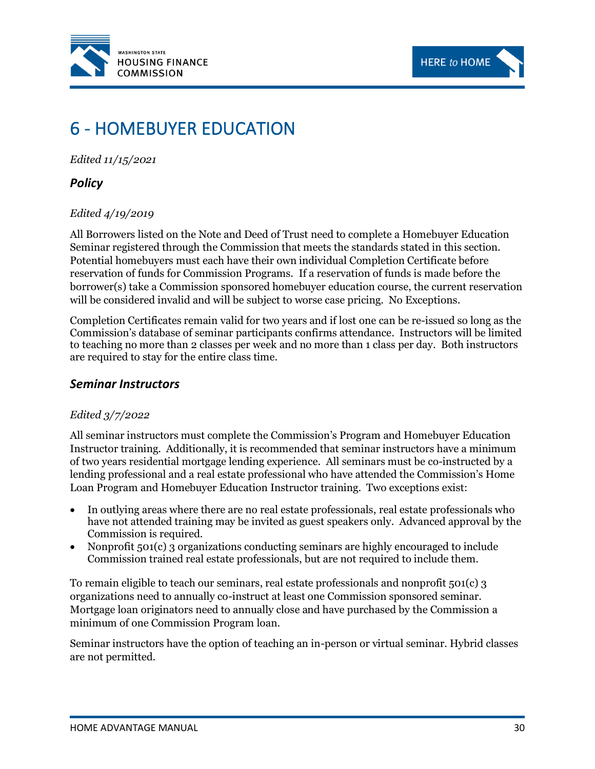



# <span id="page-35-0"></span>6 - HOMEBUYER EDUCATION

*Edited 11/15/2021*

# <span id="page-35-1"></span>*Policy*

#### *Edited 4/19/2019*

All Borrowers listed on the Note and Deed of Trust need to complete a Homebuyer Education Seminar registered through the Commission that meets the standards stated in this section. Potential homebuyers must each have their own individual Completion Certificate before reservation of funds for Commission Programs. If a reservation of funds is made before the borrower(s) take a Commission sponsored homebuyer education course, the current reservation will be considered invalid and will be subject to worse case pricing. No Exceptions.

Completion Certificates remain valid for two years and if lost one can be re-issued so long as the Commission's database of seminar participants confirms attendance. Instructors will be limited to teaching no more than 2 classes per week and no more than 1 class per day. Both instructors are required to stay for the entire class time.

#### <span id="page-35-2"></span>*Seminar Instructors*

#### *Edited 3/7/2022*

All seminar instructors must complete the Commission's Program and Homebuyer Education Instructor training. Additionally, it is recommended that seminar instructors have a minimum of two years residential mortgage lending experience. All seminars must be co-instructed by a lending professional and a real estate professional who have attended the Commission's Home Loan Program and Homebuyer Education Instructor training. Two exceptions exist:

- In outlying areas where there are no real estate professionals, real estate professionals who have not attended training may be invited as guest speakers only. Advanced approval by the Commission is required.
- Nonprofit 501(c) 3 organizations conducting seminars are highly encouraged to include Commission trained real estate professionals, but are not required to include them.

To remain eligible to teach our seminars, real estate professionals and nonprofit 501(c) 3 organizations need to annually co-instruct at least one Commission sponsored seminar. Mortgage loan originators need to annually close and have purchased by the Commission a minimum of one Commission Program loan.

Seminar instructors have the option of teaching an in-person or virtual seminar. Hybrid classes are not permitted.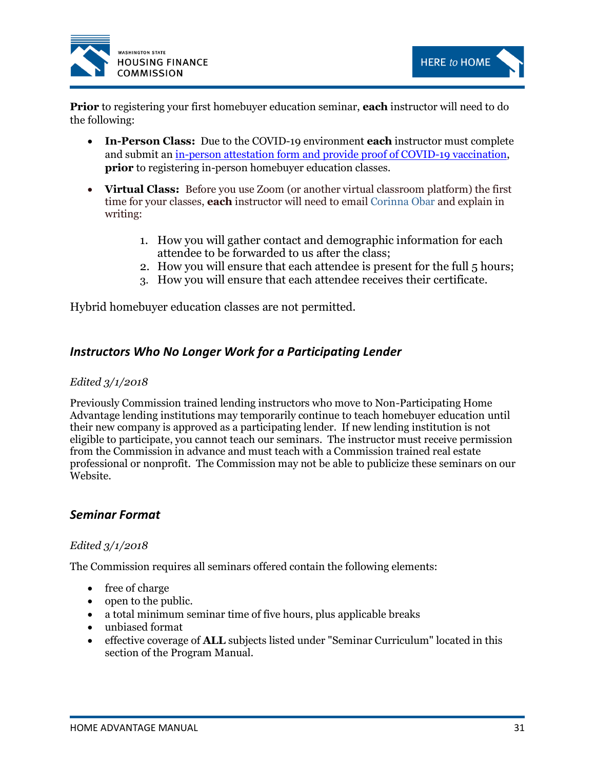



**Prior** to registering your first homebuyer education seminar, **each** instructor will need to do the following:

- **In-Person Class:** Due to the COVID-19 environment **each** instructor must complete and submit an [in-person attestation form and provide proof of COVID-19 vaccination,](https://www.jotform.com/build/211946366088061) **prior** to registering in-person homebuyer education classes.
- **Virtual Class:** Before you use Zoom (or another virtual classroom platform) the first time for your classes, **each** instructor will need to email [Corinna Obar](mailto:corinna.obar@wshfc.org) and explain in writing:
	- 1. How you will gather contact and demographic information for each attendee to be forwarded to us after the class;
	- 2. How you will ensure that each attendee is present for the full 5 hours;
	- 3. How you will ensure that each attendee receives their certificate.

Hybrid homebuyer education classes are not permitted.

## *Instructors Who No Longer Work for a Participating Lender*

#### *Edited 3/1/2018*

Previously Commission trained lending instructors who move to Non-Participating Home Advantage lending institutions may temporarily continue to teach homebuyer education until their new company is approved as a participating lender. If new lending institution is not eligible to participate, you cannot teach our seminars. The instructor must receive permission from the Commission in advance and must teach with a Commission trained real estate professional or nonprofit. The Commission may not be able to publicize these seminars on our Website.

## *Seminar Format*

#### *Edited 3/1/2018*

The Commission requires all seminars offered contain the following elements:

- free of charge
- open to the public.
- a total minimum seminar time of five hours, plus applicable breaks
- unbiased format
- effective coverage of **ALL** subjects listed under "Seminar Curriculum" located in this section of the Program Manual.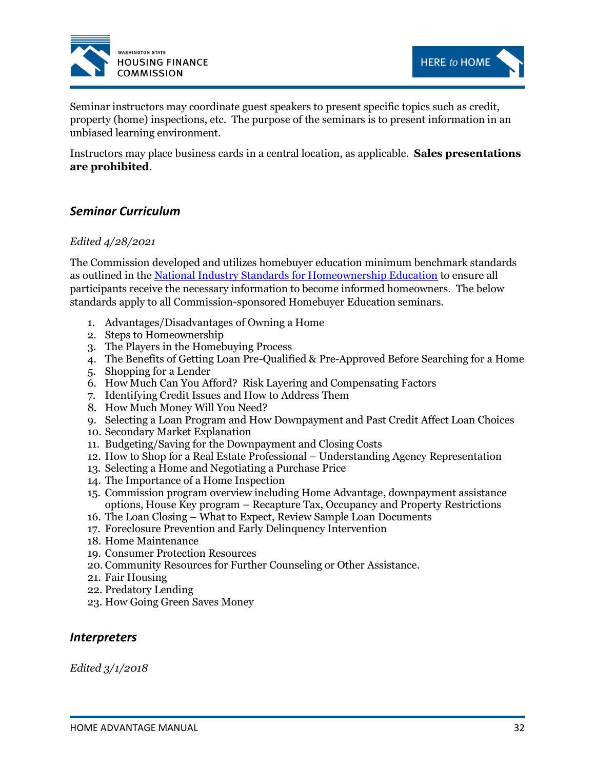



Seminar instructors may coordinate guest speakers to present specific topics such as credit, property (home) inspections, etc. The purpose of the seminars is to present information in an unbiased learning environment.

Instructors may place business cards in a central location, as applicable. **Sales presentations are prohibited**.

# *Seminar Curriculum*

#### *Edited 4/28/2021*

The Commission developed and utilizes homebuyer education minimum benchmark standards as outlined in th[e National Industry Standards](https://www.homeownershipstandards.org/Uploads/National%20Industry%20Standards%20booklet.pdf#page=8) for Homeownership Education to ensure all participants receive the necessary information to become informed homeowners. The below standards apply to all Commission-sponsored Homebuyer Education seminars.

- 1. Advantages/Disadvantages of Owning a Home
- 2. Steps to Homeownership
- 3. The Players in the Homebuying Process
- 4. The Benefits of Getting Loan Pre-Qualified & Pre-Approved Before Searching for a Home
- 5. Shopping for a Lender
- 6. How Much Can You Afford? Risk Layering and Compensating Factors
- 7. Identifying Credit Issues and How to Address Them
- 8. How Much Money Will You Need?
- 9. Selecting a Loan Program and How Downpayment and Past Credit Affect Loan Choices
- 10. Secondary Market Explanation
- 11. Budgeting/Saving for the Downpayment and Closing Costs
- 12. How to Shop for a Real Estate Professional Understanding Agency Representation
- 13. Selecting a Home and Negotiating a Purchase Price
- 14. The Importance of a Home Inspection
- 15. Commission program overview including Home Advantage, downpayment assistance options, House Key program – Recapture Tax, Occupancy and Property Restrictions
- 16. The Loan Closing What to Expect, Review Sample Loan Documents
- 17. Foreclosure Prevention and Early Delinquency Intervention
- 18. Home Maintenance
- 19. Consumer Protection Resources
- 20. Community Resources for Further Counseling or Other Assistance.
- 21. Fair Housing
- 22. Predatory Lending
- 23. How Going Green Saves Money

#### *Interpreters*

*Edited 3/1/2018*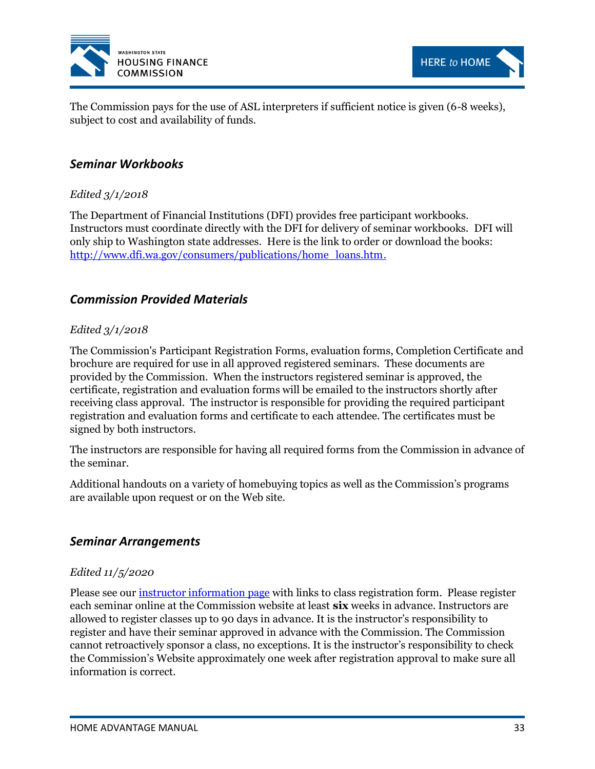



The Commission pays for the use of ASL interpreters if sufficient notice is given (6-8 weeks), subject to cost and availability of funds.

# *Seminar Workbooks*

## *Edited 3/1/2018*

The Department of Financial Institutions (DFI) provides free participant workbooks. Instructors must coordinate directly with the DFI for delivery of seminar workbooks. DFI will only ship to Washington state addresses. Here is the link to order or download the books: [http://www.dfi.wa.gov/consumers/publications/home\\_loans.htm.](http://www.dfi.wa.gov/consumers/publications/home_loans.htm)

# *Commission Provided Materials*

#### *Edited 3/1/2018*

The Commission's Participant Registration Forms, evaluation forms, Completion Certificate and brochure are required for use in all approved registered seminars. These documents are provided by the Commission. When the instructors registered seminar is approved, the certificate, registration and evaluation forms will be emailed to the instructors shortly after receiving class approval. The instructor is responsible for providing the required participant registration and evaluation forms and certificate to each attendee. The certificates must be signed by both instructors.

The instructors are responsible for having all required forms from the Commission in advance of the seminar.

Additional handouts on a variety of homebuying topics as well as the Commission's programs are available upon request or on the Web site.

## *Seminar Arrangements*

#### *Edited 11/5/2020*

Please see our *instructor information page* with links to class registration form. Please register each seminar online at the Commission website at least **six** weeks in advance. Instructors are allowed to register classes up to 90 days in advance. It is the instructor's responsibility to register and have their seminar approved in advance with the Commission. The Commission cannot retroactively sponsor a class, no exceptions. It is the instructor's responsibility to check the Commission's Website approximately one week after registration approval to make sure all information is correct.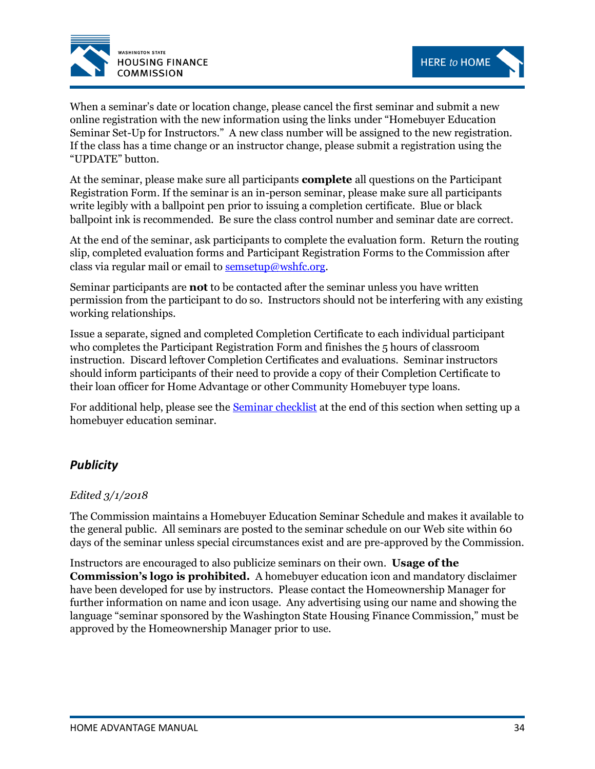



When a seminar's date or location change, please cancel the first seminar and submit a new online registration with the new information using the links under "Homebuyer Education Seminar Set-Up for Instructors." A new class number will be assigned to the new registration. If the class has a time change or an instructor change, please submit a registration using the "UPDATE" button.

At the seminar, please make sure all participants **complete** all questions on the Participant Registration Form. If the seminar is an in-person seminar, please make sure all participants write legibly with a ballpoint pen prior to issuing a completion certificate. Blue or black ballpoint ink is recommended. Be sure the class control number and seminar date are correct.

At the end of the seminar, ask participants to complete the evaluation form. Return the routing slip, completed evaluation forms and Participant Registration Forms to the Commission after class via regular mail or email to  $semsetup@wshfc.org$ .

Seminar participants are **not** to be contacted after the seminar unless you have written permission from the participant to do so. Instructors should not be interfering with any existing working relationships.

Issue a separate, signed and completed Completion Certificate to each individual participant who completes the Participant Registration Form and finishes the 5 hours of classroom instruction. Discard leftover Completion Certificates and evaluations. Seminar instructors should inform participants of their need to provide a copy of their Completion Certificate to their loan officer for Home Advantage or other Community Homebuyer type loans.

For additional help, please see the [Seminar checklist](#page-41-0) at the end of this section when setting up a homebuyer education seminar.

# *Publicity*

#### *Edited 3/1/2018*

The Commission maintains a Homebuyer Education Seminar Schedule and makes it available to the general public. All seminars are posted to the seminar schedule on our Web site within 60 days of the seminar unless special circumstances exist and are pre-approved by the Commission.

Instructors are encouraged to also publicize seminars on their own. **Usage of the Commission's logo is prohibited.** A homebuyer education icon and mandatory disclaimer have been developed for use by instructors. Please contact the Homeownership Manager for further information on name and icon usage. Any advertising using our name and showing the language "seminar sponsored by the Washington State Housing Finance Commission," must be approved by the Homeownership Manager prior to use.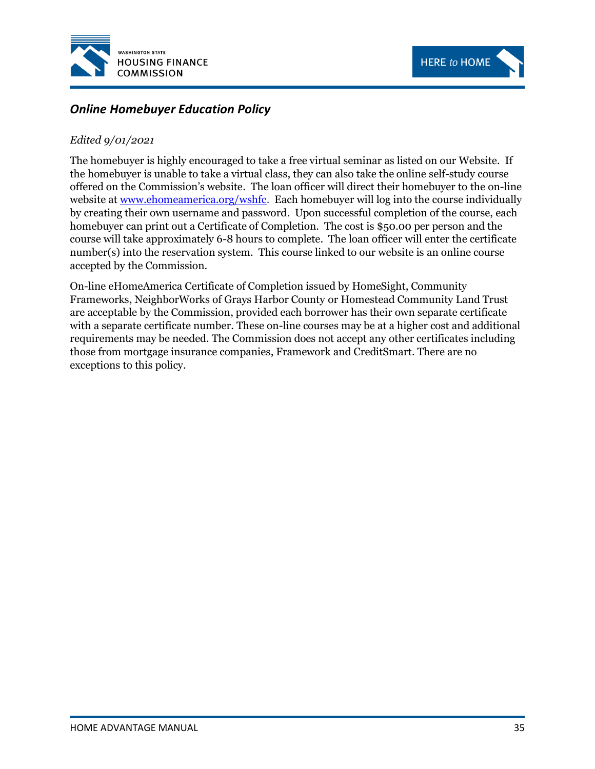



# *Online Homebuyer Education Policy*

### *Edited 9/01/2021*

The homebuyer is highly encouraged to take a free virtual seminar as listed on our Website. If the homebuyer is unable to take a virtual class, they can also take the online self-study course offered on the Commission's website. The loan officer will direct their homebuyer to the on-line website at [www.ehomeamerica.org/wshfc.](http://www.ehomeamerica.org/wshfc) Each homebuyer will log into the course individually by creating their own username and password. Upon successful completion of the course, each homebuyer can print out a Certificate of Completion. The cost is \$50.00 per person and the course will take approximately 6-8 hours to complete. The loan officer will enter the certificate number(s) into the reservation system. This course linked to our website is an online course accepted by the Commission.

On-line eHomeAmerica Certificate of Completion issued by HomeSight, Community Frameworks, NeighborWorks of Grays Harbor County or Homestead Community Land Trust are acceptable by the Commission, provided each borrower has their own separate certificate with a separate certificate number. These on-line courses may be at a higher cost and additional requirements may be needed. The Commission does not accept any other certificates including those from mortgage insurance companies, Framework and CreditSmart. There are no exceptions to this policy.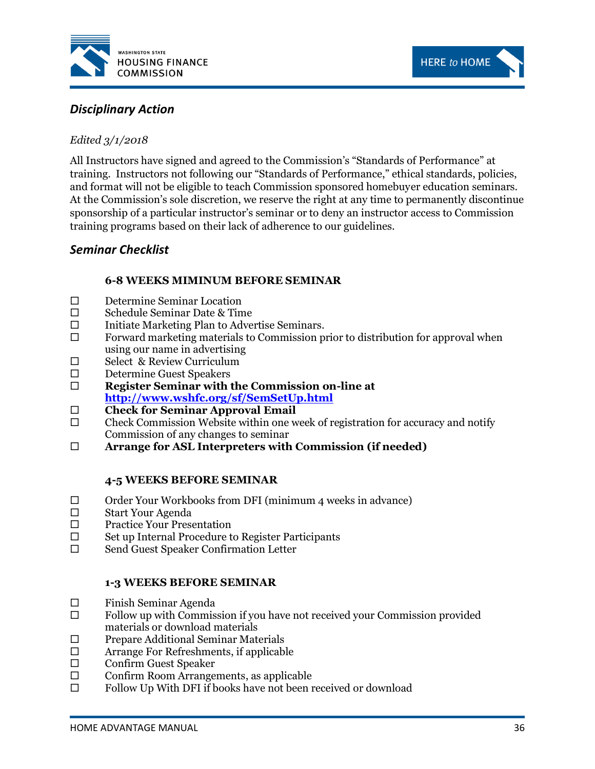



# *Disciplinary Action*

## *Edited 3/1/2018*

All Instructors have signed and agreed to the Commission's "Standards of Performance" at training. Instructors not following our "Standards of Performance," ethical standards, policies, and format will not be eligible to teach Commission sponsored homebuyer education seminars. At the Commission's sole discretion, we reserve the right at any time to permanently discontinue sponsorship of a particular instructor's seminar or to deny an instructor access to Commission training programs based on their lack of adherence to our guidelines.

# <span id="page-41-0"></span>*Seminar Checklist*

## **6-8 WEEKS MIMINUM BEFORE SEMINAR**

- D Determine Seminar Location
- Schedule Seminar Date & Time
- $\Box$  Initiate Marketing Plan to Advertise Seminars.
- $\Box$  Forward marketing materials to Commission prior to distribution for approval when using our name in advertising
- □ Select & Review Curriculum
- Determine Guest Speakers
- **Register Seminar with the Commission on-line at <http://www.wshfc.org/sf/SemSetUp.html>**
- **Check for Seminar Approval Email**
- $\square$  Check Commission Website within one week of registration for accuracy and notify Commission of any changes to seminar
- **Arrange for ASL Interpreters with Commission (if needed)**

#### **4-5 WEEKS BEFORE SEMINAR**

- $\Box$  Order Your Workbooks from DFI (minimum 4 weeks in advance)
- Start Your Agenda
- □ Practice Your Presentation
- $\square$  Set up Internal Procedure to Register Participants
- □ Send Guest Speaker Confirmation Letter

#### **1-3 WEEKS BEFORE SEMINAR**

- $\square$  Finish Seminar Agenda
- $\square$  Follow up with Commission if you have not received your Commission provided materials or download materials
- $\square$  Prepare Additional Seminar Materials
- □ Arrange For Refreshments, if applicable
- Confirm Guest Speaker
- $\Box$  Confirm Room Arrangements, as applicable
- $\square$  Follow Up With DFI if books have not been received or download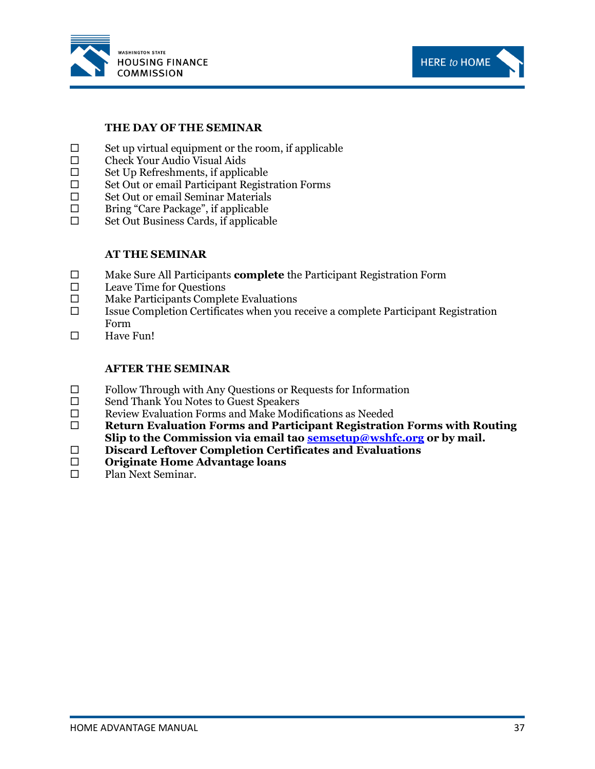



#### **THE DAY OF THE SEMINAR**

- $\square$  Set up virtual equipment or the room, if applicable  $\square$  Check Your Audio Visual Aids
- Check Your Audio Visual Aids
- $\square$  Set Up Refreshments, if applicable
- □ Set Out or email Participant Registration Forms
- $\square$  Set Out or email Seminar Materials
- $\square$  Bring "Care Package", if applicable
- $\square$  Set Out Business Cards, if applicable

#### **AT THE SEMINAR**

- Make Sure All Participants **complete** the Participant Registration Form
- $\square$  Leave Time for Questions
- $\square$  Make Participants Complete Evaluations
- $\square$  Issue Completion Certificates when you receive a complete Participant Registration Form
- $\Box$  Have Fun!

#### **AFTER THE SEMINAR**

- $\Box$  Follow Through with Any Questions or Requests for Information
- □ Send Thank You Notes to Guest Speakers
- $\square$  Review Evaluation Forms and Make Modifications as Needed
- **Return Evaluation Forms and Participant Registration Forms with Routing Slip to the Commission via email tao [semsetup@wshfc.org](mailto:semsetup@wshfc.org) or by mail.**
- **Discard Leftover Completion Certificates and Evaluations**
- **Originate Home Advantage loans**
- □ Plan Next Seminar.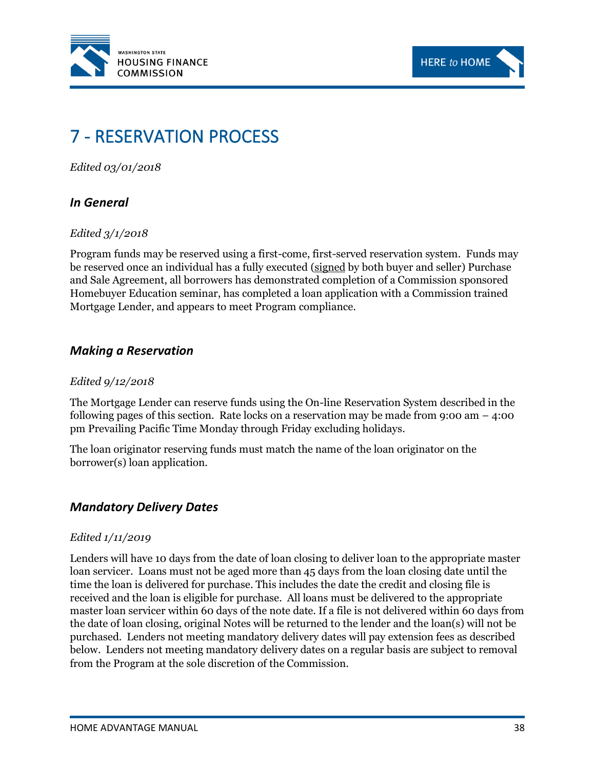



# 7 - RESERVATION PROCESS

*Edited 03/01/2018*

## *In General*

#### *Edited 3/1/2018*

Program funds may be reserved using a first-come, first-served reservation system.Funds may be reserved once an individual has a fully executed (signed by both buyer and seller) Purchase and Sale Agreement, all borrowers has demonstrated completion of a Commission sponsored Homebuyer Education seminar, has completed a loan application with a Commission trained Mortgage Lender, and appears to meet Program compliance.

# *Making a Reservation*

#### *Edited 9/12/2018*

The Mortgage Lender can reserve funds using the On-line Reservation System described in the following pages of this section. Rate locks on a reservation may be made from 9:00 am  $-$  4:00 pm Prevailing Pacific Time Monday through Friday excluding holidays.

The loan originator reserving funds must match the name of the loan originator on the borrower(s) loan application.

## *Mandatory Delivery Dates*

#### *Edited 1/11/2019*

Lenders will have 10 days from the date of loan closing to deliver loan to the appropriate master loan servicer. Loans must not be aged more than 45 days from the loan closing date until the time the loan is delivered for purchase. This includes the date the credit and closing file is received and the loan is eligible for purchase. All loans must be delivered to the appropriate master loan servicer within 60 days of the note date. If a file is not delivered within 60 days from the date of loan closing, original Notes will be returned to the lender and the loan(s) will not be purchased. Lenders not meeting mandatory delivery dates will pay extension fees as described below. Lenders not meeting mandatory delivery dates on a regular basis are subject to removal from the Program at the sole discretion of the Commission.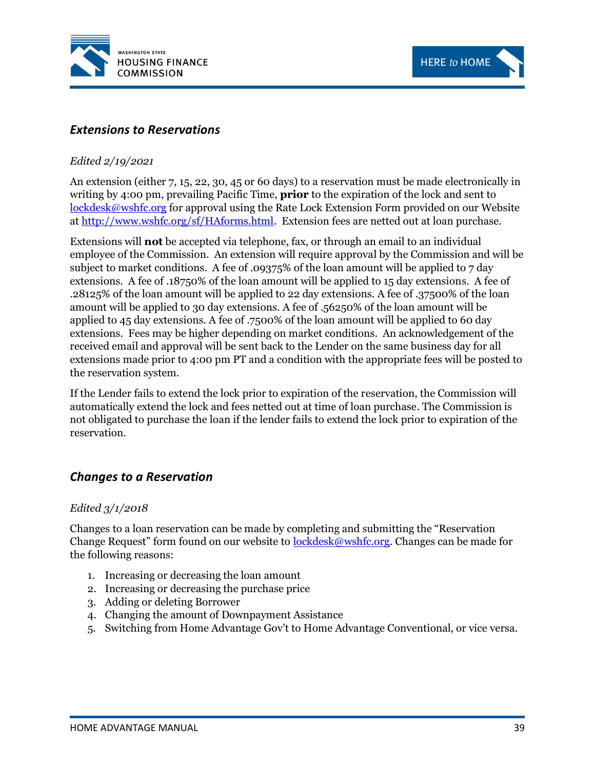



# *Extensions to Reservations*

#### *Edited 2/19/2021*

An extension (either 7, 15, 22, 30, 45 or 60 days) to a reservation must be made electronically in writing by 4:00 pm, prevailing Pacific Time, **prior** to the expiration of the lock and sent to [lockdesk@wshfc.org](mailto:lockdesk@wshfc.org) for approval using the Rate Lock Extension Form provided on our Website at [http://www.wshfc.org/sf/HAforms.html.](http://www.wshfc.org/sf/HAforms.html) Extension fees are netted out at loan purchase.

Extensions will **not** be accepted via telephone, fax, or through an email to an individual employee of the Commission. An extension will require approval by the Commission and will be subject to market conditions. A fee of .09375% of the loan amount will be applied to 7 day extensions. A fee of .18750% of the loan amount will be applied to 15 day extensions. A fee of .28125% of the loan amount will be applied to 22 day extensions. A fee of .37500% of the loan amount will be applied to 30 day extensions. A fee of .56250% of the loan amount will be applied to 45 day extensions. A fee of .7500% of the loan amount will be applied to 60 day extensions. Fees may be higher depending on market conditions. An acknowledgement of the received email and approval will be sent back to the Lender on the same business day for all extensions made prior to 4:00 pm PT and a condition with the appropriate fees will be posted to the reservation system.

If the Lender fails to extend the lock prior to expiration of the reservation, the Commission will automatically extend the lock and fees netted out at time of loan purchase. The Commission is not obligated to purchase the loan if the lender fails to extend the lock prior to expiration of the reservation.

# *Changes to a Reservation*

#### *Edited 3/1/2018*

Changes to a loan reservation can be made by completing and submitting the "Reservation Change Request" form found on our website to **lockdesk@wshfc.org**. Changes can be made for the following reasons:

- 1. Increasing or decreasing the loan amount
- 2. Increasing or decreasing the purchase price
- 3. Adding or deleting Borrower
- 4. Changing the amount of Downpayment Assistance
- 5. Switching from Home Advantage Gov't to Home Advantage Conventional, or vice versa.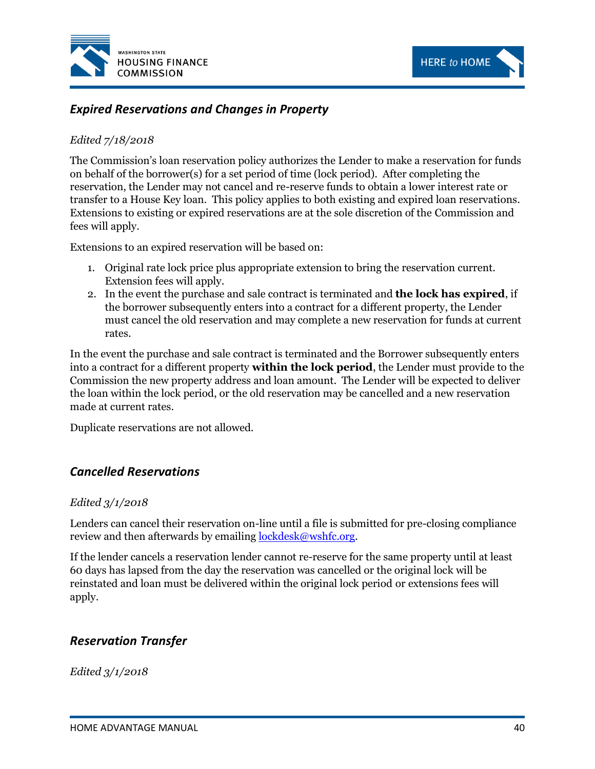



# *Expired Reservations and Changes in Property*

### *Edited 7/18/2018*

The Commission's loan reservation policy authorizes the Lender to make a reservation for funds on behalf of the borrower(s) for a set period of time (lock period). After completing the reservation, the Lender may not cancel and re-reserve funds to obtain a lower interest rate or transfer to a House Key loan. This policy applies to both existing and expired loan reservations. Extensions to existing or expired reservations are at the sole discretion of the Commission and fees will apply.

Extensions to an expired reservation will be based on:

- 1. Original rate lock price plus appropriate extension to bring the reservation current. Extension fees will apply.
- 2. In the event the purchase and sale contract is terminated and **the lock has expired**, if the borrower subsequently enters into a contract for a different property, the Lender must cancel the old reservation and may complete a new reservation for funds at current rates.

In the event the purchase and sale contract is terminated and the Borrower subsequently enters into a contract for a different property **within the lock period**, the Lender must provide to the Commission the new property address and loan amount. The Lender will be expected to deliver the loan within the lock period, or the old reservation may be cancelled and a new reservation made at current rates.

Duplicate reservations are not allowed.

## *Cancelled Reservations*

#### *Edited 3/1/2018*

Lenders can cancel their reservation on-line until a file is submitted for pre-closing compliance review and then afterwards by emailing [lockdesk@wshfc.org.](mailto:lockdesk@wshfc.org)

If the lender cancels a reservation lender cannot re-reserve for the same property until at least 60 days has lapsed from the day the reservation was cancelled or the original lock will be reinstated and loan must be delivered within the original lock period or extensions fees will apply.

# *Reservation Transfer*

*Edited 3/1/2018*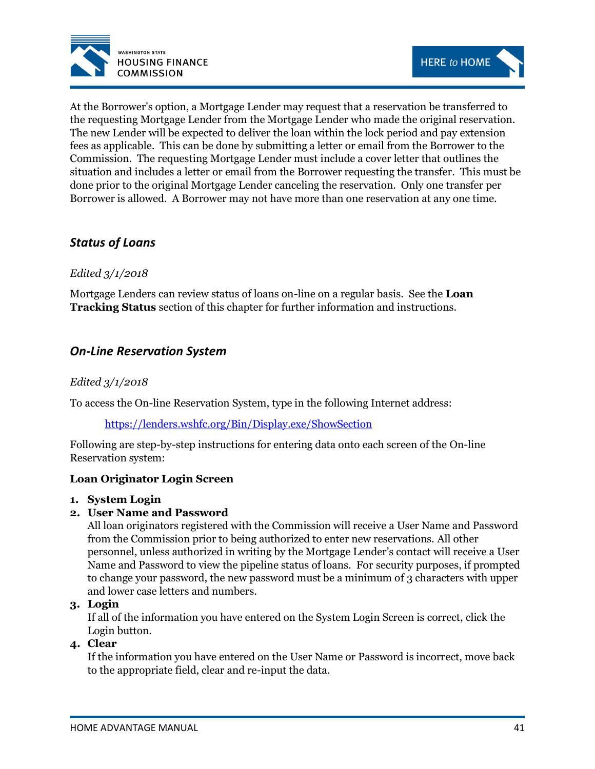



At the Borrower's option, a Mortgage Lender may request that a reservation be transferred to the requesting Mortgage Lender from the Mortgage Lender who made the original reservation. The new Lender will be expected to deliver the loan within the lock period and pay extension fees as applicable. This can be done by submitting a letter or email from the Borrower to the Commission. The requesting Mortgage Lender must include a cover letter that outlines the situation and includes a letter or email from the Borrower requesting the transfer. This must be done prior to the original Mortgage Lender canceling the reservation. Only one transfer per Borrower is allowed. A Borrower may not have more than one reservation at any one time.

# *Status of Loans*

## *Edited 3/1/2018*

Mortgage Lenders can review status of loans on-line on a regular basis. See the **Loan Tracking Status** section of this chapter for further information and instructions.

# *On-Line Reservation System*

### *Edited 3/1/2018*

To access the On-line Reservation System, type in the following Internet address:

#### <https://lenders.wshfc.org/Bin/Display.exe/ShowSection>

Following are step-by-step instructions for entering data onto each screen of the On-line Reservation system:

#### **Loan Originator Login Screen**

#### **1. System Login**

#### **2. User Name and Password**

All loan originators registered with the Commission will receive a User Name and Password from the Commission prior to being authorized to enter new reservations. All other personnel, unless authorized in writing by the Mortgage Lender's contact will receive a User Name and Password to view the pipeline status of loans. For security purposes, if prompted to change your password, the new password must be a minimum of 3 characters with upper and lower case letters and numbers.

#### **3. Login**

If all of the information you have entered on the System Login Screen is correct, click the Login button.

## **4. Clear**

If the information you have entered on the User Name or Password is incorrect, move back to the appropriate field, clear and re-input the data.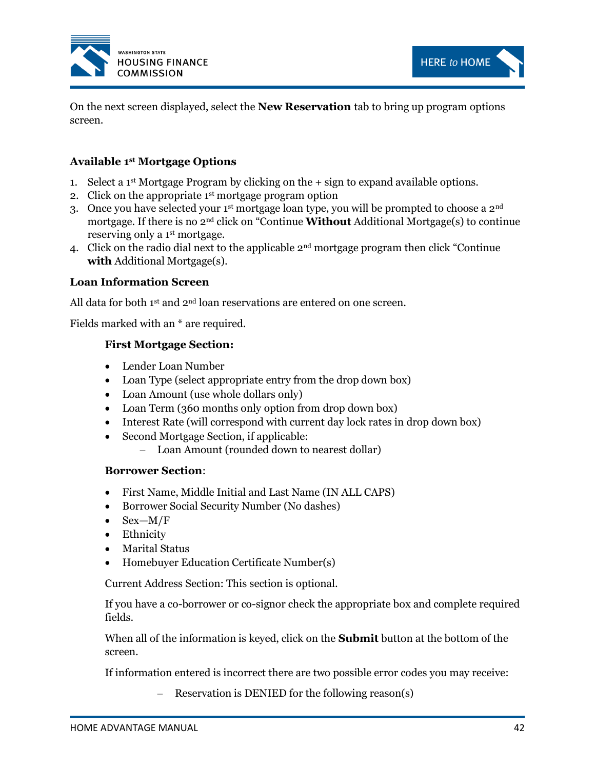



On the next screen displayed, select the **New Reservation** tab to bring up program options screen.

## **Available 1st Mortgage Options**

- 1. Select a 1<sup>st</sup> Mortgage Program by clicking on the  $+$  sign to expand available options.
- 2. Click on the appropriate  $1<sup>st</sup>$  mortgage program option
- 3. Once you have selected your  $1<sup>st</sup>$  mortgage loan type, you will be prompted to choose a  $2<sup>nd</sup>$ mortgage. If there is no 2nd click on "Continue **Without** Additional Mortgage(s) to continue reserving only a 1<sup>st</sup> mortgage.
- 4. Click on the radio dial next to the applicable 2nd mortgage program then click "Continue **with** Additional Mortgage(s).

#### **Loan Information Screen**

All data for both  $1^{st}$  and  $2^{nd}$  loan reservations are entered on one screen.

Fields marked with an \* are required.

#### **First Mortgage Section:**

- Lender Loan Number
- Loan Type (select appropriate entry from the drop down box)
- Loan Amount (use whole dollars only)
- Loan Term (360 months only option from drop down box)
- Interest Rate (will correspond with current day lock rates in drop down box)
- Second Mortgage Section, if applicable:
	- Loan Amount (rounded down to nearest dollar)

#### **Borrower Section**:

- First Name, Middle Initial and Last Name (IN ALL CAPS)
- Borrower Social Security Number (No dashes)
- $Sex-M/F$
- Ethnicity
- Marital Status
- Homebuyer Education Certificate Number(s)

Current Address Section: This section is optional.

If you have a co-borrower or co-signor check the appropriate box and complete required fields.

When all of the information is keyed, click on the **Submit** button at the bottom of the screen.

If information entered is incorrect there are two possible error codes you may receive:

– Reservation is DENIED for the following reason(s)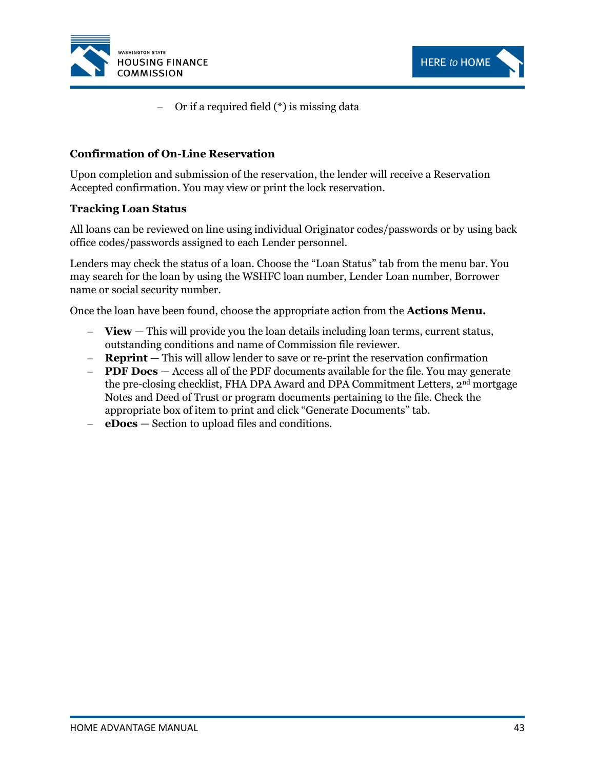



– Or if a required field (\*) is missing data

#### **Confirmation of On-Line Reservation**

Upon completion and submission of the reservation, the lender will receive a Reservation Accepted confirmation. You may view or print the lock reservation.

#### **Tracking Loan Status**

All loans can be reviewed on line using individual Originator codes/passwords or by using back office codes/passwords assigned to each Lender personnel.

Lenders may check the status of a loan. Choose the "Loan Status" tab from the menu bar. You may search for the loan by using the WSHFC loan number, Lender Loan number, Borrower name or social security number.

Once the loan have been found, choose the appropriate action from the **Actions Menu.**

- **View** This will provide you the loan details including loan terms, current status, outstanding conditions and name of Commission file reviewer.
- **Reprint** This will allow lender to save or re-print the reservation confirmation
- **PDF Docs** Access all of the PDF documents available for the file. You may generate the pre-closing checklist, FHA DPA Award and DPA Commitment Letters, 2<sup>nd</sup> mortgage Notes and Deed of Trust or program documents pertaining to the file. Check the appropriate box of item to print and click "Generate Documents" tab.
- **eDocs** Section to upload files and conditions.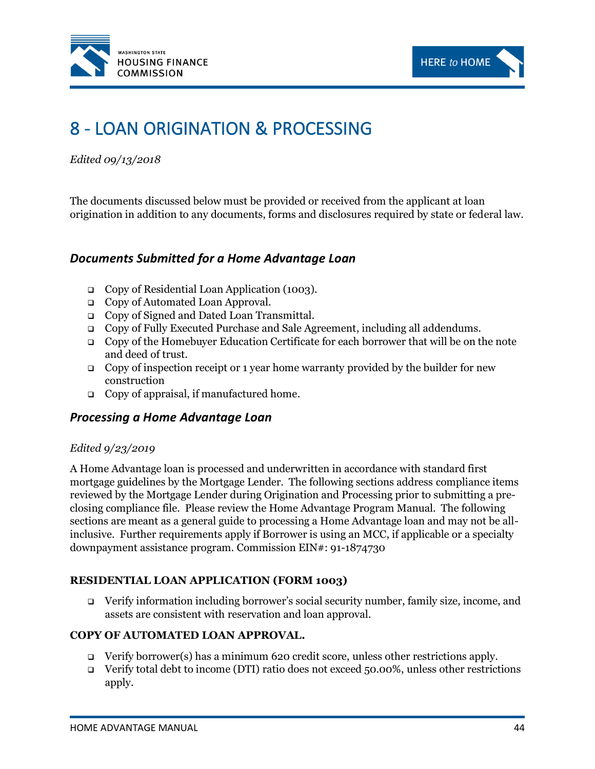



# 8 - LOAN ORIGINATION & PROCESSING

*Edited 09/13/2018*

The documents discussed below must be provided or received from the applicant at loan origination in addition to any documents, forms and disclosures required by state or federal law.

# *Documents Submitted for a Home Advantage Loan*

- ❑ Copy of Residential Loan Application (1003).
- ❑ Copy of Automated Loan Approval.
- ❑ Copy of Signed and Dated Loan Transmittal.
- ❑ Copy of Fully Executed Purchase and Sale Agreement, including all addendums.
- ❑ Copy of the Homebuyer Education Certificate for each borrower that will be on the note and deed of trust.
- Copy of inspection receipt or 1 year home warranty provided by the builder for new construction
- ❑ Copy of appraisal, if manufactured home.

## *Processing a Home Advantage Loan*

#### *Edited 9/23/2019*

A Home Advantage loan is processed and underwritten in accordance with standard first mortgage guidelines by the Mortgage Lender. The following sections address compliance items reviewed by the Mortgage Lender during Origination and Processing prior to submitting a preclosing compliance file. Please review the Home Advantage Program Manual. The following sections are meant as a general guide to processing a Home Advantage loan and may not be allinclusive. Further requirements apply if Borrower is using an MCC, if applicable or a specialty downpayment assistance program. Commission EIN#: 91-1874730

#### **RESIDENTIAL LOAN APPLICATION (FORM 1003)**

❑ Verify information including borrower's social security number, family size, income, and assets are consistent with reservation and loan approval.

#### **COPY OF AUTOMATED LOAN APPROVAL.**

- ❑ Verify borrower(s) has a minimum 620 credit score, unless other restrictions apply.
- ❑ Verify total debt to income (DTI) ratio does not exceed 50.00%, unless other restrictions apply.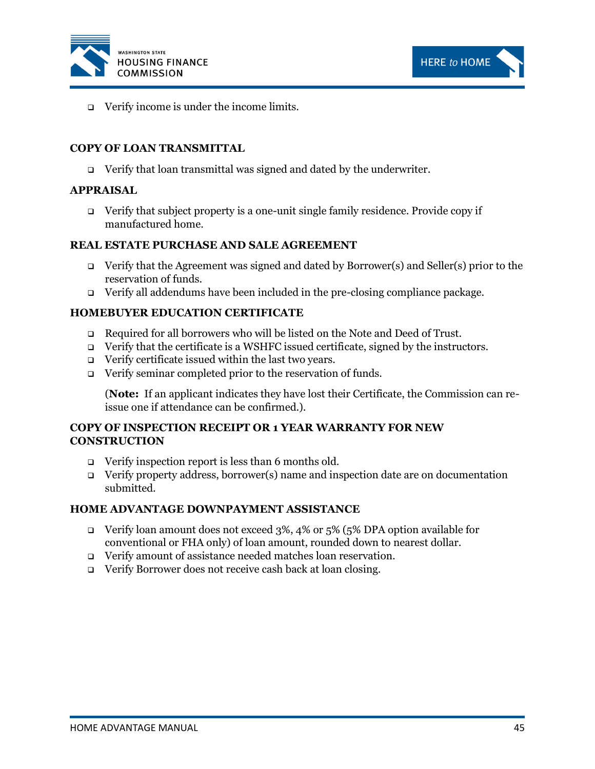



❑ Verify income is under the income limits.

#### **COPY OF LOAN TRANSMITTAL**

❑ Verify that loan transmittal was signed and dated by the underwriter.

#### **APPRAISAL**

❑ Verify that subject property is a one-unit single family residence. Provide copy if manufactured home.

#### **REAL ESTATE PURCHASE AND SALE AGREEMENT**

- ❑ Verify that the Agreement was signed and dated by Borrower(s) and Seller(s) prior to the reservation of funds.
- ❑ Verify all addendums have been included in the pre-closing compliance package.

#### **HOMEBUYER EDUCATION CERTIFICATE**

- ❑ Required for all borrowers who will be listed on the Note and Deed of Trust.
- ❑ Verify that the certificate is a WSHFC issued certificate, signed by the instructors.
- ❑ Verify certificate issued within the last two years.
- ❑ Verify seminar completed prior to the reservation of funds.

(**Note:** If an applicant indicates they have lost their Certificate, the Commission can reissue one if attendance can be confirmed.).

#### **COPY OF INSPECTION RECEIPT OR 1 YEAR WARRANTY FOR NEW CONSTRUCTION**

- ❑ Verify inspection report is less than 6 months old.
- ❑ Verify property address, borrower(s) name and inspection date are on documentation submitted.

#### **HOME ADVANTAGE DOWNPAYMENT ASSISTANCE**

- ❑ Verify loan amount does not exceed 3%, 4% or 5% (5% DPA option available for conventional or FHA only) of loan amount, rounded down to nearest dollar.
- ❑ Verify amount of assistance needed matches loan reservation.
- ❑ Verify Borrower does not receive cash back at loan closing.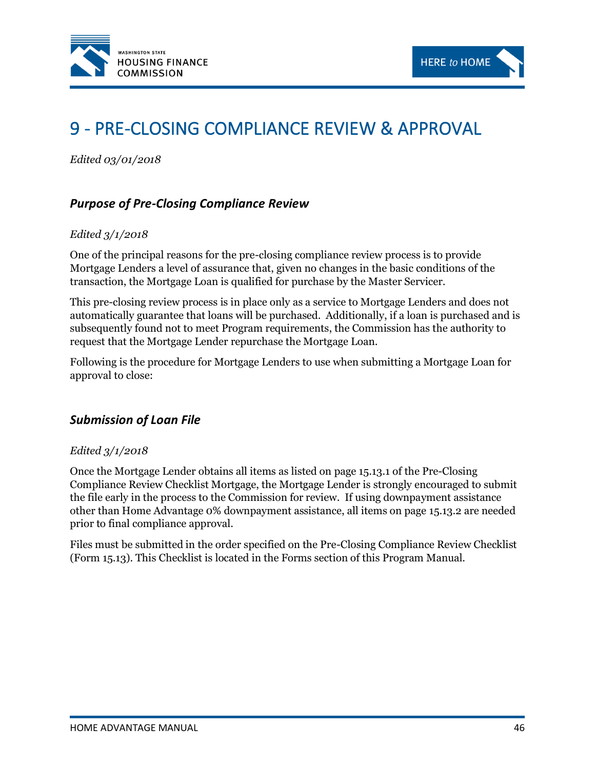



# 9 - PRE-CLOSING COMPLIANCE REVIEW & APPROVAL

*Edited 03/01/2018*

# *Purpose of Pre-Closing Compliance Review*

#### *Edited 3/1/2018*

One of the principal reasons for the pre-closing compliance review process is to provide Mortgage Lenders a level of assurance that, given no changes in the basic conditions of the transaction, the Mortgage Loan is qualified for purchase by the Master Servicer.

This pre-closing review process is in place only as a service to Mortgage Lenders and does not automatically guarantee that loans will be purchased. Additionally, if a loan is purchased and is subsequently found not to meet Program requirements, the Commission has the authority to request that the Mortgage Lender repurchase the Mortgage Loan.

Following is the procedure for Mortgage Lenders to use when submitting a Mortgage Loan for approval to close:

## *Submission of Loan File*

#### *Edited 3/1/2018*

Once the Mortgage Lender obtains all items as listed on page 15.13.1 of the Pre-Closing Compliance Review Checklist Mortgage, the Mortgage Lender is strongly encouraged to submit the file early in the process to the Commission for review. If using downpayment assistance other than Home Advantage 0% downpayment assistance, all items on page 15.13.2 are needed prior to final compliance approval.

Files must be submitted in the order specified on the Pre-Closing Compliance Review Checklist (Form 15.13). This Checklist is located in the Forms section of this Program Manual.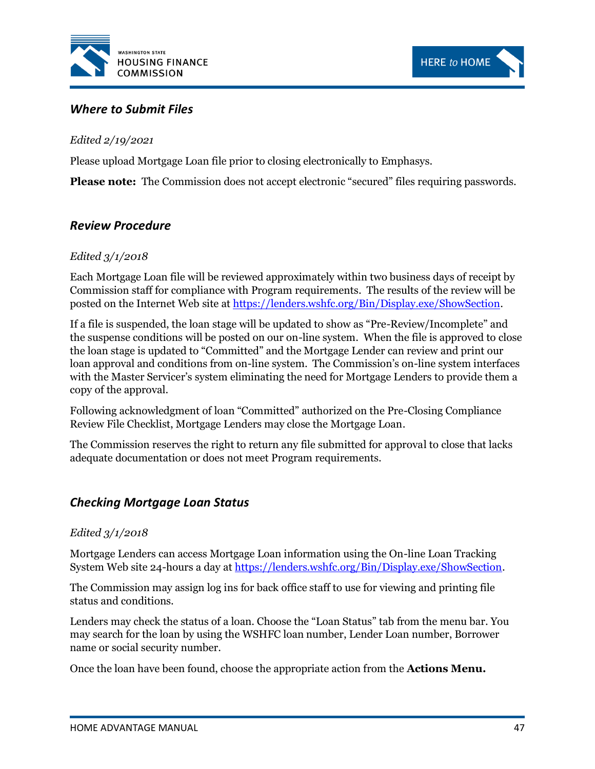



# *Where to Submit Files*

*Edited 2/19/2021*

Please upload Mortgage Loan file prior to closing electronically to Emphasys.

**Please note:** The Commission does not accept electronic "secured" files requiring passwords.

# *Review Procedure*

## *Edited 3/1/2018*

Each Mortgage Loan file will be reviewed approximately within two business days of receipt by Commission staff for compliance with Program requirements. The results of the review will be posted on the Internet Web site a[t https://lenders.wshfc.org/Bin/Display.exe/ShowSection.](https://lenders.wshfc.org/Bin/Display.exe/ShowSection)

If a file is suspended, the loan stage will be updated to show as "Pre-Review/Incomplete" and the suspense conditions will be posted on our on-line system. When the file is approved to close the loan stage is updated to "Committed" and the Mortgage Lender can review and print our loan approval and conditions from on-line system. The Commission's on-line system interfaces with the Master Servicer's system eliminating the need for Mortgage Lenders to provide them a copy of the approval.

Following acknowledgment of loan "Committed" authorized on the Pre-Closing Compliance Review File Checklist, Mortgage Lenders may close the Mortgage Loan.

The Commission reserves the right to return any file submitted for approval to close that lacks adequate documentation or does not meet Program requirements.

# *Checking Mortgage Loan Status*

#### *Edited 3/1/2018*

Mortgage Lenders can access Mortgage Loan information using the On-line Loan Tracking System Web site 24-hours a day a[t https://lenders.wshfc.org/Bin/Display.exe/ShowSection.](https://lenders.wshfc.org/Bin/Display.exe/ShowSection)

The Commission may assign log ins for back office staff to use for viewing and printing file status and conditions.

Lenders may check the status of a loan. Choose the "Loan Status" tab from the menu bar. You may search for the loan by using the WSHFC loan number, Lender Loan number, Borrower name or social security number.

Once the loan have been found, choose the appropriate action from the **Actions Menu.**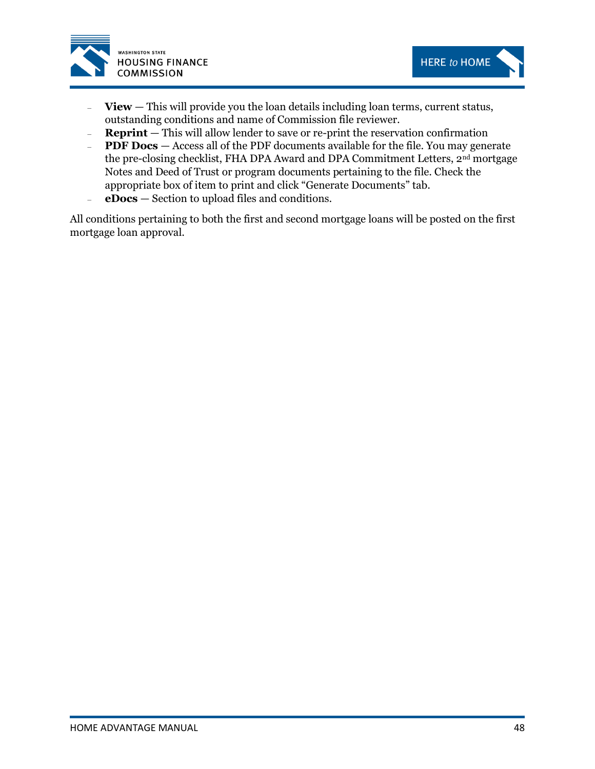



- **View** This will provide you the loan details including loan terms, current status, outstanding conditions and name of Commission file reviewer.
- **Reprint** This will allow lender to save or re-print the reservation confirmation
- **PDF Docs** Access all of the PDF documents available for the file. You may generate the pre-closing checklist, FHA DPA Award and DPA Commitment Letters, 2<sup>nd</sup> mortgage Notes and Deed of Trust or program documents pertaining to the file. Check the appropriate box of item to print and click "Generate Documents" tab.
- **eDocs** Section to upload files and conditions.

All conditions pertaining to both the first and second mortgage loans will be posted on the first mortgage loan approval.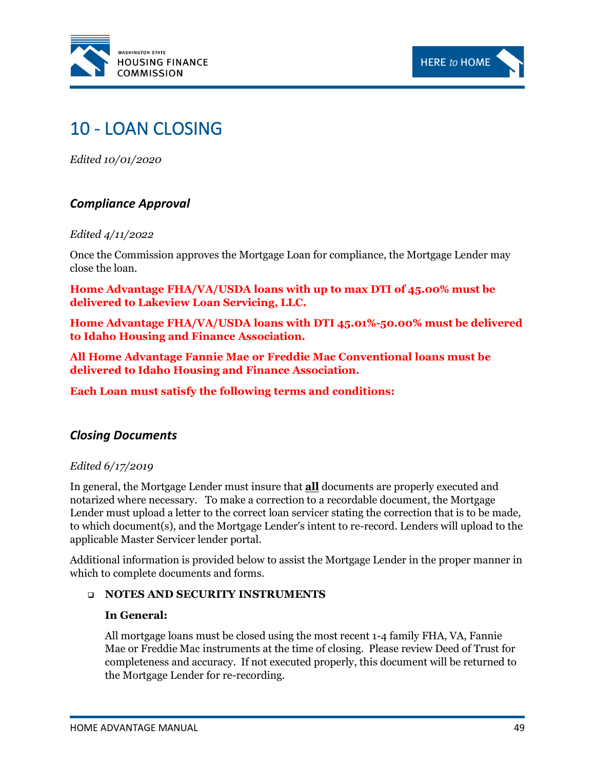



# 10 - LOAN CLOSING

*Edited 10/01/2020*

# *Compliance Approval*

#### *Edited 4/11/2022*

Once the Commission approves the Mortgage Loan for compliance, the Mortgage Lender may close the loan.

**Home Advantage FHA/VA/USDA loans with up to max DTI of 45.00% must be delivered to Lakeview Loan Servicing, LLC.** 

**Home Advantage FHA/VA/USDA loans with DTI 45.01%-50.00% must be delivered to Idaho Housing and Finance Association.**

**All Home Advantage Fannie Mae or Freddie Mac Conventional loans must be delivered to Idaho Housing and Finance Association.**

**Each Loan must satisfy the following terms and conditions:**

# *Closing Documents*

#### *Edited 6/17/2019*

In general, the Mortgage Lender must insure that **all** documents are properly executed and notarized where necessary. To make a correction to a recordable document, the Mortgage Lender must upload a letter to the correct loan servicer stating the correction that is to be made, to which document(s), and the Mortgage Lender's intent to re-record. Lenders will upload to the applicable Master Servicer lender portal.

Additional information is provided below to assist the Mortgage Lender in the proper manner in which to complete documents and forms.

#### ❑ **NOTES AND SECURITY INSTRUMENTS**

#### **In General:**

All mortgage loans must be closed using the most recent 1-4 family FHA, VA, Fannie Mae or Freddie Mac instruments at the time of closing. Please review Deed of Trust for completeness and accuracy. If not executed properly, this document will be returned to the Mortgage Lender for re-recording.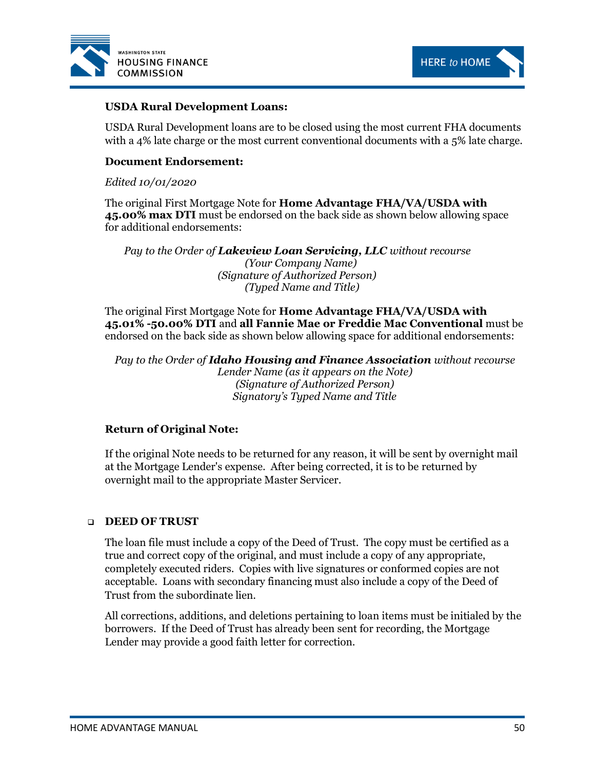



#### **USDA Rural Development Loans:**

USDA Rural Development loans are to be closed using the most current FHA documents with a 4% late charge or the most current conventional documents with a 5% late charge.

#### **Document Endorsement:**

#### *Edited 10/01/2020*

The original First Mortgage Note for **Home Advantage FHA/VA/USDA with 45.00% max DTI** must be endorsed on the back side as shown below allowing space for additional endorsements:

*Pay to the Order of Lakeview Loan Servicing, LLC without recourse (Your Company Name) (Signature of Authorized Person) (Typed Name and Title)*

The original First Mortgage Note for **Home Advantage FHA/VA/USDA with 45.01% -50.00% DTI** and **all Fannie Mae or Freddie Mac Conventional** must be endorsed on the back side as shown below allowing space for additional endorsements:

*Pay to the Order of Idaho Housing and Finance Association without recourse Lender Name (as it appears on the Note) (Signature of Authorized Person) Signatory's Typed Name and Title*

#### **Return of Original Note:**

If the original Note needs to be returned for any reason, it will be sent by overnight mail at the Mortgage Lender's expense. After being corrected, it is to be returned by overnight mail to the appropriate Master Servicer.

#### ❑ **DEED OF TRUST**

The loan file must include a copy of the Deed of Trust. The copy must be certified as a true and correct copy of the original, and must include a copy of any appropriate, completely executed riders. Copies with live signatures or conformed copies are not acceptable. Loans with secondary financing must also include a copy of the Deed of Trust from the subordinate lien.

All corrections, additions, and deletions pertaining to loan items must be initialed by the borrowers. If the Deed of Trust has already been sent for recording, the Mortgage Lender may provide a good faith letter for correction.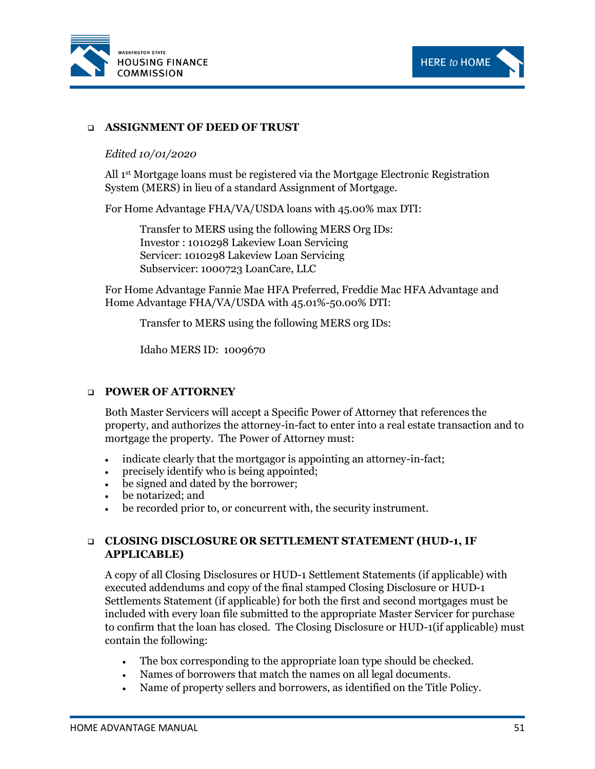



#### ❑ **ASSIGNMENT OF DEED OF TRUST**

#### *Edited 10/01/2020*

All 1st Mortgage loans must be registered via the Mortgage Electronic Registration System (MERS) in lieu of a standard Assignment of Mortgage.

For Home Advantage FHA/VA/USDA loans with 45.00% max DTI:

Transfer to MERS using the following MERS Org IDs: Investor : 1010298 Lakeview Loan Servicing Servicer: 1010298 Lakeview Loan Servicing Subservicer: 1000723 LoanCare, LLC

For Home Advantage Fannie Mae HFA Preferred, Freddie Mac HFA Advantage and Home Advantage FHA/VA/USDA with 45.01%-50.00% DTI:

Transfer to MERS using the following MERS org IDs:

Idaho MERS ID: 1009670

#### ❑ **POWER OF ATTORNEY**

Both Master Servicers will accept a Specific Power of Attorney that references the property, and authorizes the attorney-in-fact to enter into a real estate transaction and to mortgage the property. The Power of Attorney must:

- indicate clearly that the mortgagor is appointing an attorney-in-fact;
- precisely identify who is being appointed;
- be signed and dated by the borrower;
- be notarized; and
- be recorded prior to, or concurrent with, the security instrument.

#### ❑ **CLOSING DISCLOSURE OR SETTLEMENT STATEMENT (HUD-1, IF APPLICABLE)**

A copy of all Closing Disclosures or HUD-1 Settlement Statements (if applicable) with executed addendums and copy of the final stamped Closing Disclosure or HUD-1 Settlements Statement (if applicable) for both the first and second mortgages must be included with every loan file submitted to the appropriate Master Servicer for purchase to confirm that the loan has closed. The Closing Disclosure or HUD-1(if applicable) must contain the following:

- The box corresponding to the appropriate loan type should be checked.
- Names of borrowers that match the names on all legal documents.
- Name of property sellers and borrowers, as identified on the Title Policy.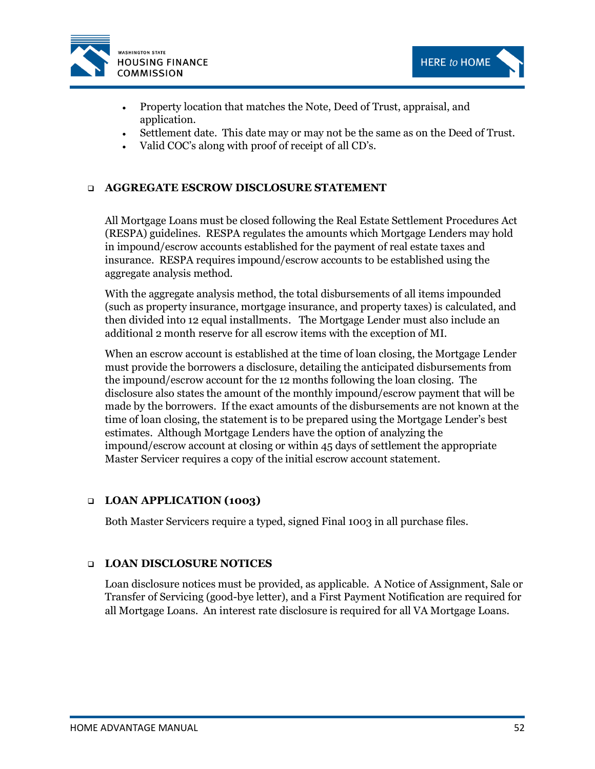



- Property location that matches the Note, Deed of Trust, appraisal, and application.
- Settlement date. This date may or may not be the same as on the Deed of Trust.
- Valid COC's along with proof of receipt of all CD's.

## ❑ **AGGREGATE ESCROW DISCLOSURE STATEMENT**

All Mortgage Loans must be closed following the Real Estate Settlement Procedures Act (RESPA) guidelines. RESPA regulates the amounts which Mortgage Lenders may hold in impound/escrow accounts established for the payment of real estate taxes and insurance. RESPA requires impound/escrow accounts to be established using the aggregate analysis method.

With the aggregate analysis method, the total disbursements of all items impounded (such as property insurance, mortgage insurance, and property taxes) is calculated, and then divided into 12 equal installments. The Mortgage Lender must also include an additional 2 month reserve for all escrow items with the exception of MI.

When an escrow account is established at the time of loan closing, the Mortgage Lender must provide the borrowers a disclosure, detailing the anticipated disbursements from the impound/escrow account for the 12 months following the loan closing. The disclosure also states the amount of the monthly impound/escrow payment that will be made by the borrowers. If the exact amounts of the disbursements are not known at the time of loan closing, the statement is to be prepared using the Mortgage Lender's best estimates. Although Mortgage Lenders have the option of analyzing the impound/escrow account at closing or within 45 days of settlement the appropriate Master Servicer requires a copy of the initial escrow account statement.

#### ❑ **LOAN APPLICATION (1003)**

Both Master Servicers require a typed, signed Final 1003 in all purchase files.

#### ❑ **LOAN DISCLOSURE NOTICES**

Loan disclosure notices must be provided, as applicable. A Notice of Assignment, Sale or Transfer of Servicing (good-bye letter), and a First Payment Notification are required for all Mortgage Loans. An interest rate disclosure is required for all VA Mortgage Loans.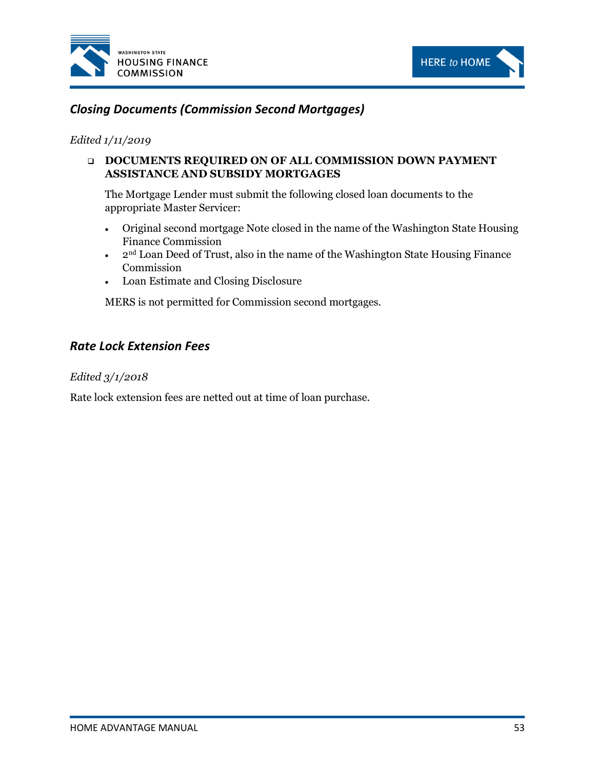



# *Closing Documents (Commission Second Mortgages)*

#### *Edited 1/11/2019*

## ❑ **DOCUMENTS REQUIRED ON OF ALL COMMISSION DOWN PAYMENT ASSISTANCE AND SUBSIDY MORTGAGES**

The Mortgage Lender must submit the following closed loan documents to the appropriate Master Servicer:

- Original second mortgage Note closed in the name of the Washington State Housing Finance Commission
- $\bullet$  2<sup>nd</sup> Loan Deed of Trust, also in the name of the Washington State Housing Finance Commission
- Loan Estimate and Closing Disclosure

MERS is not permitted for Commission second mortgages.

# *Rate Lock Extension Fees*

#### *Edited 3/1/2018*

Rate lock extension fees are netted out at time of loan purchase.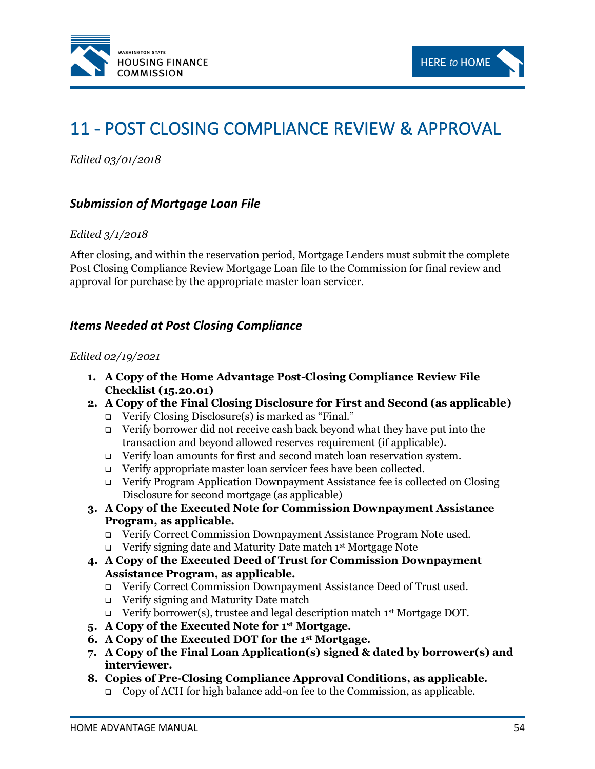



# 11 - POST CLOSING COMPLIANCE REVIEW & APPROVAL

*Edited 03/01/2018*

# *Submission of Mortgage Loan File*

#### *Edited 3/1/2018*

After closing, and within the reservation period, Mortgage Lenders must submit the complete Post Closing Compliance Review Mortgage Loan file to the Commission for final review and approval for purchase by the appropriate master loan servicer.

## *Items Needed at Post Closing Compliance*

#### *Edited 02/19/2021*

- **1. A Copy of the Home Advantage Post-Closing Compliance Review File Checklist (15.20.01)**
- **2. A Copy of the Final Closing Disclosure for First and Second (as applicable)**
	- ❑ Verify Closing Disclosure(s) is marked as "Final."
	- ❑ Verify borrower did not receive cash back beyond what they have put into the transaction and beyond allowed reserves requirement (if applicable).
	- ❑ Verify loan amounts for first and second match loan reservation system.
	- ❑ Verify appropriate master loan servicer fees have been collected.
	- ❑ Verify Program Application Downpayment Assistance fee is collected on Closing Disclosure for second mortgage (as applicable)
- **3. A Copy of the Executed Note for Commission Downpayment Assistance Program, as applicable.**
	- ❑ Verify Correct Commission Downpayment Assistance Program Note used.
	- ❑ Verify signing date and Maturity Date match 1st Mortgage Note
- **4. A Copy of the Executed Deed of Trust for Commission Downpayment Assistance Program, as applicable.**
	- ❑ Verify Correct Commission Downpayment Assistance Deed of Trust used.
	- ❑ Verify signing and Maturity Date match
	- ❑ Verify borrower(s), trustee and legal description match 1st Mortgage DOT.
- **5. A Copy of the Executed Note for 1 st Mortgage.**
- **6. A Copy of the Executed DOT for the 1st Mortgage.**
- **7. A Copy of the Final Loan Application(s) signed & dated by borrower(s) and interviewer.**
- **8. Copies of Pre-Closing Compliance Approval Conditions, as applicable.**
	- ❑ Copy of ACH for high balance add-on fee to the Commission, as applicable.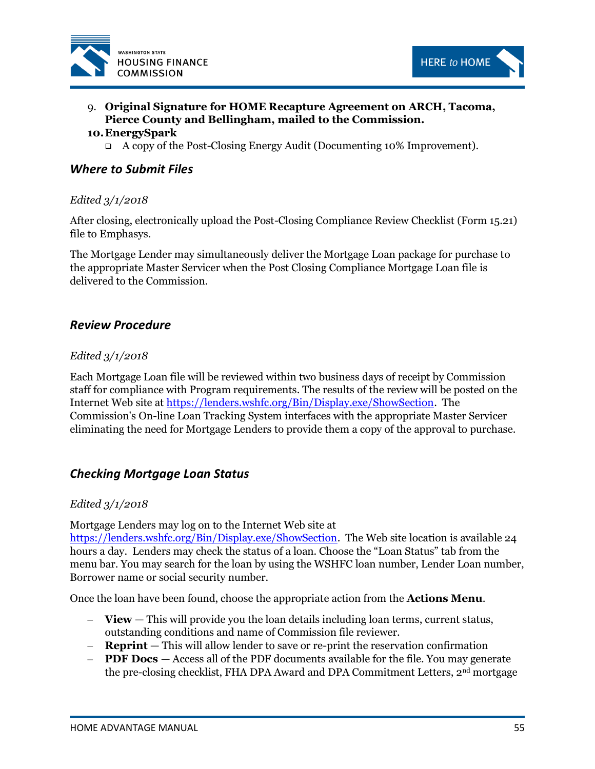



# 9. **Original Signature for HOME Recapture Agreement on ARCH, Tacoma, Pierce County and Bellingham, mailed to the Commission.**

#### **10.EnergySpark**

❑ A copy of the Post-Closing Energy Audit (Documenting 10% Improvement).

## *Where to Submit Files*

#### *Edited 3/1/2018*

After closing, electronically upload the Post-Closing Compliance Review Checklist (Form 15.21) file to Emphasys.

The Mortgage Lender may simultaneously deliver the Mortgage Loan package for purchase to the appropriate Master Servicer when the Post Closing Compliance Mortgage Loan file is delivered to the Commission.

## *Review Procedure*

#### *Edited 3/1/2018*

Each Mortgage Loan file will be reviewed within two business days of receipt by Commission staff for compliance with Program requirements. The results of the review will be posted on the Internet Web site at [https://lenders.wshfc.org/Bin/Display.exe/ShowSection.](https://lenders.wshfc.org/Bin/Display.exe/ShowSection) The Commission's On-line Loan Tracking System interfaces with the appropriate Master Servicer eliminating the need for Mortgage Lenders to provide them a copy of the approval to purchase.

## *Checking Mortgage Loan Status*

#### *Edited 3/1/2018*

Mortgage Lenders may log on to the Internet Web site at

[https://lenders.wshfc.org/Bin/Display.exe/ShowSection.](https://lenders.wshfc.org/Bin/Display.exe/ShowSection) The Web site location is available 24 hours a day. Lenders may check the status of a loan. Choose the "Loan Status" tab from the menu bar. You may search for the loan by using the WSHFC loan number, Lender Loan number, Borrower name or social security number.

Once the loan have been found, choose the appropriate action from the **Actions Menu**.

- **View** This will provide you the loan details including loan terms, current status, outstanding conditions and name of Commission file reviewer.
- **Reprint** This will allow lender to save or re-print the reservation confirmation
- **PDF Docs**  Access all of the PDF documents available for the file. You may generate the pre-closing checklist, FHA DPA Award and DPA Commitment Letters, 2nd mortgage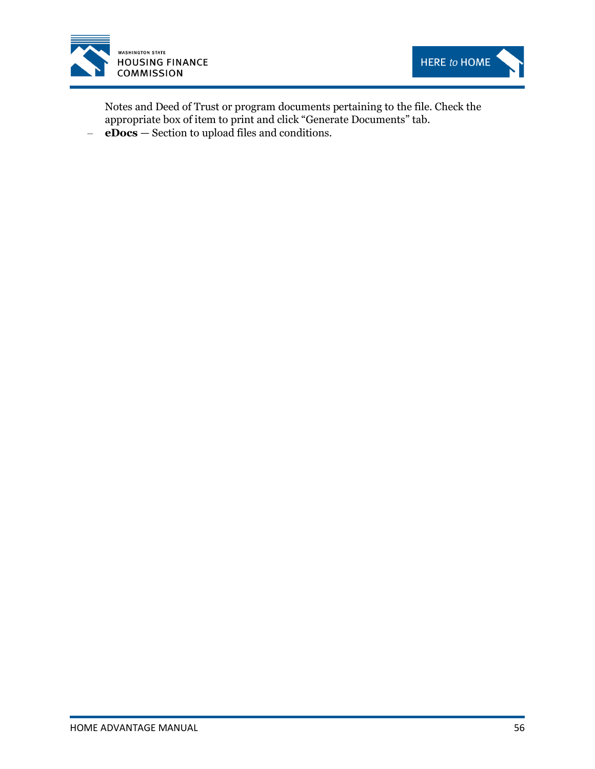



Notes and Deed of Trust or program documents pertaining to the file. Check the appropriate box of item to print and click "Generate Documents" tab.

– **eDocs** — Section to upload files and conditions.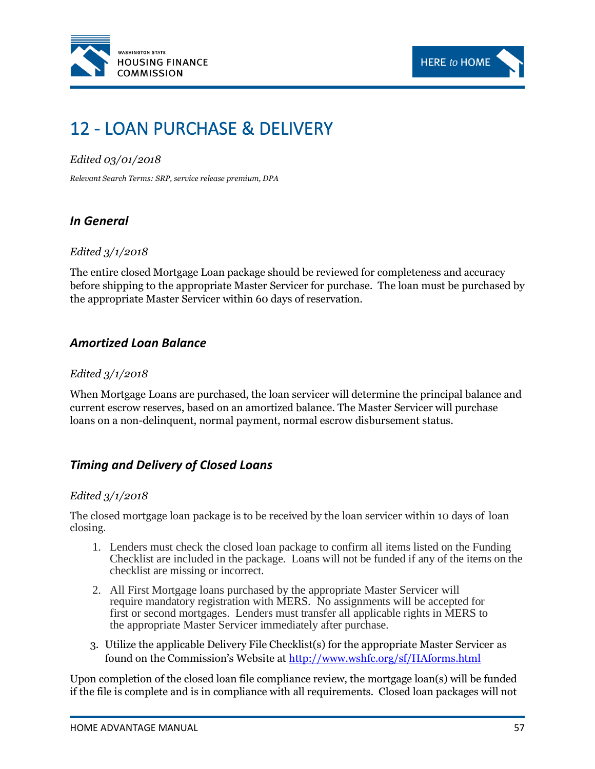



# 12 - LOAN PURCHASE & DELIVERY

## *Edited 03/01/2018*

*Relevant Search Terms: SRP, service release premium, DPA*

# *In General*

#### *Edited 3/1/2018*

The entire closed Mortgage Loan package should be reviewed for completeness and accuracy before shipping to the appropriate Master Servicer for purchase. The loan must be purchased by the appropriate Master Servicer within 60 days of reservation.

# *Amortized Loan Balance*

#### *Edited 3/1/2018*

When Mortgage Loans are purchased, the loan servicer will determine the principal balance and current escrow reserves, based on an amortized balance. The Master Servicer will purchase loans on a non-delinquent, normal payment, normal escrow disbursement status.

# *Timing and Delivery of Closed Loans*

#### *Edited 3/1/2018*

The closed mortgage loan package is to be received by the loan servicer within 10 days of loan closing.

- 1. Lenders must check the closed loan package to confirm all items listed on the Funding Checklist are included in the package. Loans will not be funded if any of the items on the checklist are missing or incorrect.
- 2. All First Mortgage loans purchased by the appropriate Master Servicer will require mandatory registration with MERS. No assignments will be accepted for first or second mortgages. Lenders must transfer all applicable rights in MERS to the appropriate Master Servicer immediately after purchase.
- 3. Utilize the applicable Delivery File Checklist(s) for the appropriate Master Servicer as found on the Commission's Website at <http://www.wshfc.org/sf/HAforms.html>

Upon completion of the closed loan file compliance review, the mortgage loan(s) will be funded if the file is complete and is in compliance with all requirements. Closed loan packages will not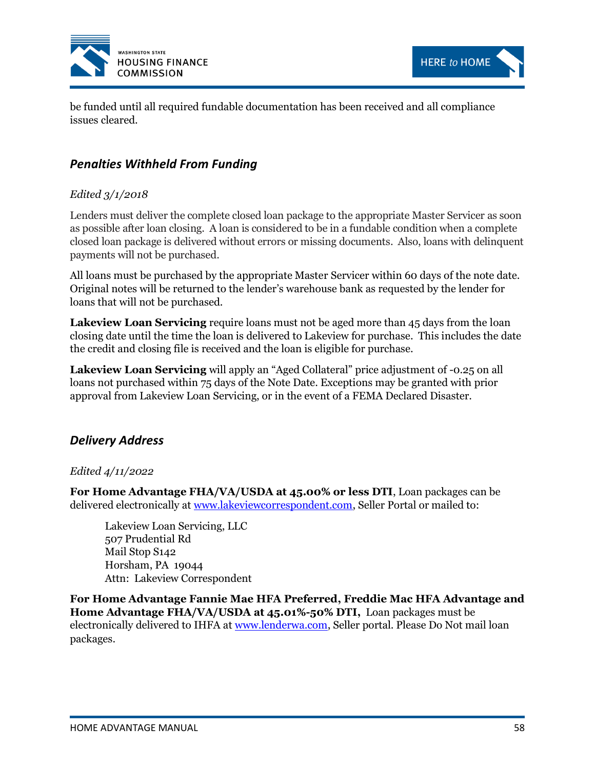



be funded until all required fundable documentation has been received and all compliance issues cleared.

# *Penalties Withheld From Funding*

## *Edited 3/1/2018*

Lenders must deliver the complete closed loan package to the appropriate Master Servicer as soon as possible after loan closing. A loan is considered to be in a fundable condition when a complete closed loan package is delivered without errors or missing documents. Also, loans with delinquent payments will not be purchased.

All loans must be purchased by the appropriate Master Servicer within 60 days of the note date. Original notes will be returned to the lender's warehouse bank as requested by the lender for loans that will not be purchased.

**Lakeview Loan Servicing** require loans must not be aged more than 45 days from the loan closing date until the time the loan is delivered to Lakeview for purchase. This includes the date the credit and closing file is received and the loan is eligible for purchase.

**Lakeview Loan Servicing** will apply an "Aged Collateral" price adjustment of -0.25 on all loans not purchased within 75 days of the Note Date. Exceptions may be granted with prior approval from Lakeview Loan Servicing, or in the event of a FEMA Declared Disaster.

# *Delivery Address*

#### *Edited 4/11/2022*

**For Home Advantage FHA/VA/USDA at 45.00% or less DTI**, Loan packages can be delivered electronically at [www.lakeviewcorrespondent.com,](http://www.lakeviewcorrespondent.com/) Seller Portal or mailed to:

Lakeview Loan Servicing, LLC 507 Prudential Rd Mail Stop S142 Horsham, PA 19044 Attn: Lakeview Correspondent

**For Home Advantage Fannie Mae HFA Preferred, Freddie Mac HFA Advantage and Home Advantage FHA/VA/USDA at 45.01%-50% DTI,** Loan packages must be electronically delivered to IHFA a[t www.lenderwa.com,](http://www.lenderwa.com/) Seller portal. Please Do Not mail loan packages.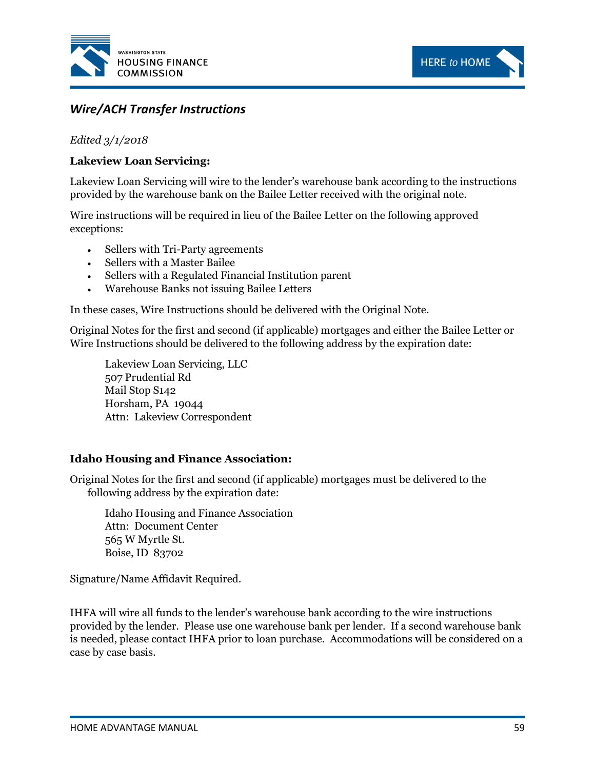



# *Wire/ACH Transfer Instructions*

*Edited 3/1/2018*

### **Lakeview Loan Servicing:**

Lakeview Loan Servicing will wire to the lender's warehouse bank according to the instructions provided by the warehouse bank on the Bailee Letter received with the original note.

Wire instructions will be required in lieu of the Bailee Letter on the following approved exceptions:

- Sellers with Tri-Party agreements
- Sellers with a Master Bailee
- Sellers with a Regulated Financial Institution parent
- Warehouse Banks not issuing Bailee Letters

In these cases, Wire Instructions should be delivered with the Original Note.

Original Notes for the first and second (if applicable) mortgages and either the Bailee Letter or Wire Instructions should be delivered to the following address by the expiration date:

Lakeview Loan Servicing, LLC 507 Prudential Rd Mail Stop S142 Horsham, PA 19044 Attn: Lakeview Correspondent

#### **Idaho Housing and Finance Association:**

Original Notes for the first and second (if applicable) mortgages must be delivered to the following address by the expiration date:

Idaho Housing and Finance Association Attn: Document Center 565 W Myrtle St. Boise, ID 83702

Signature/Name Affidavit Required.

IHFA will wire all funds to the lender's warehouse bank according to the wire instructions provided by the lender. Please use one warehouse bank per lender. If a second warehouse bank is needed, please contact IHFA prior to loan purchase. Accommodations will be considered on a case by case basis.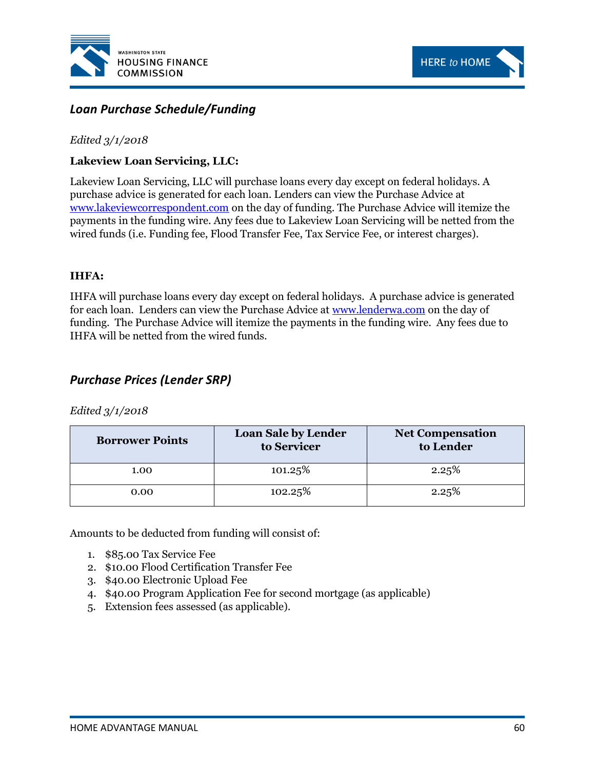



# *Loan Purchase Schedule/Funding*

#### *Edited 3/1/2018*

## **Lakeview Loan Servicing, LLC:**

Lakeview Loan Servicing, LLC will purchase loans every day except on federal holidays. A purchase advice is generated for each loan. Lenders can view the Purchase Advice at [www.lakeviewcorrespondent.com](http://www.lakeviewcorrespondent.com/) on the day of funding. The Purchase Advice will itemize the payments in the funding wire. Any fees due to Lakeview Loan Servicing will be netted from the wired funds (i.e. Funding fee, Flood Transfer Fee, Tax Service Fee, or interest charges).

#### **IHFA:**

IHFA will purchase loans every day except on federal holidays. A purchase advice is generated for each loan. Lenders can view the Purchase Advice at [www.lenderwa.com](http://www.lenderwa.com/) on the day of funding. The Purchase Advice will itemize the payments in the funding wire. Any fees due to IHFA will be netted from the wired funds.

# *Purchase Prices (Lender SRP)*

#### *Edited 3/1/2018*

| <b>Borrower Points</b> | <b>Loan Sale by Lender</b><br>to Servicer | <b>Net Compensation</b><br>to Lender |
|------------------------|-------------------------------------------|--------------------------------------|
| 1.00                   | 101.25%                                   | 2.25%                                |
| 0.00                   | 102.25%                                   | 2.25%                                |

Amounts to be deducted from funding will consist of:

- 1. \$85.00 Tax Service Fee
- 2. \$10.00 Flood Certification Transfer Fee
- 3. \$40.00 Electronic Upload Fee
- 4. \$40.00 Program Application Fee for second mortgage (as applicable)
- 5. Extension fees assessed (as applicable).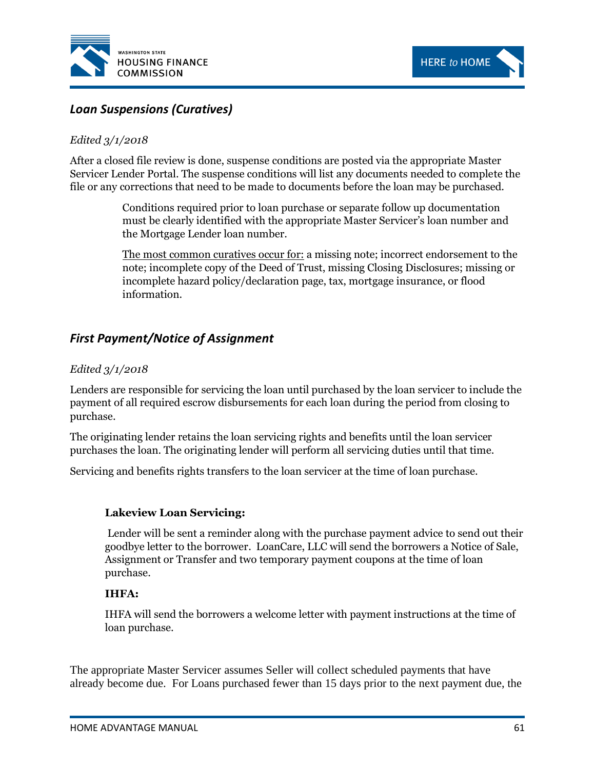



# *Loan Suspensions (Curatives)*

### *Edited 3/1/2018*

After a closed file review is done, suspense conditions are posted via the appropriate Master Servicer Lender Portal. The suspense conditions will list any documents needed to complete the file or any corrections that need to be made to documents before the loan may be purchased.

> Conditions required prior to loan purchase or separate follow up documentation must be clearly identified with the appropriate Master Servicer's loan number and the Mortgage Lender loan number.

The most common curatives occur for: a missing note; incorrect endorsement to the note; incomplete copy of the Deed of Trust, missing Closing Disclosures; missing or incomplete hazard policy/declaration page, tax, mortgage insurance, or flood information.

# *First Payment/Notice of Assignment*

#### *Edited 3/1/2018*

Lenders are responsible for servicing the loan until purchased by the loan servicer to include the payment of all required escrow disbursements for each loan during the period from closing to purchase.

The originating lender retains the loan servicing rights and benefits until the loan servicer purchases the loan. The originating lender will perform all servicing duties until that time.

Servicing and benefits rights transfers to the loan servicer at the time of loan purchase.

#### **Lakeview Loan Servicing:**

Lender will be sent a reminder along with the purchase payment advice to send out their goodbye letter to the borrower. LoanCare, LLC will send the borrowers a Notice of Sale, Assignment or Transfer and two temporary payment coupons at the time of loan purchase.

#### **IHFA:**

IHFA will send the borrowers a welcome letter with payment instructions at the time of loan purchase.

The appropriate Master Servicer assumes Seller will collect scheduled payments that have already become due. For Loans purchased fewer than 15 days prior to the next payment due, the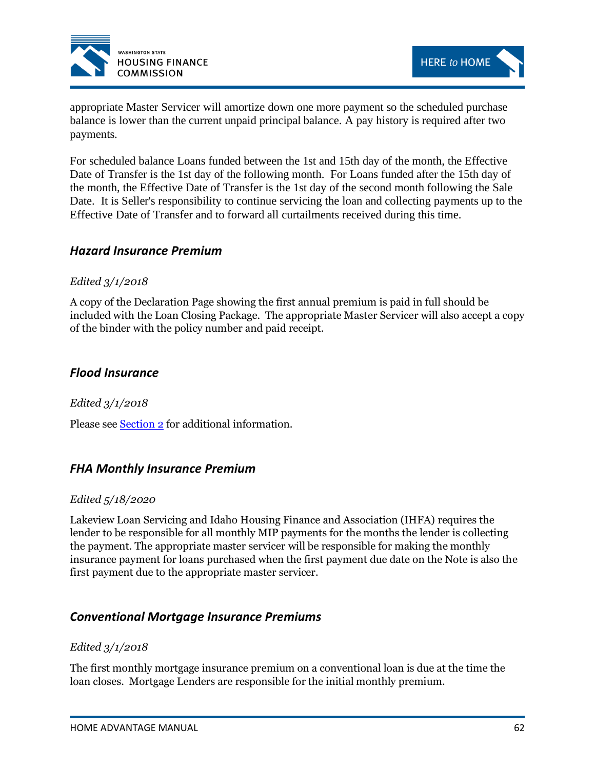



appropriate Master Servicer will amortize down one more payment so the scheduled purchase balance is lower than the current unpaid principal balance. A pay history is required after two payments.

For scheduled balance Loans funded between the 1st and 15th day of the month, the Effective Date of Transfer is the 1st day of the following month. For Loans funded after the 15th day of the month, the Effective Date of Transfer is the 1st day of the second month following the Sale Date. It is Seller's responsibility to continue servicing the loan and collecting payments up to the Effective Date of Transfer and to forward all curtailments received during this time.

## *Hazard Insurance Premium*

#### *Edited 3/1/2018*

A copy of the Declaration Page showing the first annual premium is paid in full should be included with the Loan Closing Package. The appropriate Master Servicer will also accept a copy of the binder with the policy number and paid receipt.

## *Flood Insurance*

*Edited 3/1/2018*

Please see [Section 2](#page-13-0) for additional information.

## *FHA Monthly Insurance Premium*

#### *Edited 5/18/2020*

Lakeview Loan Servicing and Idaho Housing Finance and Association (IHFA) requires the lender to be responsible for all monthly MIP payments for the months the lender is collecting the payment. The appropriate master servicer will be responsible for making the monthly insurance payment for loans purchased when the first payment due date on the Note is also the first payment due to the appropriate master servicer.

## *Conventional Mortgage Insurance Premiums*

#### *Edited 3/1/2018*

The first monthly mortgage insurance premium on a conventional loan is due at the time the loan closes. Mortgage Lenders are responsible for the initial monthly premium.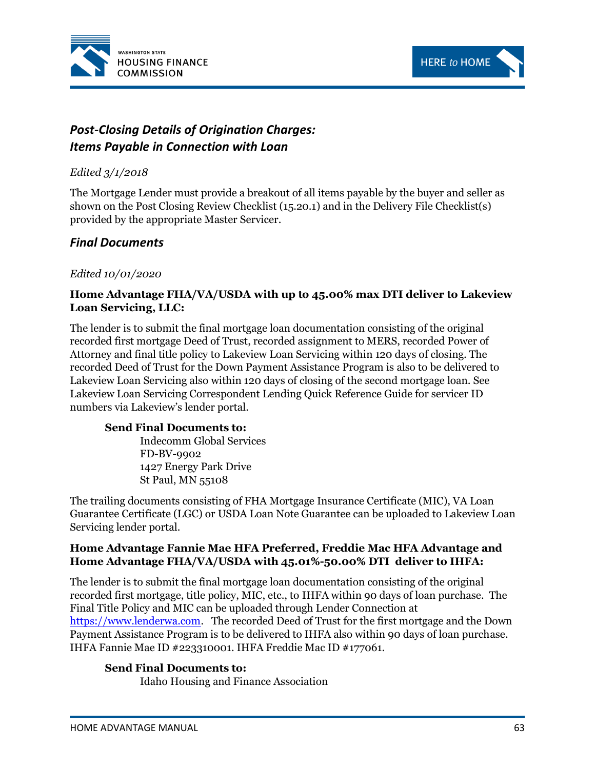



# *Post-Closing Details of Origination Charges: Items Payable in Connection with Loan*

## *Edited 3/1/2018*

The Mortgage Lender must provide a breakout of all items payable by the buyer and seller as shown on the Post Closing Review Checklist (15.20.1) and in the Delivery File Checklist(s) provided by the appropriate Master Servicer.

# *Final Documents*

## *Edited 10/01/2020*

## **Home Advantage FHA/VA/USDA with up to 45.00% max DTI deliver to Lakeview Loan Servicing, LLC:**

The lender is to submit the final mortgage loan documentation consisting of the original recorded first mortgage Deed of Trust, recorded assignment to MERS, recorded Power of Attorney and final title policy to Lakeview Loan Servicing within 120 days of closing. The recorded Deed of Trust for the Down Payment Assistance Program is also to be delivered to Lakeview Loan Servicing also within 120 days of closing of the second mortgage loan. See Lakeview Loan Servicing Correspondent Lending Quick Reference Guide for servicer ID numbers via Lakeview's lender portal.

#### **Send Final Documents to:**

Indecomm Global Services FD-BV-9902 1427 Energy Park Drive St Paul, MN 55108

The trailing documents consisting of FHA Mortgage Insurance Certificate (MIC), VA Loan Guarantee Certificate (LGC) or USDA Loan Note Guarantee can be uploaded to Lakeview Loan Servicing lender portal.

## **Home Advantage Fannie Mae HFA Preferred, Freddie Mac HFA Advantage and Home Advantage FHA/VA/USDA with 45.01%-50.00% DTI deliver to IHFA:**

The lender is to submit the final mortgage loan documentation consisting of the original recorded first mortgage, title policy, MIC, etc., to IHFA within 90 days of loan purchase. The Final Title Policy and MIC can be uploaded through Lender Connection at [https://www.lenderwa.com.](https://www.lenderwa.com/) The recorded Deed of Trust for the first mortgage and the Down Payment Assistance Program is to be delivered to IHFA also within 90 days of loan purchase. IHFA Fannie Mae ID #223310001. IHFA Freddie Mac ID #177061.

#### **Send Final Documents to:**

Idaho Housing and Finance Association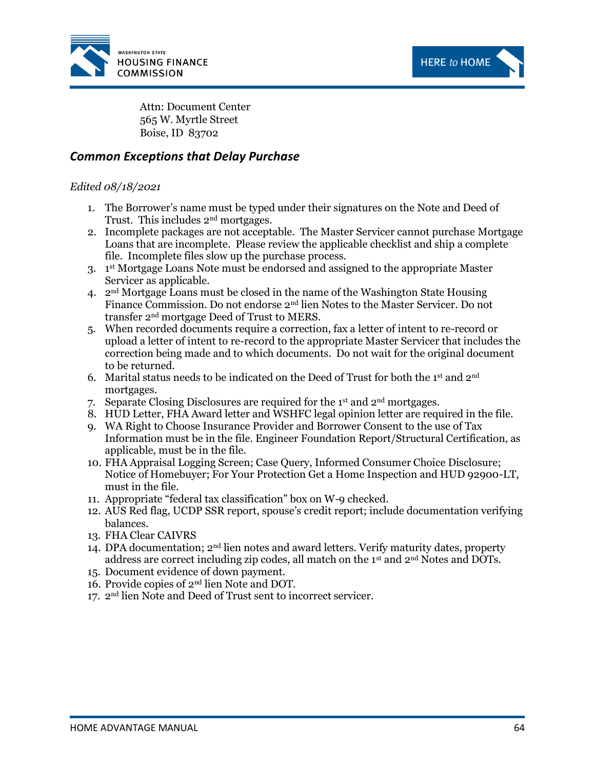



Attn: Document Center 565 W. Myrtle Street Boise, ID 83702

## *Common Exceptions that Delay Purchase*

#### *Edited 08/18/2021*

- 1. The Borrower's name must be typed under their signatures on the Note and Deed of Trust. This includes 2nd mortgages.
- 2. Incomplete packages are not acceptable. The Master Servicer cannot purchase Mortgage Loans that are incomplete. Please review the applicable checklist and ship a complete file. Incomplete files slow up the purchase process.
- 3. 1 st Mortgage Loans Note must be endorsed and assigned to the appropriate Master Servicer as applicable.
- 4.  $2<sup>nd</sup>$  Mortgage Loans must be closed in the name of the Washington State Housing Finance Commission. Do not endorse 2nd lien Notes to the Master Servicer. Do not transfer 2nd mortgage Deed of Trust to MERS.
- 5. When recorded documents require a correction, fax a letter of intent to re-record or upload a letter of intent to re-record to the appropriate Master Servicer that includes the correction being made and to which documents. Do not wait for the original document to be returned.
- 6. Marital status needs to be indicated on the Deed of Trust for both the 1st and  $2<sup>nd</sup>$ mortgages.
- 7. Separate Closing Disclosures are required for the 1<sup>st</sup> and  $2<sup>nd</sup>$  mortgages.
- 8. HUD Letter, FHA Award letter and WSHFC legal opinion letter are required in the file.
- 9. WA Right to Choose Insurance Provider and Borrower Consent to the use of Tax Information must be in the file. Engineer Foundation Report/Structural Certification, as applicable, must be in the file.
- 10. FHA Appraisal Logging Screen; Case Query, Informed Consumer Choice Disclosure; Notice of Homebuyer; For Your Protection Get a Home Inspection and HUD 92900-LT, must in the file.
- 11. Appropriate "federal tax classification" box on W-9 checked.
- 12. AUS Red flag, UCDP SSR report, spouse's credit report; include documentation verifying balances.
- 13. FHA Clear CAIVRS
- 14. DPA documentation;  $2<sup>nd</sup>$  lien notes and award letters. Verify maturity dates, property address are correct including zip codes, all match on the  $1<sup>st</sup>$  and  $2<sup>nd</sup>$  Notes and DOTs.
- 15. Document evidence of down payment.
- 16. Provide copies of 2nd lien Note and DOT.
- 17. 2 nd lien Note and Deed of Trust sent to incorrect servicer.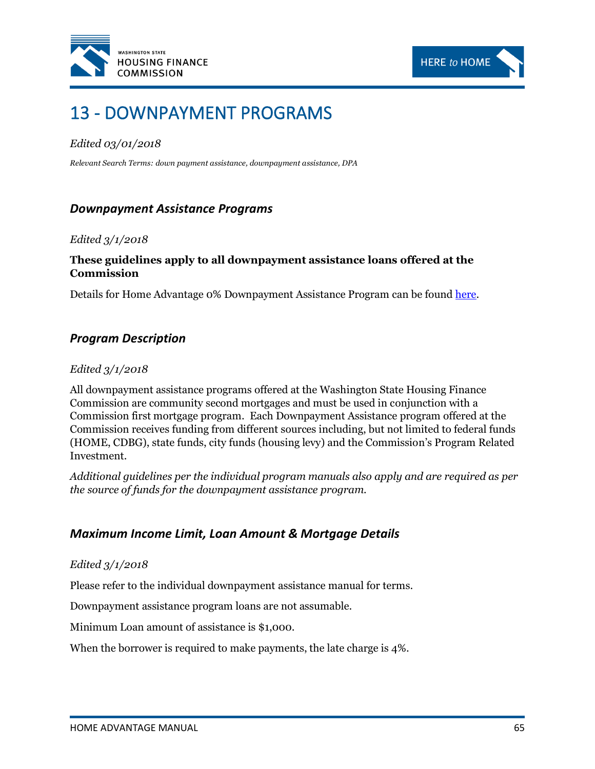



# 13 - DOWNPAYMENT PROGRAMS

## *Edited 03/01/2018*

*Relevant Search Terms: down payment assistance, downpayment assistance, DPA*

# *Downpayment Assistance Programs*

#### *Edited 3/1/2018*

## **These guidelines apply to all downpayment assistance loans offered at the Commission**

Details for Home Advantage 0% Downpayment Assistance Program can be foun[d here.](#page-79-0)

# *Program Description*

#### *Edited 3/1/2018*

All downpayment assistance programs offered at the Washington State Housing Finance Commission are community second mortgages and must be used in conjunction with a Commission first mortgage program. Each Downpayment Assistance program offered at the Commission receives funding from different sources including, but not limited to federal funds (HOME, CDBG), state funds, city funds (housing levy) and the Commission's Program Related Investment.

*Additional guidelines per the individual program manuals also apply and are required as per the source of funds for the downpayment assistance program.*

## *Maximum Income Limit, Loan Amount & Mortgage Details*

#### *Edited 3/1/2018*

Please refer to the individual downpayment assistance manual for terms.

Downpayment assistance program loans are not assumable.

Minimum Loan amount of assistance is \$1,000.

When the borrower is required to make payments, the late charge is 4%.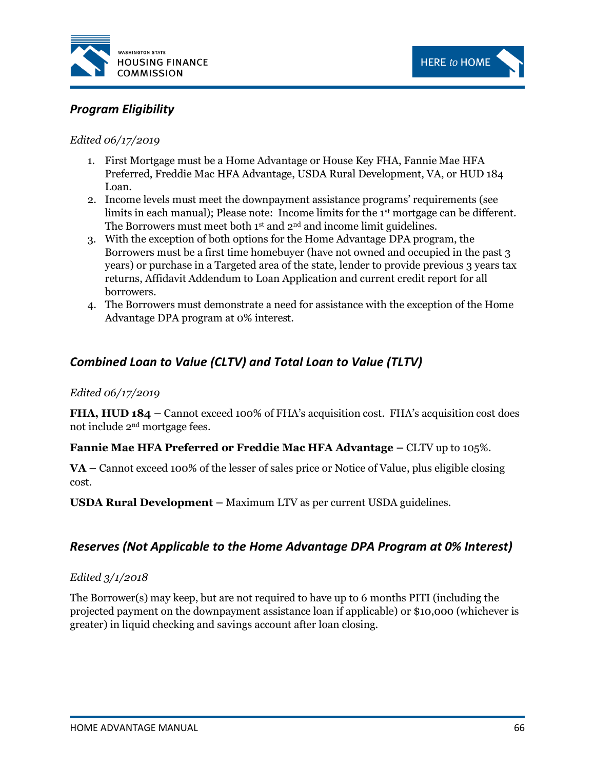



# *Program Eligibility*

#### *Edited 06/17/2019*

- 1. First Mortgage must be a Home Advantage or House Key FHA, Fannie Mae HFA Preferred, Freddie Mac HFA Advantage, USDA Rural Development, VA, or HUD 184 Loan.
- 2. Income levels must meet the downpayment assistance programs' requirements (see limits in each manual); Please note: Income limits for the 1<sup>st</sup> mortgage can be different. The Borrowers must meet both 1<sup>st</sup> and 2<sup>nd</sup> and income limit guidelines.
- 3. With the exception of both options for the Home Advantage DPA program, the Borrowers must be a first time homebuyer (have not owned and occupied in the past 3 years) or purchase in a Targeted area of the state, lender to provide previous 3 years tax returns, Affidavit Addendum to Loan Application and current credit report for all borrowers.
- 4. The Borrowers must demonstrate a need for assistance with the exception of the Home Advantage DPA program at 0% interest.

# *Combined Loan to Value (CLTV) and Total Loan to Value (TLTV)*

#### *Edited 06/17/2019*

**FHA, HUD 184 –** Cannot exceed 100% of FHA's acquisition cost. FHA's acquisition cost does not include 2nd mortgage fees.

## **Fannie Mae HFA Preferred or Freddie Mac HFA Advantage –** CLTV up to 105%.

**VA –** Cannot exceed 100% of the lesser of sales price or Notice of Value, plus eligible closing cost.

**USDA Rural Development –** Maximum LTV as per current USDA guidelines.

## *Reserves (Not Applicable to the Home Advantage DPA Program at 0% Interest)*

#### *Edited 3/1/2018*

The Borrower(s) may keep, but are not required to have up to 6 months PITI (including the projected payment on the downpayment assistance loan if applicable) or \$10,000 (whichever is greater) in liquid checking and savings account after loan closing.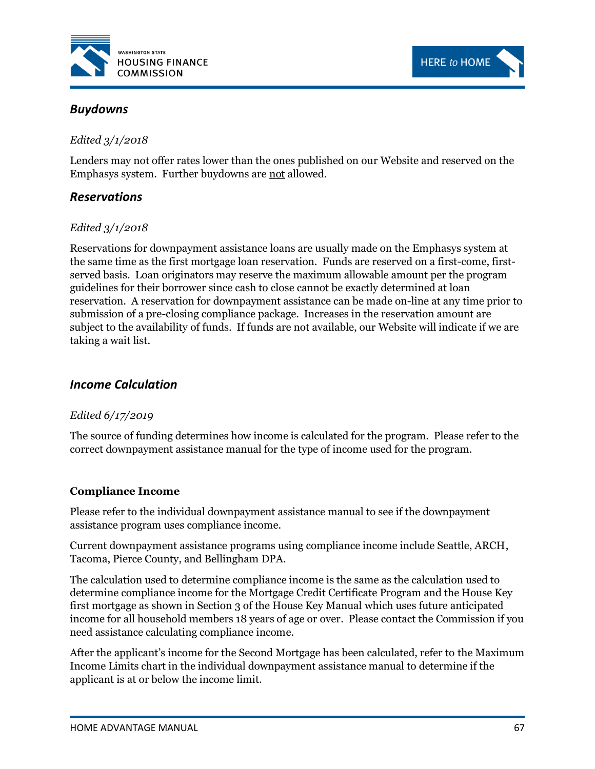



## *Edited 3/1/2018*

Lenders may not offer rates lower than the ones published on our Website and reserved on the Emphasys system. Further buydowns are not allowed.

**HERE to HOME** 

# *Reservations*

### *Edited 3/1/2018*

Reservations for downpayment assistance loans are usually made on the Emphasys system at the same time as the first mortgage loan reservation. Funds are reserved on a first-come, firstserved basis. Loan originators may reserve the maximum allowable amount per the program guidelines for their borrower since cash to close cannot be exactly determined at loan reservation. A reservation for downpayment assistance can be made on-line at any time prior to submission of a pre-closing compliance package. Increases in the reservation amount are subject to the availability of funds. If funds are not available, our Website will indicate if we are taking a wait list.

# <span id="page-72-0"></span>*Income Calculation*

### *Edited 6/17/2019*

The source of funding determines how income is calculated for the program. Please refer to the correct downpayment assistance manual for the type of income used for the program.

### **Compliance Income**

Please refer to the individual downpayment assistance manual to see if the downpayment assistance program uses compliance income.

Current downpayment assistance programs using compliance income include Seattle, ARCH, Tacoma, Pierce County, and Bellingham DPA.

The calculation used to determine compliance income is the same as the calculation used to determine compliance income for the Mortgage Credit Certificate Program and the House Key first mortgage as shown in Section 3 of the House Key Manual which uses future anticipated income for all household members 18 years of age or over. Please contact the Commission if you need assistance calculating compliance income.

After the applicant's income for the Second Mortgage has been calculated, refer to the Maximum Income Limits chart in the individual downpayment assistance manual to determine if the applicant is at or below the income limit.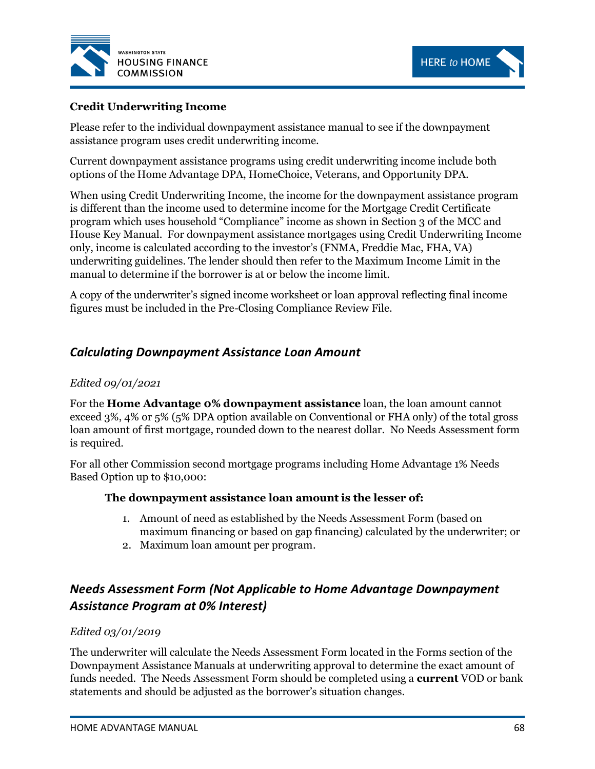



# **Credit Underwriting Income**

Please refer to the individual downpayment assistance manual to see if the downpayment assistance program uses credit underwriting income.

Current downpayment assistance programs using credit underwriting income include both options of the Home Advantage DPA, HomeChoice, Veterans, and Opportunity DPA.

When using Credit Underwriting Income, the income for the downpayment assistance program is different than the income used to determine income for the Mortgage Credit Certificate program which uses household "Compliance" income as shown in Section 3 of the MCC and House Key Manual. For downpayment assistance mortgages using Credit Underwriting Income only, income is calculated according to the investor's (FNMA, Freddie Mac, FHA, VA) underwriting guidelines. The lender should then refer to the Maximum Income Limit in the manual to determine if the borrower is at or below the income limit.

A copy of the underwriter's signed income worksheet or loan approval reflecting final income figures must be included in the Pre-Closing Compliance Review File.

# *Calculating Downpayment Assistance Loan Amount*

## *Edited 09/01/2021*

For the **Home Advantage 0% downpayment assistance** loan, the loan amount cannot exceed 3%, 4% or 5% (5% DPA option available on Conventional or FHA only) of the total gross loan amount of first mortgage, rounded down to the nearest dollar. No Needs Assessment form is required.

For all other Commission second mortgage programs including Home Advantage 1% Needs Based Option up to \$10,000:

### **The downpayment assistance loan amount is the lesser of:**

- 1. Amount of need as established by the Needs Assessment Form (based on maximum financing or based on gap financing) calculated by the underwriter; or
- 2. Maximum loan amount per program.

# *Needs Assessment Form (Not Applicable to Home Advantage Downpayment Assistance Program at 0% Interest)*

### *Edited 03/01/2019*

The underwriter will calculate the Needs Assessment Form located in the Forms section of the Downpayment Assistance Manuals at underwriting approval to determine the exact amount of funds needed. The Needs Assessment Form should be completed using a **current** VOD or bank statements and should be adjusted as the borrower's situation changes.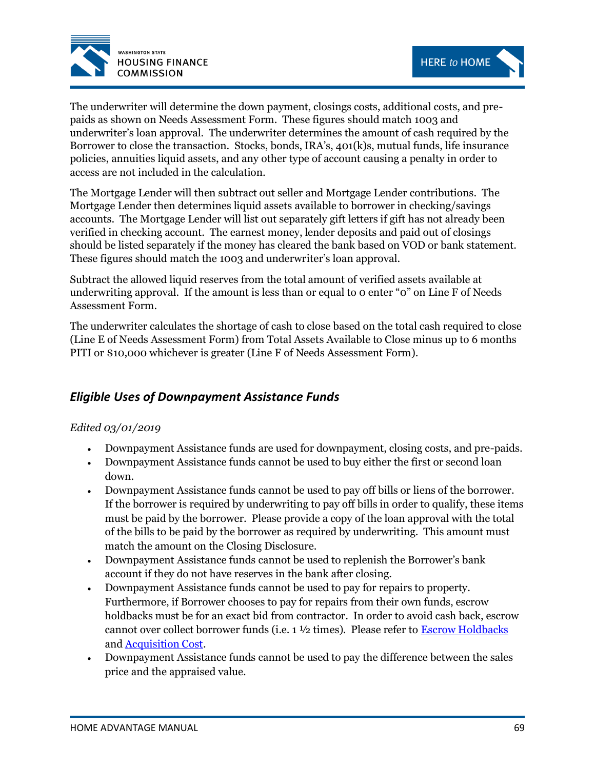



The underwriter will determine the down payment, closings costs, additional costs, and prepaids as shown on Needs Assessment Form. These figures should match 1003 and underwriter's loan approval. The underwriter determines the amount of cash required by the Borrower to close the transaction. Stocks, bonds, IRA's, 401(k)s, mutual funds, life insurance policies, annuities liquid assets, and any other type of account causing a penalty in order to access are not included in the calculation.

The Mortgage Lender will then subtract out seller and Mortgage Lender contributions. The Mortgage Lender then determines liquid assets available to borrower in checking/savings accounts. The Mortgage Lender will list out separately gift letters if gift has not already been verified in checking account. The earnest money, lender deposits and paid out of closings should be listed separately if the money has cleared the bank based on VOD or bank statement. These figures should match the 1003 and underwriter's loan approval.

Subtract the allowed liquid reserves from the total amount of verified assets available at underwriting approval. If the amount is less than or equal to 0 enter "0" on Line F of Needs Assessment Form.

The underwriter calculates the shortage of cash to close based on the total cash required to close (Line E of Needs Assessment Form) from Total Assets Available to Close minus up to 6 months PITI or \$10,000 whichever is greater (Line F of Needs Assessment Form).

# *Eligible Uses of Downpayment Assistance Funds*

### *Edited 03/01/2019*

- Downpayment Assistance funds are used for downpayment, closing costs, and pre-paids.
- Downpayment Assistance funds cannot be used to buy either the first or second loan down.
- Downpayment Assistance funds cannot be used to pay off bills or liens of the borrower. If the borrower is required by underwriting to pay off bills in order to qualify, these items must be paid by the borrower. Please provide a copy of the loan approval with the total of the bills to be paid by the borrower as required by underwriting. This amount must match the amount on the Closing Disclosure.
- Downpayment Assistance funds cannot be used to replenish the Borrower's bank account if they do not have reserves in the bank after closing.
- Downpayment Assistance funds cannot be used to pay for repairs to property. Furthermore, if Borrower chooses to pay for repairs from their own funds, escrow holdbacks must be for an exact bid from contractor. In order to avoid cash back, escrow cannot over collect borrower funds (i.e.  $1\frac{1}{2}$  times). Please refer to **Escrow Holdbacks** and [Acquisition Cost.](#page-17-0)
- Downpayment Assistance funds cannot be used to pay the difference between the sales price and the appraised value.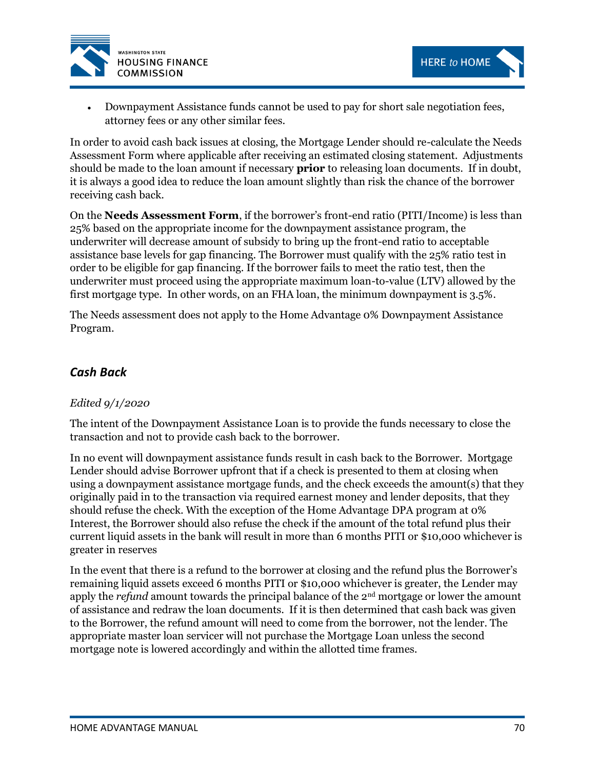



• Downpayment Assistance funds cannot be used to pay for short sale negotiation fees, attorney fees or any other similar fees.

In order to avoid cash back issues at closing, the Mortgage Lender should re-calculate the Needs Assessment Form where applicable after receiving an estimated closing statement. Adjustments should be made to the loan amount if necessary **prior** to releasing loan documents. If in doubt, it is always a good idea to reduce the loan amount slightly than risk the chance of the borrower receiving cash back.

On the **Needs Assessment Form**, if the borrower's front-end ratio (PITI/Income) is less than 25% based on the appropriate income for the downpayment assistance program, the underwriter will decrease amount of subsidy to bring up the front-end ratio to acceptable assistance base levels for gap financing. The Borrower must qualify with the 25% ratio test in order to be eligible for gap financing. If the borrower fails to meet the ratio test, then the underwriter must proceed using the appropriate maximum loan-to-value (LTV) allowed by the first mortgage type. In other words, on an FHA loan, the minimum downpayment is 3.5%.

The Needs assessment does not apply to the Home Advantage 0% Downpayment Assistance Program.

# *Cash Back*

# *Edited 9/1/2020*

The intent of the Downpayment Assistance Loan is to provide the funds necessary to close the transaction and not to provide cash back to the borrower.

In no event will downpayment assistance funds result in cash back to the Borrower. Mortgage Lender should advise Borrower upfront that if a check is presented to them at closing when using a downpayment assistance mortgage funds, and the check exceeds the amount(s) that they originally paid in to the transaction via required earnest money and lender deposits, that they should refuse the check. With the exception of the Home Advantage DPA program at 0% Interest, the Borrower should also refuse the check if the amount of the total refund plus their current liquid assets in the bank will result in more than 6 months PITI or \$10,000 whichever is greater in reserves

In the event that there is a refund to the borrower at closing and the refund plus the Borrower's remaining liquid assets exceed 6 months PITI or \$10,000 whichever is greater, the Lender may apply the *refund* amount towards the principal balance of the 2<sup>nd</sup> mortgage or lower the amount of assistance and redraw the loan documents. If it is then determined that cash back was given to the Borrower, the refund amount will need to come from the borrower, not the lender. The appropriate master loan servicer will not purchase the Mortgage Loan unless the second mortgage note is lowered accordingly and within the allotted time frames.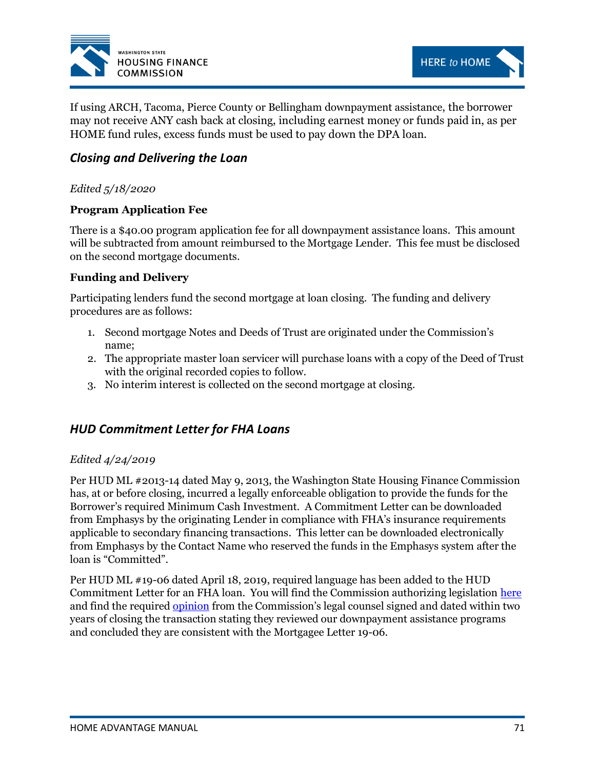

If using ARCH, Tacoma, Pierce County or Bellingham downpayment assistance, the borrower may not receive ANY cash back at closing, including earnest money or funds paid in, as per HOME fund rules, excess funds must be used to pay down the DPA loan.

# *Closing and Delivering the Loan*

# *Edited 5/18/2020*

# **Program Application Fee**

There is a \$40.00 program application fee for all downpayment assistance loans. This amount will be subtracted from amount reimbursed to the Mortgage Lender. This fee must be disclosed on the second mortgage documents.

# **Funding and Delivery**

Participating lenders fund the second mortgage at loan closing. The funding and delivery procedures are as follows:

- 1. Second mortgage Notes and Deeds of Trust are originated under the Commission's name;
- 2. The appropriate master loan servicer will purchase loans with a copy of the Deed of Trust with the original recorded copies to follow.
- 3. No interim interest is collected on the second mortgage at closing.

# *HUD Commitment Letter for FHA Loans*

### *Edited 4/24/2019*

Per HUD ML #2013-14 dated May 9, 2013, the Washington State Housing Finance Commission has, at or before closing, incurred a legally enforceable obligation to provide the funds for the Borrower's required Minimum Cash Investment. A Commitment Letter can be downloaded from Emphasys by the originating Lender in compliance with FHA's insurance requirements applicable to secondary financing transactions. This letter can be downloaded electronically from Emphasys by the Contact Name who reserved the funds in the Emphasys system after the loan is "Committed".

Per HUD ML #19-06 dated April 18, 2019, required language has been added to the HUD Commitment Letter for an FHA loan. You will find the Commission authorizing legislation [here](https://app.leg.wa.gov/rcw/default.aspx?cite=43.180) and find the required [opinion](http://www.wshfc.org/sf/HAforms.html) from the Commission's legal counsel signed and dated within two years of closing the transaction stating they reviewed our downpayment assistance programs and concluded they are consistent with the Mortgagee Letter 19-06.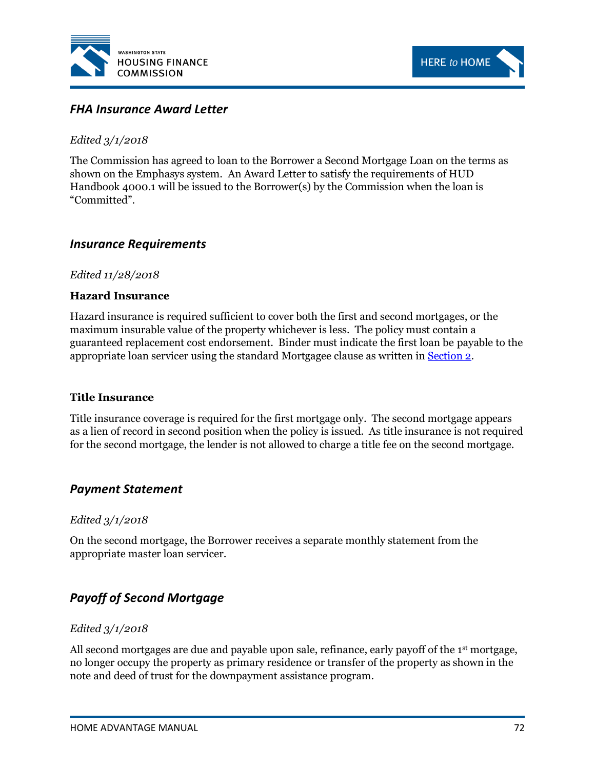



# *FHA Insurance Award Letter*

## *Edited 3/1/2018*

The Commission has agreed to loan to the Borrower a Second Mortgage Loan on the terms as shown on the Emphasys system. An Award Letter to satisfy the requirements of HUD Handbook 4000.1 will be issued to the Borrower(s) by the Commission when the loan is "Committed".

# *Insurance Requirements*

### *Edited 11/28/2018*

#### **Hazard Insurance**

Hazard insurance is required sufficient to cover both the first and second mortgages, or the maximum insurable value of the property whichever is less. The policy must contain a guaranteed replacement cost endorsement. Binder must indicate the first loan be payable to the appropriate loan servicer using the standard Mortgagee clause as written in [Section 2.](http://www.wshfc.org/sf/FINALHAMANUAL1.pdf#page=21)

#### **Title Insurance**

Title insurance coverage is required for the first mortgage only. The second mortgage appears as a lien of record in second position when the policy is issued. As title insurance is not required for the second mortgage, the lender is not allowed to charge a title fee on the second mortgage.

# *Payment Statement*

### *Edited 3/1/2018*

On the second mortgage, the Borrower receives a separate monthly statement from the appropriate master loan servicer.

# *Payoff of Second Mortgage*

### *Edited 3/1/2018*

All second mortgages are due and payable upon sale, refinance, early payoff of the 1<sup>st</sup> mortgage, no longer occupy the property as primary residence or transfer of the property as shown in the note and deed of trust for the downpayment assistance program.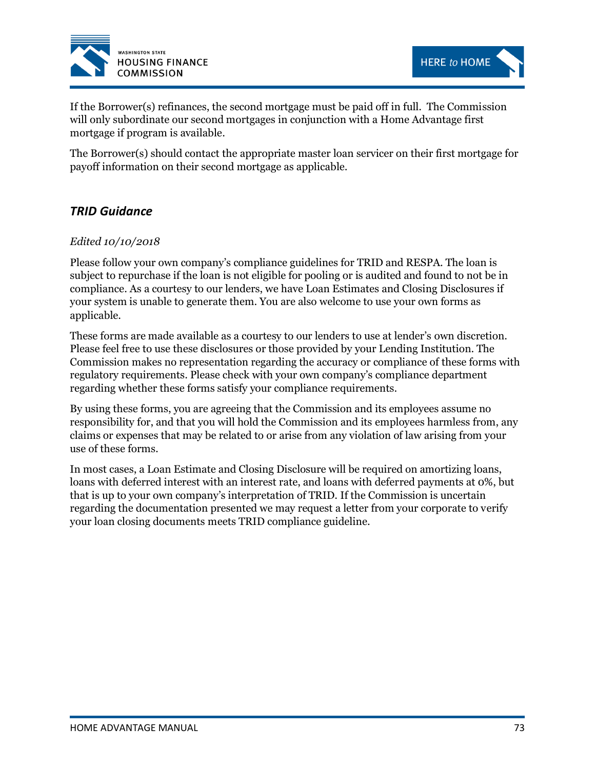



If the Borrower(s) refinances, the second mortgage must be paid off in full. The Commission will only subordinate our second mortgages in conjunction with a Home Advantage first mortgage if program is available.

The Borrower(s) should contact the appropriate master loan servicer on their first mortgage for payoff information on their second mortgage as applicable.

# *TRID Guidance*

### *Edited 10/10/2018*

Please follow your own company's compliance guidelines for TRID and RESPA. The loan is subject to repurchase if the loan is not eligible for pooling or is audited and found to not be in compliance. As a courtesy to our lenders, we have Loan Estimates and Closing Disclosures if your system is unable to generate them. You are also welcome to use your own forms as applicable.

These forms are made available as a courtesy to our lenders to use at lender's own discretion. Please feel free to use these disclosures or those provided by your Lending Institution. The Commission makes no representation regarding the accuracy or compliance of these forms with regulatory requirements. Please check with your own company's compliance department regarding whether these forms satisfy your compliance requirements.

By using these forms, you are agreeing that the Commission and its employees assume no responsibility for, and that you will hold the Commission and its employees harmless from, any claims or expenses that may be related to or arise from any violation of law arising from your use of these forms*.*

In most cases, a Loan Estimate and Closing Disclosure will be required on amortizing loans, loans with deferred interest with an interest rate, and loans with deferred payments at 0%, but that is up to your own company's interpretation of TRID. If the Commission is uncertain regarding the documentation presented we may request a letter from your corporate to verify your loan closing documents meets TRID compliance guideline.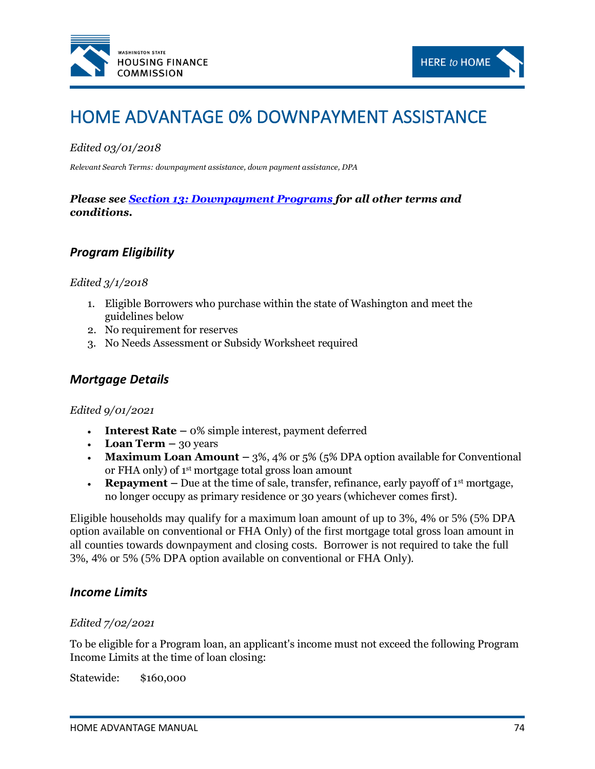



# HOME ADVANTAGE 0% DOWNPAYMENT ASSISTANCE

# *Edited 03/01/2018*

*Relevant Search Terms: downpayment assistance, down payment assistance, DPA*

# *Please see [Section 13: Downpayment Programs](#page-70-0) for all other terms and conditions.*

# *Program Eligibility*

#### *Edited 3/1/2018*

- 1. Eligible Borrowers who purchase within the state of Washington and meet the guidelines below
- 2. No requirement for reserves
- 3. No Needs Assessment or Subsidy Worksheet required

# *Mortgage Details*

#### *Edited 9/01/2021*

- **Interest Rate –** 0% simple interest, payment deferred
- **Loan Term**  $-$  30 years
- **Maximum Loan Amount –** 3%, 4% or 5% (5% DPA option available for Conventional or FHA only) of 1st mortgage total gross loan amount
- **Repayment** Due at the time of sale, transfer, refinance, early payoff of  $1<sup>st</sup>$  mortgage, no longer occupy as primary residence or 30 years (whichever comes first).

Eligible households may qualify for a maximum loan amount of up to 3%, 4% or 5% (5% DPA option available on conventional or FHA Only) of the first mortgage total gross loan amount in all counties towards downpayment and closing costs. Borrower is not required to take the full 3%, 4% or 5% (5% DPA option available on conventional or FHA Only).

# *Income Limits*

#### *Edited 7/02/2021*

To be eligible for a Program loan, an applicant's income must not exceed the following Program Income Limits at the time of loan closing:

Statewide: \$160,000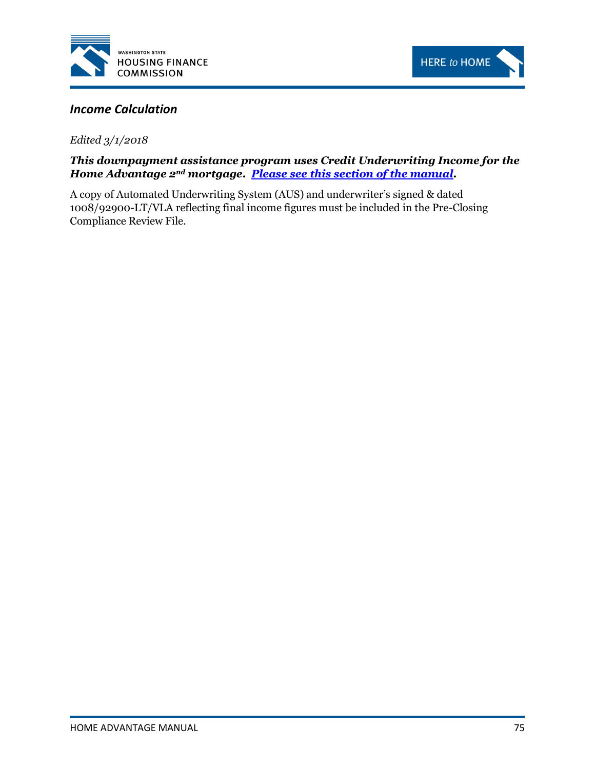



# *Income Calculation*

*Edited 3/1/2018*

# *This downpayment assistance program uses Credit Underwriting Income for the Home Advantage 2nd mortgage. [Please see this section of the manual.](#page-72-0)*

A copy of Automated Underwriting System (AUS) and underwriter's signed & dated 1008/92900-LT/VLA reflecting final income figures must be included in the Pre-Closing Compliance Review File.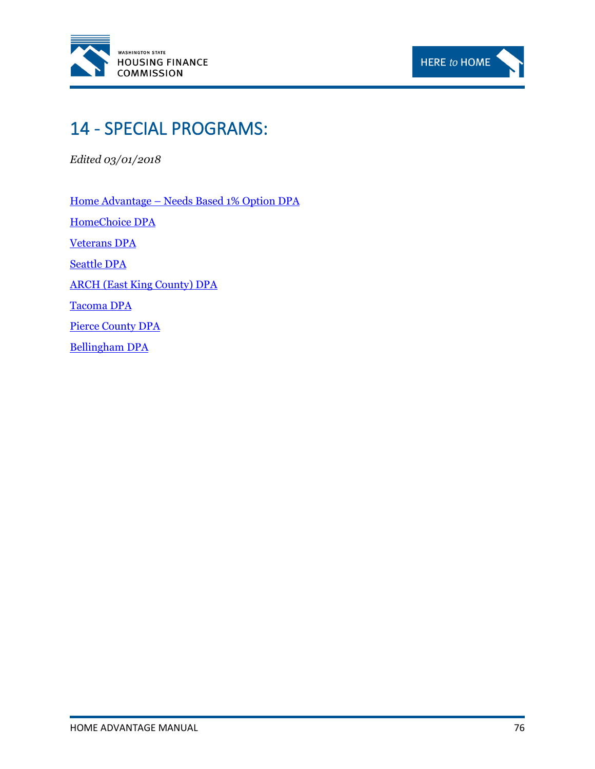



# 14 - SPECIAL PROGRAMS:

*Edited 03/01/2018*

Home Advantage – [Needs Based 1% Option DPA](http://www.wshfc.org/sf/dpaHA1percentOption.htm) [HomeChoice DPA](http://www.wshfc.org/sf/dpaHomeChoice.html) [Veterans DPA](http://www.wshfc.org/sf/dpaVeterans.htm) [Seattle DPA](http://www.wshfc.org/sf/dpaSeattle.html) [ARCH \(East King County\) DPA](http://www.wshfc.org/sf/dpaARCH.html) [Tacoma DPA](http://www.wshfc.org/sf/dpaTacoma.html) [Pierce County DPA](http://www.wshfc.org/sf/dpaPierce.html) [Bellingham DPA](http://www.wshfc.org/sf/dpaBellingham.html)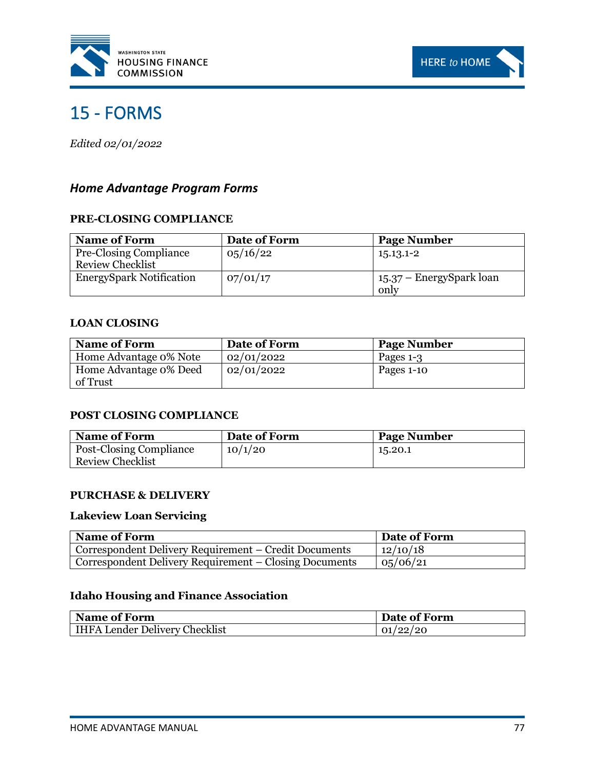



# <span id="page-82-0"></span>15 - FORMS

*Edited 02/01/2022*

# *Home Advantage Program Forms*

### **PRE-CLOSING COMPLIANCE**

| <b>Name of Form</b>                                      | Date of Form | <b>Page Number</b>               |
|----------------------------------------------------------|--------------|----------------------------------|
| <b>Pre-Closing Compliance</b><br><b>Review Checklist</b> | 05/16/22     | 15.13.1-2                        |
| <b>EnergySpark Notification</b>                          | 07/01/17     | 15.37 – EnergySpark loan<br>only |

#### **LOAN CLOSING**

| <b>Name of Form</b>                | Date of Form | <b>Page Number</b> |
|------------------------------------|--------------|--------------------|
| Home Advantage 0% Note             | 02/01/2022   | Pages 1-3          |
| Home Advantage 0% Deed<br>of Trust | 02/01/2022   | Pages 1-10         |

### **POST CLOSING COMPLIANCE**

| <b>Name of Form</b>            | Date of Form | <b>Page Number</b> |
|--------------------------------|--------------|--------------------|
| <b>Post-Closing Compliance</b> | 10/1/20      | 15.20.1            |
| <b>Review Checklist</b>        |              |                    |

#### **PURCHASE & DELIVERY**

# **Lakeview Loan Servicing**

| Name of Form                                           | Date of Form |
|--------------------------------------------------------|--------------|
| Correspondent Delivery Requirement – Credit Documents  | 12/10/18     |
| Correspondent Delivery Requirement – Closing Documents | 0,06/21      |

# **Idaho Housing and Finance Association**

| <b>Name of Form</b>                  | Date of Form |
|--------------------------------------|--------------|
| <b>HFA Lender Delivery Checklist</b> | 01/22/20     |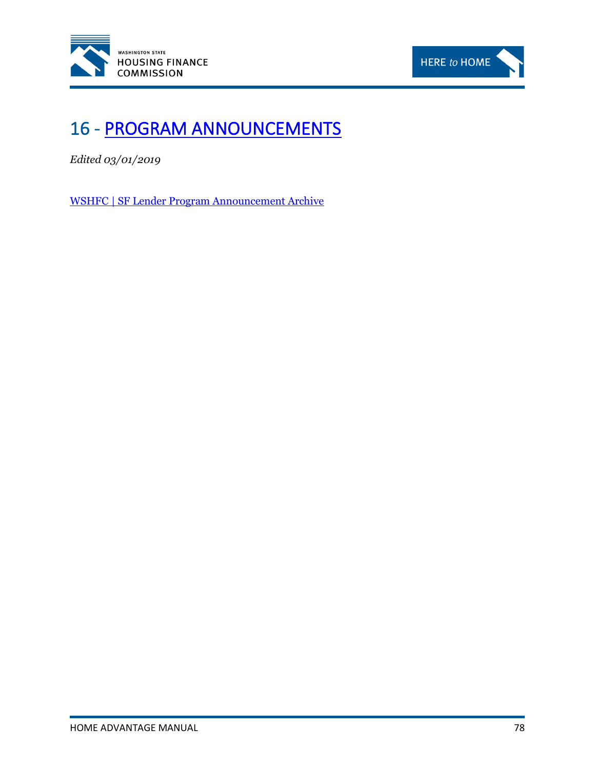



# 16 - [PROGRAM ANNOUNCEMENTS](http://www.wshfc.org/sf/ProgramAnnouncementArchives.html)

*Edited 03/01/2019*

[WSHFC | SF Lender Program Announcement Archive](http://www.wshfc.org/sf/ProgramAnnouncementArchives.html)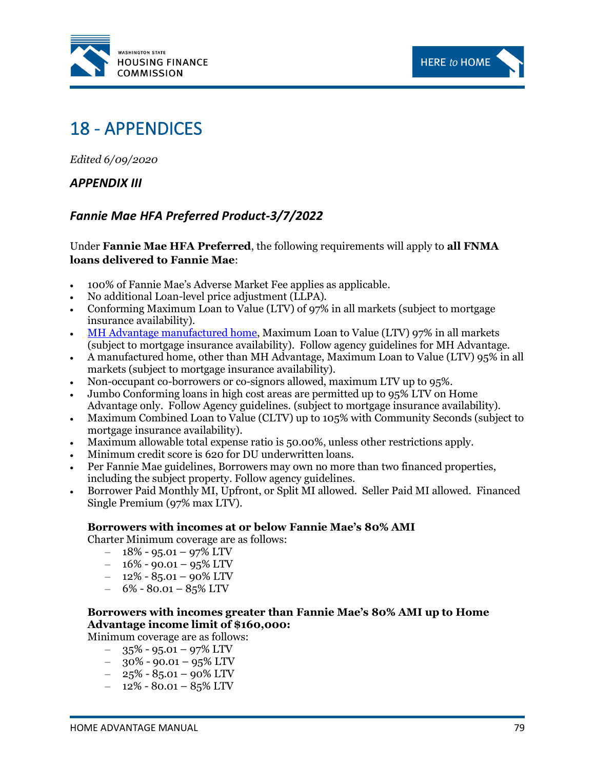



# 18 - APPENDICES

*Edited 6/09/2020*

# *APPENDIX III*

# *Fannie Mae HFA Preferred Product-3/7/2022*

Under **Fannie Mae HFA Preferred**, the following requirements will apply to **all FNMA loans delivered to Fannie Mae**:

- 100% of Fannie Mae's Adverse Market Fee applies as applicable.
- No additional Loan-level price adjustment (LLPA).
- Conforming Maximum Loan to Value (LTV) of 97% in all markets (subject to mortgage insurance availability).
- [MH Advantage manufactured home,](https://www.fanniemae.com/singlefamily/manufactured-homes#!) Maximum Loan to Value (LTV) 97% in all markets (subject to mortgage insurance availability). Follow agency guidelines for MH Advantage.
- A manufactured home, other than MH Advantage, Maximum Loan to Value (LTV) 95% in all markets (subject to mortgage insurance availability).
- Non-occupant co-borrowers or co-signors allowed, maximum LTV up to 95%.
- Jumbo Conforming loans in high cost areas are permitted up to 95% LTV on Home Advantage only. Follow Agency guidelines. (subject to mortgage insurance availability).
- Maximum Combined Loan to Value (CLTV) up to 105% with Community Seconds (subject to mortgage insurance availability).
- Maximum allowable total expense ratio is 50.00%, unless other restrictions apply.
- Minimum credit score is 620 for DU underwritten loans.
- Per Fannie Mae guidelines, Borrowers may own no more than two financed properties, including the subject property. Follow agency guidelines.
- Borrower Paid Monthly MI, Upfront, or Split MI allowed. Seller Paid MI allowed. Financed Single Premium (97% max LTV).

#### **Borrowers with incomes at or below Fannie Mae's 80% AMI**

Charter Minimum coverage are as follows:

- $-18\% 95.01 97\%$  LTV
- $-16\% 90.01 95\%$  LTV
- $-$  12% 85.01 90% LTV
- $-$  6% 80.01 85% LTV

# **Borrowers with incomes greater than Fannie Mae's 80% AMI up to Home Advantage income limit of \$160,000:**

Minimum coverage are as follows:

- $-$  35% 95.01 97% LTV
- $-$  30% 90.01 95% LTV
- $-$  25% 85.01 90% LTV
- $-$  12% 80.01 85% LTV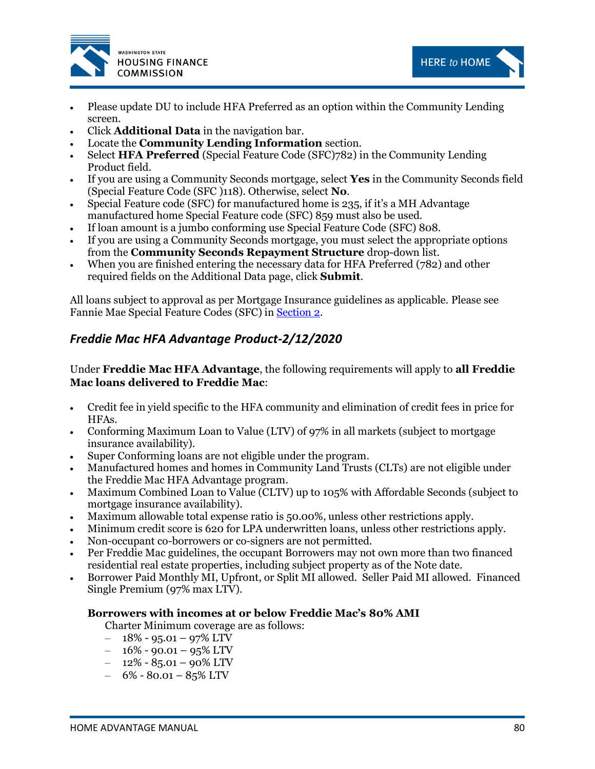



HERE to HOME

- Click **Additional Data** in the navigation bar.
- Locate the **Community Lending Information** section.
- Select **HFA Preferred** (Special Feature Code (SFC)782) in the Community Lending Product field.
- If you are using a Community Seconds mortgage, select **Yes** in the Community Seconds field (Special Feature Code (SFC )118). Otherwise, select **No**.
- Special Feature code (SFC) for manufactured home is 235, if it's a MH Advantage manufactured home Special Feature code (SFC) 859 must also be used.
- If loan amount is a jumbo conforming use Special Feature Code (SFC) 808.
- If you are using a Community Seconds mortgage, you must select the appropriate options from the **Community Seconds Repayment Structure** drop-down list.
- When you are finished entering the necessary data for HFA Preferred (782) and other required fields on the Additional Data page, click **Submit**.

All loans subject to approval as per Mortgage Insurance guidelines as applicable. Please see Fannie Mae Special Feature Codes (SFC) i[n Section 2.](#page-13-0)

# *Freddie Mac HFA Advantage Product-2/12/2020*

Under **Freddie Mac HFA Advantage**, the following requirements will apply to **all Freddie Mac loans delivered to Freddie Mac**:

- Credit fee in yield specific to the HFA community and elimination of credit fees in price for HFAs.
- Conforming Maximum Loan to Value (LTV) of 97% in all markets (subject to mortgage insurance availability).
- Super Conforming loans are not eligible under the program.
- Manufactured homes and homes in Community Land Trusts (CLTs) are not eligible under the Freddie Mac HFA Advantage program.
- Maximum Combined Loan to Value (CLTV) up to 105% with Affordable Seconds (subject to mortgage insurance availability).
- Maximum allowable total expense ratio is 50.00%, unless other restrictions apply.
- Minimum credit score is 620 for LPA underwritten loans, unless other restrictions apply.
- Non-occupant co-borrowers or co-signers are not permitted.
- Per Freddie Mac guidelines, the occupant Borrowers may not own more than two financed residential real estate properties, including subject property as of the Note date.
- Borrower Paid Monthly MI, Upfront, or Split MI allowed. Seller Paid MI allowed. Financed Single Premium (97% max LTV).

### **Borrowers with incomes at or below Freddie Mac's 80% AMI**

Charter Minimum coverage are as follows:

- $-18\% 95.01 97\%$  LTV
- $-16\% 90.01 95\%$  LTV
- $-$  12% 85.01 90% LTV
- $-$  6% 80.01 85% LTV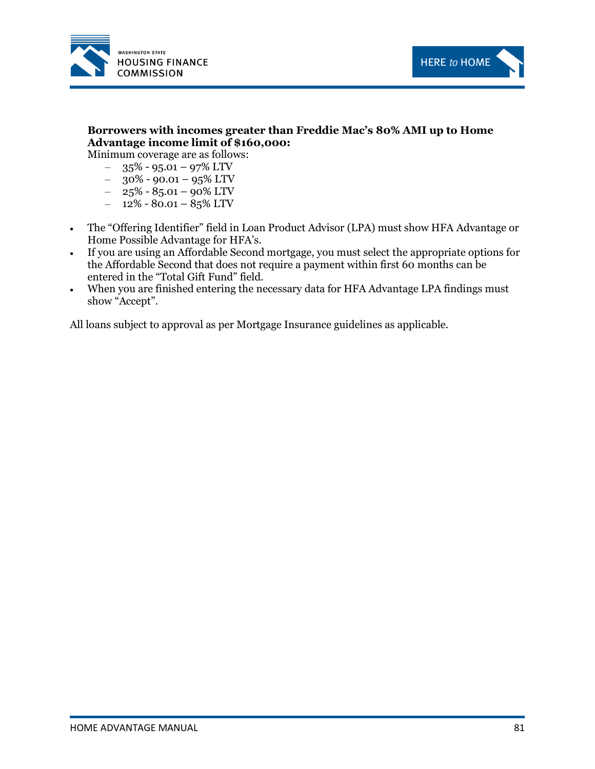



# **Borrowers with incomes greater than Freddie Mac's 80% AMI up to Home Advantage income limit of \$160,000:**

Minimum coverage are as follows:

- $-$  35% 95.01 97% LTV
- $-$  30% 90.01 95% LTV
- $-$  25% 85.01 90% LTV
- $-$  12% 80.01 85% LTV
- The "Offering Identifier" field in Loan Product Advisor (LPA) must show HFA Advantage or Home Possible Advantage for HFA's.
- If you are using an Affordable Second mortgage, you must select the appropriate options for the Affordable Second that does not require a payment within first 60 months can be entered in the "Total Gift Fund" field.
- When you are finished entering the necessary data for HFA Advantage LPA findings must show "Accept".

All loans subject to approval as per Mortgage Insurance guidelines as applicable.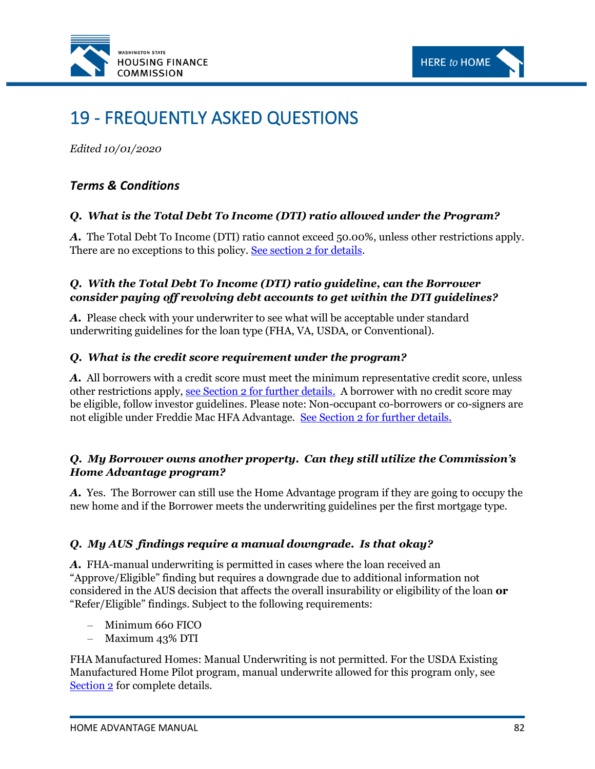



# 19 - FREQUENTLY ASKED QUESTIONS

*Edited 10/01/2020*

# *Terms & Conditions*

# *Q. What is the Total Debt To Income (DTI) ratio allowed under the Program?*

*A.* The Total Debt To Income (DTI) ratio cannot exceed 50.00%, unless other restrictions apply. There are no exceptions to this policy. [See section 2 for details.](#page-13-0)

# *Q. With the Total Debt To Income (DTI) ratio guideline, can the Borrower consider paying off revolving debt accounts to get within the DTI guidelines?*

*A.* Please check with your underwriter to see what will be acceptable under standard underwriting guidelines for the loan type (FHA, VA, USDA, or Conventional).

# *Q. What is the credit score requirement under the program?*

*A.* All borrowers with a credit score must meet the minimum representative credit score, unless other restrictions apply, [see Section 2 for further details.](#page-14-0) A borrower with no credit score may be eligible, follow investor guidelines. Please note: Non-occupant co-borrowers or co-signers are not eligible under Freddie Mac HFA Advantage. [See Section 2 for further details.](#page-13-0)

# *Q. My Borrower owns another property. Can they still utilize the Commission's Home Advantage program?*

*A.* Yes. The Borrower can still use the Home Advantage program if they are going to occupy the new home and if the Borrower meets the underwriting guidelines per the first mortgage type.

# *Q. My AUS findings require a manual downgrade. Is that okay?*

*A.* FHA-manual underwriting is permitted in cases where the loan received an "Approve/Eligible" finding but requires a downgrade due to additional information not considered in the AUS decision that affects the overall insurability or eligibility of the loan **or** "Refer/Eligible" findings. Subject to the following requirements:

- Minimum 660 FICO
- Maximum 43% DTI

FHA Manufactured Homes: Manual Underwriting is not permitted. For the USDA Existing Manufactured Home Pilot program, manual underwrite allowed for this program only, see [Section 2](#page-13-0) for complete details.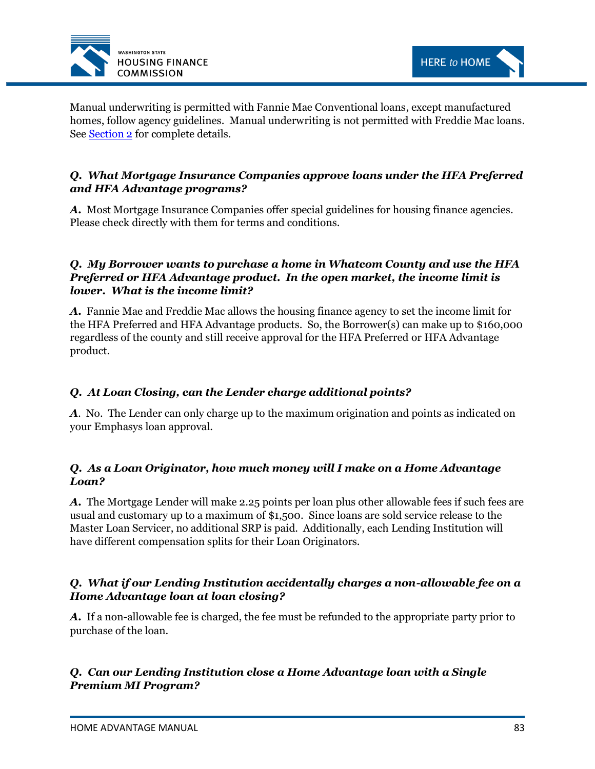



Manual underwriting is permitted with Fannie Mae Conventional loans, except manufactured homes, follow agency guidelines. Manual underwriting is not permitted with Freddie Mac loans. See [Section 2](#page-14-0) for complete details.

# *Q. What Mortgage Insurance Companies approve loans under the HFA Preferred and HFA Advantage programs?*

*A.* Most Mortgage Insurance Companies offer special guidelines for housing finance agencies. Please check directly with them for terms and conditions.

# *Q. My Borrower wants to purchase a home in Whatcom County and use the HFA Preferred or HFA Advantage product. In the open market, the income limit is lower. What is the income limit?*

*A.* Fannie Mae and Freddie Mac allows the housing finance agency to set the income limit for the HFA Preferred and HFA Advantage products. So, the Borrower(s) can make up to \$160,000 regardless of the county and still receive approval for the HFA Preferred or HFA Advantage product.

# *Q. At Loan Closing, can the Lender charge additional points?*

*A.* No. The Lender can only charge up to the maximum origination and points as indicated on your Emphasys loan approval.

# *Q. As a Loan Originator, how much money will I make on a Home Advantage Loan?*

*A.* The Mortgage Lender will make 2.25 points per loan plus other allowable fees if such fees are usual and customary up to a maximum of \$1,500. Since loans are sold service release to the Master Loan Servicer, no additional SRP is paid. Additionally, each Lending Institution will have different compensation splits for their Loan Originators.

# *Q. What if our Lending Institution accidentally charges a non-allowable fee on a Home Advantage loan at loan closing?*

*A.* If a non-allowable fee is charged, the fee must be refunded to the appropriate party prior to purchase of the loan.

# *Q. Can our Lending Institution close a Home Advantage loan with a Single Premium MI Program?*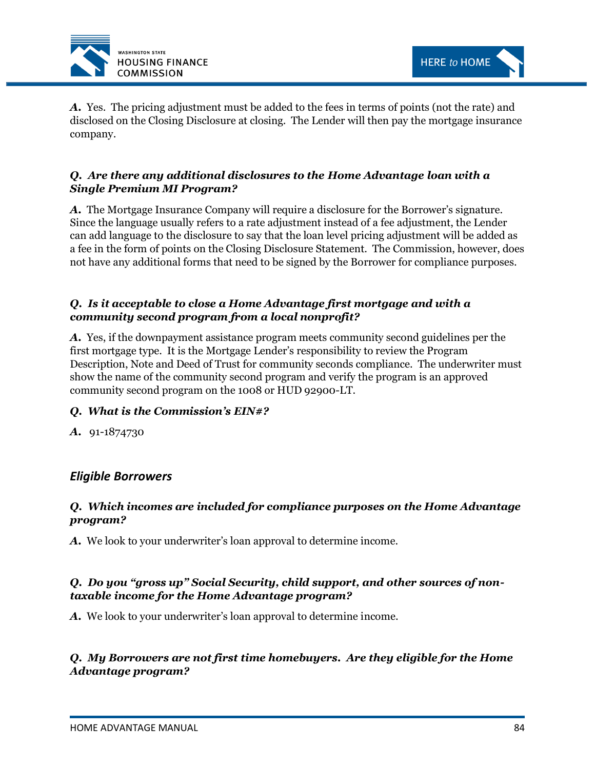

*A.* Yes. The pricing adjustment must be added to the fees in terms of points (not the rate) and disclosed on the Closing Disclosure at closing. The Lender will then pay the mortgage insurance company.

# *Q. Are there any additional disclosures to the Home Advantage loan with a Single Premium MI Program?*

*A.* The Mortgage Insurance Company will require a disclosure for the Borrower's signature. Since the language usually refers to a rate adjustment instead of a fee adjustment, the Lender can add language to the disclosure to say that the loan level pricing adjustment will be added as a fee in the form of points on the Closing Disclosure Statement. The Commission, however, does not have any additional forms that need to be signed by the Borrower for compliance purposes.

# *Q. Is it acceptable to close a Home Advantage first mortgage and with a community second program from a local nonprofit?*

*A.* Yes, if the downpayment assistance program meets community second guidelines per the first mortgage type. It is the Mortgage Lender's responsibility to review the Program Description, Note and Deed of Trust for community seconds compliance. The underwriter must show the name of the community second program and verify the program is an approved community second program on the 1008 or HUD 92900-LT.

# *Q. What is the Commission's EIN#?*

*A.* 91-1874730

# *Eligible Borrowers*

# *Q. Which incomes are included for compliance purposes on the Home Advantage program?*

*A.* We look to your underwriter's loan approval to determine income.

# *Q. Do you "gross up" Social Security, child support, and other sources of nontaxable income for the Home Advantage program?*

*A.* We look to your underwriter's loan approval to determine income.

# *Q. My Borrowers are not first time homebuyers. Are they eligible for the Home Advantage program?*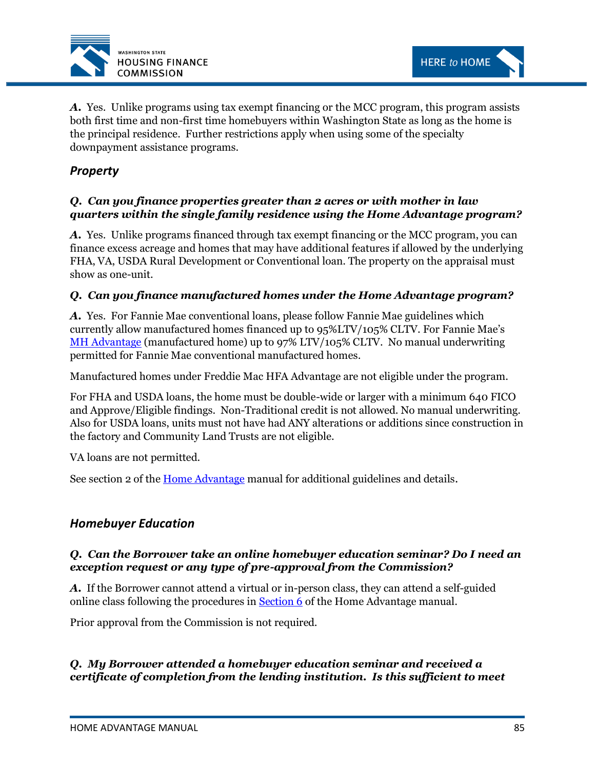

*A.* Yes. Unlike programs using tax exempt financing or the MCC program, this program assists both first time and non-first time homebuyers within Washington State as long as the home is the principal residence. Further restrictions apply when using some of the specialty downpayment assistance programs.

# *Property*

# *Q. Can you finance properties greater than 2 acres or with mother in law quarters within the single family residence using the Home Advantage program?*

*A.* Yes. Unlike programs financed through tax exempt financing or the MCC program, you can finance excess acreage and homes that may have additional features if allowed by the underlying FHA, VA, USDA Rural Development or Conventional loan. The property on the appraisal must show as one-unit.

# *Q. Can you finance manufactured homes under the Home Advantage program?*

*A.* Yes. For Fannie Mae conventional loans, please follow Fannie Mae guidelines which currently allow manufactured homes financed up to 95%LTV/105% CLTV. For Fannie Mae's [MH Advantage](https://www.fanniemae.com/singlefamily/manufactured-homes#!) (manufactured home) up to 97% LTV/105% CLTV. No manual underwriting permitted for Fannie Mae conventional manufactured homes.

Manufactured homes under Freddie Mac HFA Advantage are not eligible under the program.

For FHA and USDA loans, the home must be double-wide or larger with a minimum 640 FICO and Approve/Eligible findings. Non-Traditional credit is not allowed. No manual underwriting. Also for USDA loans, units must not have had ANY alterations or additions since construction in the factory and Community Land Trusts are not eligible.

VA loans are not permitted.

See section 2 of the <u>Home Advantage</u> manual for additional guidelines and details.

# *Homebuyer Education*

# *Q. Can the Borrower take an online homebuyer education seminar? Do I need an exception request or any type of pre-approval from the Commission?*

*A.* If the Borrower cannot attend a virtual or in-person class, they can attend a self-guided online class following the procedures i[n Section 6](#page-35-0) of the Home Advantage manual.

Prior approval from the Commission is not required.

# *Q. My Borrower attended a homebuyer education seminar and received a certificate of completion from the lending institution. Is this sufficient to meet*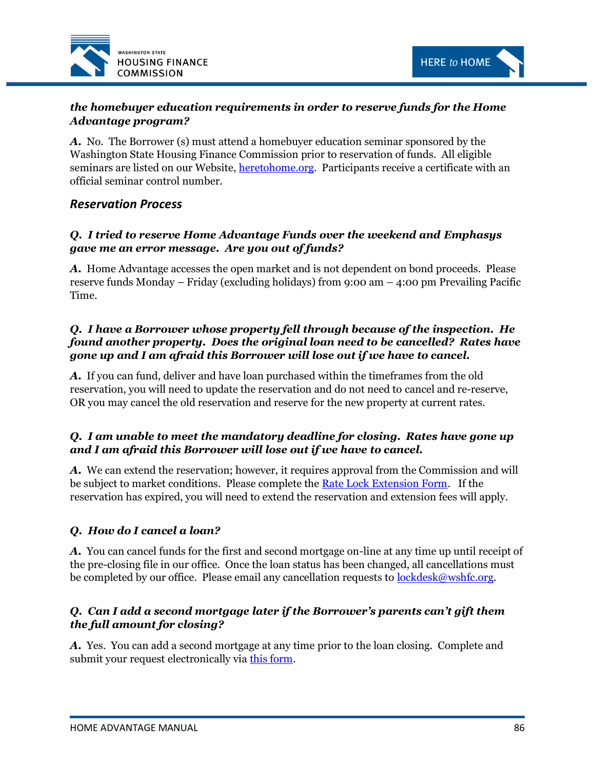



# *the homebuyer education requirements in order to reserve funds for the Home Advantage program?*

*A.* No. The Borrower (s) must attend a homebuyer education seminar sponsored by the Washington State Housing Finance Commission prior to reservation of funds. All eligible seminars are listed on our Website, [heretohome.org.](http://www.heretohome.org/) Participants receive a certificate with an official seminar control number.

# *Reservation Process*

# *Q. I tried to reserve Home Advantage Funds over the weekend and Emphasys gave me an error message. Are you out of funds?*

*A.* Home Advantage accesses the open market and is not dependent on bond proceeds. Please reserve funds Monday – Friday (excluding holidays) from 9:00 am – 4:00 pm Prevailing Pacific Time.

# *Q. I have a Borrower whose property fell through because of the inspection. He found another property. Does the original loan need to be cancelled? Rates have gone up and I am afraid this Borrower will lose out if we have to cancel.*

*A.* If you can fund, deliver and have loan purchased within the timeframes from the old reservation, you will need to update the reservation and do not need to cancel and re-reserve, OR you may cancel the old reservation and reserve for the new property at current rates.

# *Q. I am unable to meet the mandatory deadline for closing. Rates have gone up and I am afraid this Borrower will lose out if we have to cancel.*

*A.* We can extend the reservation; however, it requires approval from the Commission and will be subject to market conditions. Please complete the [Rate Lock Extension Form.](http://www.wshfc.org/sf/HAforms.html) If the reservation has expired, you will need to extend the reservation and extension fees will apply.

# *Q. How do I cancel a loan?*

*A.* You can cancel funds for the first and second mortgage on-line at any time up until receipt of the pre-closing file in our office. Once the loan status has been changed, all cancellations must be completed by our office. Please email any cancellation requests to <u>lockdesk@wshfc.org</u>.

# *Q. Can I add a second mortgage later if the Borrower's parents can't gift them the full amount for closing?*

*A.* Yes. You can add a second mortgage at any time prior to the loan closing. Complete and submit your request electronically via [this form.](https://form.jotformpro.com/71656502553961)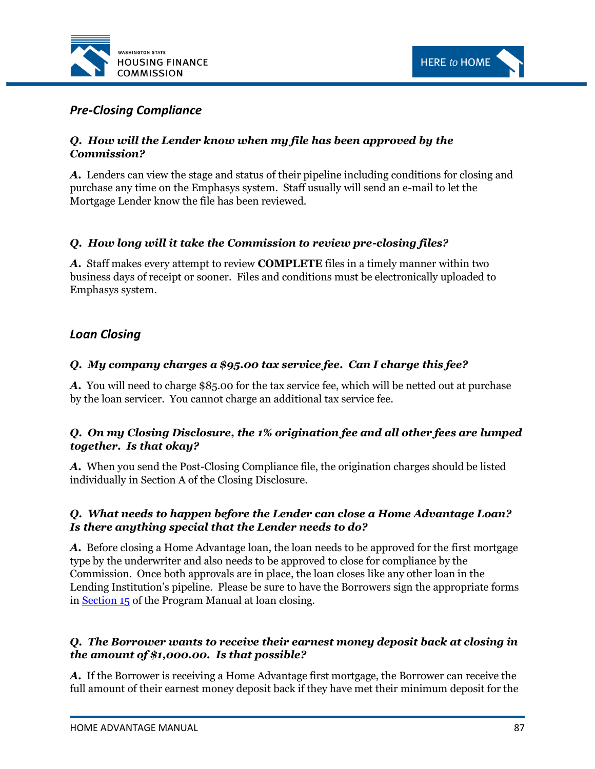



# *Pre-Closing Compliance*

# *Q. How will the Lender know when my file has been approved by the Commission?*

*A.* Lenders can view the stage and status of their pipeline including conditions for closing and purchase any time on the Emphasys system. Staff usually will send an e-mail to let the Mortgage Lender know the file has been reviewed.

# *Q. How long will it take the Commission to review pre-closing files?*

*A.* Staff makes every attempt to review **COMPLETE** files in a timely manner within two business days of receipt or sooner. Files and conditions must be electronically uploaded to Emphasys system.

# *Loan Closing*

### *Q. My company charges a \$95.00 tax service fee. Can I charge this fee?*

*A.* You will need to charge \$85.00 for the tax service fee, which will be netted out at purchase by the loan servicer. You cannot charge an additional tax service fee.

### *Q. On my Closing Disclosure, the 1% origination fee and all other fees are lumped together. Is that okay?*

*A.* When you send the Post-Closing Compliance file, the origination charges should be listed individually in Section A of the Closing Disclosure.

### *Q. What needs to happen before the Lender can close a Home Advantage Loan? Is there anything special that the Lender needs to do?*

*A.* Before closing a Home Advantage loan, the loan needs to be approved for the first mortgage type by the underwriter and also needs to be approved to close for compliance by the Commission. Once both approvals are in place, the loan closes like any other loan in the Lending Institution's pipeline. Please be sure to have the Borrowers sign the appropriate forms in [Section 15](#page-82-0) of the Program Manual at loan closing.

# *Q. The Borrower wants to receive their earnest money deposit back at closing in the amount of \$1,000.00. Is that possible?*

*A.* If the Borrower is receiving a Home Advantage first mortgage, the Borrower can receive the full amount of their earnest money deposit back if they have met their minimum deposit for the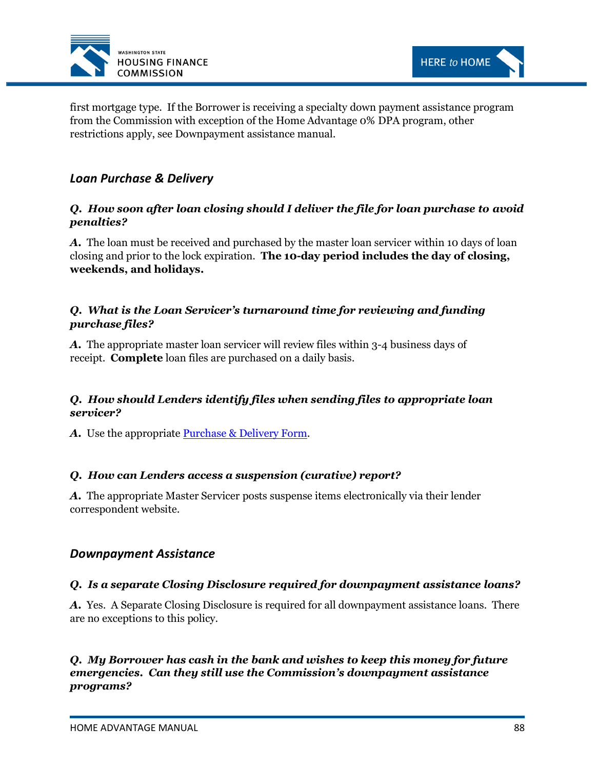



first mortgage type. If the Borrower is receiving a specialty down payment assistance program from the Commission with exception of the Home Advantage 0% DPA program, other restrictions apply, see Downpayment assistance manual.

# *Loan Purchase & Delivery*

# *Q. How soon after loan closing should I deliver the file for loan purchase to avoid penalties?*

*A.* The loan must be received and purchased by the master loan servicer within 10 days of loan closing and prior to the lock expiration. **The 10-day period includes the day of closing, weekends, and holidays.**

# *Q. What is the Loan Servicer's turnaround time for reviewing and funding purchase files?*

*A.* The appropriate master loan servicer will review files within 3-4 business days of receipt. **Complete** loan files are purchased on a daily basis.

# *Q. How should Lenders identify files when sending files to appropriate loan servicer?*

A. Use the appropriate **Purchase & Delivery Form.** 

# *Q. How can Lenders access a suspension (curative) report?*

*A.* The appropriate Master Servicer posts suspense items electronically via their lender correspondent website.

# *Downpayment Assistance*

# *Q. Is a separate Closing Disclosure required for downpayment assistance loans?*

*A.* Yes. A Separate Closing Disclosure is required for all downpayment assistance loans. There are no exceptions to this policy.

# *Q. My Borrower has cash in the bank and wishes to keep this money for future emergencies. Can they still use the Commission's downpayment assistance programs?*